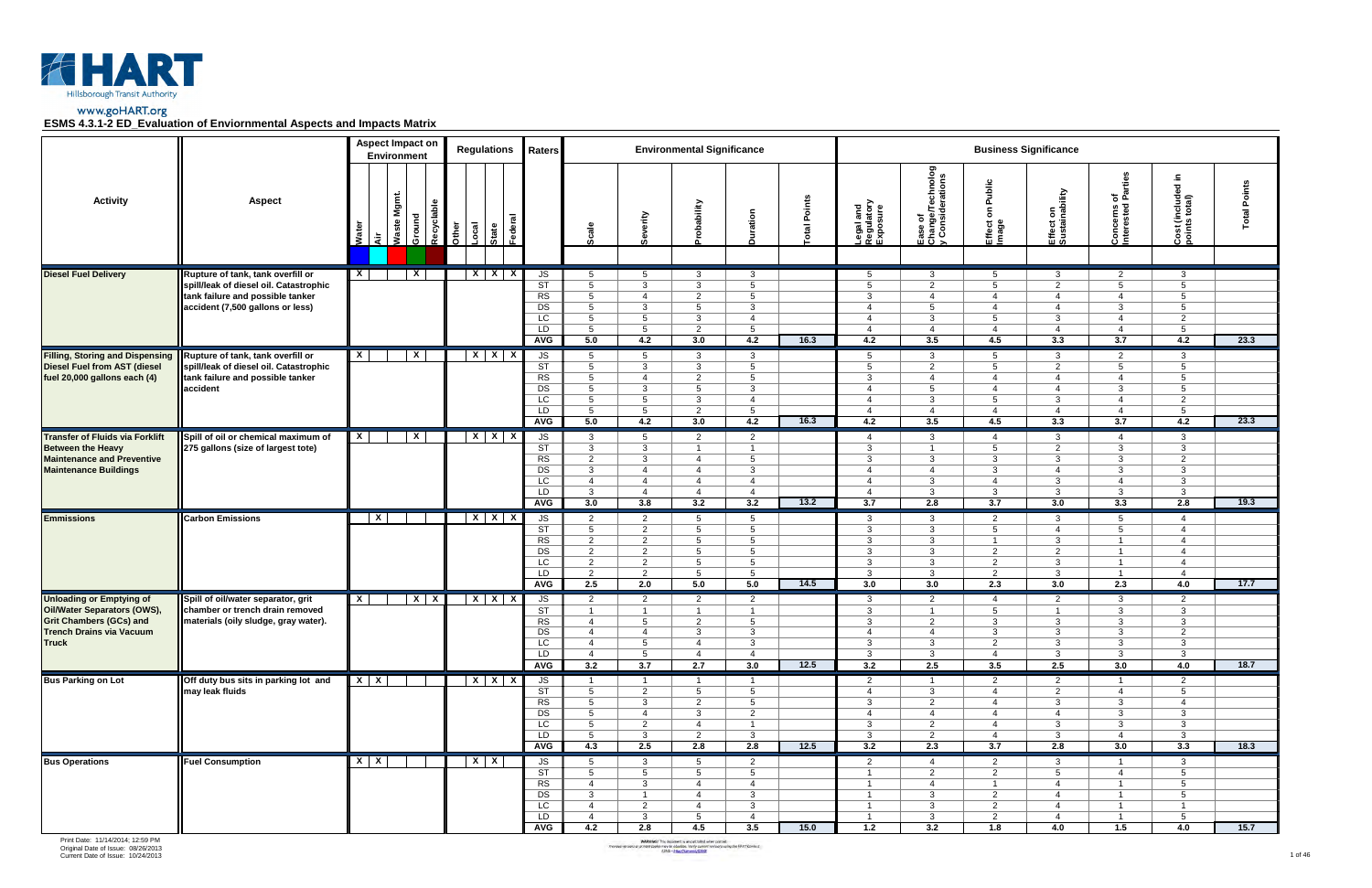

|                                                                                                                                                     |                                                                                                                                                     | <b>Aspect Impact on</b><br>Environment          | <b>Regulations</b>                           | Raters                                                                          |                                                                                                                            |                                                                                                                                 | <b>Environmental Significance</b>                                                                                 |                                                                                                                   |               |                                                                                                             |                                                                                                |                                                                                                                          | <b>Business Significance</b>                                                                               |                                                                                                                 |                                                                                                                 |                 |
|-----------------------------------------------------------------------------------------------------------------------------------------------------|-----------------------------------------------------------------------------------------------------------------------------------------------------|-------------------------------------------------|----------------------------------------------|---------------------------------------------------------------------------------|----------------------------------------------------------------------------------------------------------------------------|---------------------------------------------------------------------------------------------------------------------------------|-------------------------------------------------------------------------------------------------------------------|-------------------------------------------------------------------------------------------------------------------|---------------|-------------------------------------------------------------------------------------------------------------|------------------------------------------------------------------------------------------------|--------------------------------------------------------------------------------------------------------------------------|------------------------------------------------------------------------------------------------------------|-----------------------------------------------------------------------------------------------------------------|-----------------------------------------------------------------------------------------------------------------|-----------------|
| <b>Activity</b>                                                                                                                                     | <b>Aspect</b>                                                                                                                                       | Mgmt.<br>Ground<br><b>Waste</b><br>Water<br>ا ≌ | Recyclable<br>Other<br>Local<br><b>State</b> |                                                                                 | Scale                                                                                                                      | ieverity                                                                                                                        | bability<br>$\circ$                                                                                               | Duration                                                                                                          | Points<br>ota | Legal and<br>Regulatory<br>Exposure                                                                         | Ease of<br>Change/Technolog<br>y Considerations                                                | Public<br>$\epsilon$<br>Effect<br>Image                                                                                  | Effect on<br>Sustainability                                                                                | of<br>Parties<br>Concerns of<br>Interested                                                                      | ۵.<br>$\overline{\phantom{a}}$<br>Cost (included<br>points total)                                               | Points<br>Total |
| <b>Diesel Fuel Delivery</b>                                                                                                                         | Rupture of tank, tank overfill or<br>spill/leak of diesel oil. Catastrophic<br>tank failure and possible tanker<br>accident (7,500 gallons or less) | $\mathbf{x}$<br>X.                              | $X$ $X$ $X$                                  | JS<br>ST<br>RS<br>DS                                                            | 5<br>$5\overline{)}$<br>$5\overline{)}$<br>$5^{\circ}$                                                                     | 5<br>3<br>$\overline{4}$<br>3                                                                                                   | $\mathbf{3}$<br>3<br>$\overline{2}$<br>$5^{\circ}$                                                                | 3<br>5 <sup>5</sup><br>$5^{\circ}$<br>$\mathbf{3}$                                                                |               | 5<br>5<br>3<br>$\overline{4}$                                                                               | $\mathbf{3}$<br>2<br>$\overline{4}$<br>$5^{\circ}$                                             | 5<br>5<br>$\overline{4}$<br>$\overline{4}$                                                                               | $\mathbf{3}$<br>$\overline{2}$<br>$\overline{4}$<br>$\overline{4}$                                         | $\overline{2}$<br>5<br>$\overline{4}$<br>3                                                                      | 3<br>$5\phantom{.0}$<br>5<br>5                                                                                  |                 |
|                                                                                                                                                     |                                                                                                                                                     |                                                 |                                              | LC<br>LD<br>AVG                                                                 | $5\overline{5}$<br>$5^{\circ}$<br>5.0                                                                                      | $5\overline{)}$<br>$5\overline{)}$<br>4.2                                                                                       | 3<br>2<br>3.0                                                                                                     | $\overline{4}$<br>$5\overline{)}$<br>4.2                                                                          | 16.3          | $\overline{4}$<br>$\overline{4}$<br>4.2                                                                     | 3<br>$\overline{4}$<br>3.5                                                                     | 5<br>$\overline{4}$<br>4.5                                                                                               | 3<br>$\overline{4}$<br>3.3                                                                                 | $\overline{4}$<br>$\overline{4}$<br>3.7                                                                         | 2<br>5<br>4.2                                                                                                   | 23.3            |
| <b>Filling, Storing and Dispensing</b><br><b>Diesel Fuel from AST (diesel</b><br>fuel 20,000 gallons each (4)                                       | Rupture of tank, tank overfill or<br>spill/leak of diesel oil. Catastrophic<br>tank failure and possible tanker<br>accident                         | $\overline{X}$<br>$\mathsf{X}$                  | $X$ $X$ $X$                                  | JS<br>ST<br>RS<br>DS<br>LC<br>LD<br><b>AVG</b>                                  | 5<br>$5^{\circ}$<br>5 <sup>5</sup><br>$5^{\circ}$<br>$5^{\circ}$<br>$5^{\circ}$<br>5.0                                     | $5\overline{)}$<br>3<br>$\overline{4}$<br>3<br>$5\overline{)}$<br>$5\overline{)}$<br>4.2                                        | $\mathbf{3}$<br>3<br>$\overline{2}$<br>$5^{\circ}$<br>$\mathbf{3}$<br>$\overline{2}$<br>3.0                       | $\mathbf{3}$<br>$5\overline{)}$<br>$5^{\circ}$<br>$\mathbf{3}$<br>$\overline{4}$<br>$5\overline{)}$<br>4.2        | 16.3          | 5<br>$5\overline{5}$<br>3<br>$\overline{4}$<br>$\overline{4}$<br>$\overline{4}$<br>4.2                      | 3<br>2<br>$\overline{4}$<br>5<br>$\mathbf{3}$<br>$\overline{4}$<br>3.5                         | 5<br>5<br>$\overline{4}$<br>4<br>5<br>$\overline{4}$<br>4.5                                                              | $\mathbf{3}$<br>2<br>$\overline{4}$<br>$\overline{4}$<br>3<br>$\overline{4}$<br>3.3                        | $\overline{2}$<br>$5\overline{)}$<br>$\overline{4}$<br>3<br>$\overline{4}$<br>$\overline{4}$<br>3.7             | 3<br>5<br>5<br>$5\phantom{.0}$<br>2<br>5<br>4.2                                                                 | 23.3            |
| <b>Transfer of Fluids via Forklift</b><br><b>Between the Heavy</b><br><b>Maintenance and Preventive</b><br><b>Maintenance Buildings</b>             | Spill of oil or chemical maximum of<br>275 gallons (size of largest tote)                                                                           | $\mathsf{X}$<br>$\mathsf{X}$                    | $X$ $X$ $X$                                  | JS<br>$\overline{\text{ST}}$<br>RS<br>DS<br>LC<br>LD<br><b>AVG</b>              | $\mathbf{3}$<br>$\mathbf{3}$<br>$\overline{2}$<br>$\mathbf{3}$<br>$\overline{4}$<br>$\mathbf{3}$<br>3.0                    | $5\overline{)}$<br>$\mathbf{3}$<br>$\mathbf{3}$<br>$\overline{4}$<br>$\overline{4}$<br>$\overline{4}$<br>3.8                    | $\overline{2}$<br>$\overline{1}$<br>$\overline{4}$<br>$\overline{4}$<br>$\overline{4}$<br>$\overline{4}$<br>3.2   | $\overline{2}$<br>$\overline{1}$<br>$5\overline{)}$<br>$\mathbf{3}$<br>$\overline{4}$<br>$\overline{4}$<br>3.2    | 13.2          | $\overline{4}$<br>3<br>3<br>$\overline{4}$<br>$\overline{4}$<br>$\overline{4}$<br>3.7                       | $\mathbf{3}$<br>$\overline{1}$<br>$\mathbf{3}$<br>$\overline{4}$<br>3<br>3<br>2.8              | $\overline{4}$<br>-5<br>3<br>-3<br>$\overline{4}$<br>-3<br>3.7                                                           | $\mathbf{3}$<br>2<br>$\mathbf{3}$<br>$\overline{4}$<br>3<br>3<br>3.0                                       | 4<br>3<br>$\mathbf{3}$<br>3<br>4<br>3<br>3.3                                                                    | 3<br>3<br>$\overline{2}$<br>$\mathbf{3}$<br>3<br>3<br>2.8                                                       | 19.3            |
| <b>Emmissions</b>                                                                                                                                   | <b>Carbon Emissions</b>                                                                                                                             | $\mathbf{X}$                                    | $X$ $X$ $X$                                  | JS<br>ST<br>RS<br>DS<br>LC<br>LD<br><b>AVG</b>                                  | $\overline{2}$<br>$5\overline{)}$<br>$\overline{2}$<br>$\overline{2}$<br>$\overline{2}$<br>2<br>2.5                        | $\overline{2}$<br>2<br>$\overline{2}$<br>2<br>$\overline{2}$<br>$\overline{2}$<br>2.0                                           | 5<br>$5^{\circ}$<br>$5^{\circ}$<br>5<br>$5\overline{)}$<br>$5\overline{)}$<br>5.0                                 | 5<br>$5\overline{5}$<br>$5\overline{5}$<br>$5\overline{5}$<br>$5^{\circ}$<br>$5\overline{5}$<br>5.0               | 14.5          | $\mathbf{3}$<br>$\mathbf{3}$<br>$\mathbf{3}$<br>3<br>3<br>$\mathbf{3}$<br>3.0                               | $\mathbf{3}$<br>$\mathbf{3}$<br>$\mathbf{3}$<br>3<br>3<br>$\mathbf{3}$<br>3.0                  | 2<br>5<br>$\overline{1}$<br>$\overline{2}$<br>$\overline{2}$<br>$\overline{2}$<br>2.3                                    | $\mathbf{3}$<br>$\overline{4}$<br>$\mathbf{3}$<br>2<br>3<br>$\mathbf{3}$<br>3.0                            | 5<br>$5\overline{5}$<br>$\overline{1}$<br>$\overline{1}$<br>$\overline{1}$<br>$\overline{1}$<br>2.3             | $\overline{4}$<br>$\overline{4}$<br>$\overline{4}$<br>$\overline{4}$<br>$\overline{4}$<br>$\overline{4}$<br>4.0 | 17.7            |
| <b>Unloading or Emptying of</b><br>Oil/Water Separators (OWS),<br><b>Grit Chambers (GCs) and</b><br><b>Trench Drains via Vacuum</b><br><b>Truck</b> | Spill of oil/water separator, grit<br>chamber or trench drain removed<br>materials (oily sludge, gray water).                                       | $\overline{X}$<br>$X$ $X$                       | $X$ $X$                                      | JS<br>$\overline{\text{ST}}$<br><b>RS</b><br>DS<br>$\overline{LC}$<br>LD<br>AVG | $\overline{2}$<br>$\mathbf{1}$<br>$\overline{4}$<br>$\boldsymbol{\vartriangle}$<br>$\overline{4}$<br>$\overline{4}$<br>3.2 | $\overline{2}$<br>$\overline{1}$<br>$5\overline{)}$<br>$\boldsymbol{\vartriangle}$<br>$5\overline{)}$<br>$5\overline{)}$<br>3.7 | $\overline{2}$<br>$\overline{1}$<br>$\overline{2}$<br>3<br>$\overline{4}$<br>$\overline{4}$<br>2.7                | $\overline{2}$<br>$\overline{1}$<br>$5\overline{5}$<br>3<br>$\mathbf{3}$<br>$\overline{4}$<br>3.0                 | 12.5          | $\mathbf{3}$<br>3<br>3<br>$\overline{4}$<br>3<br>$\mathbf{3}$<br>3.2                                        | $\overline{2}$<br>$\overline{1}$<br>$\overline{2}$<br>4<br>$\mathbf{3}$<br>$\mathbf{3}$<br>2.5 | $\overline{\mathbf{4}}$<br>5<br>3<br>3<br>$\overline{2}$<br>$\overline{4}$<br>3.5                                        | $\overline{2}$<br>$\overline{1}$<br>3<br>3<br>$\mathbf{3}$<br>$\mathbf{3}$<br>2.5                          | $\mathbf{3}$<br>3<br>3<br>3<br>$\mathbf{3}$<br>$\mathbf{3}$<br>3.0                                              | $\overline{2}$<br>3<br>3<br>2<br>$\mathbf{3}$<br>$\mathbf{3}$<br>4.0                                            | 18.7            |
| <b>Bus Parking on Lot</b>                                                                                                                           | Off duty bus sits in parking lot and<br>may leak fluids                                                                                             | $X$ $X$                                         | $X$ $X$ $X$                                  | JS<br>$\overline{\text{ST}}$<br>RS<br>DS<br>$\overline{LC}$<br>LD<br><b>AVG</b> | $\overline{1}$<br>$5\overline{)}$<br>5 <sup>5</sup><br>$5\overline{)}$<br>$5\overline{)}$<br>$5\overline{)}$<br>4.3        | $\overline{1}$<br>$\overline{2}$<br>3<br>$\overline{4}$<br>$\overline{2}$<br>$\mathbf{3}$<br>2.5                                | $\overline{1}$<br>$5\overline{)}$<br>$\overline{2}$<br>3<br>$\overline{4}$<br>$\overline{2}$<br>2.8               | $\overline{1}$<br>$5\overline{5}$<br>$5\overline{5}$<br>$\overline{2}$<br>$\overline{1}$<br>$\overline{3}$<br>2.8 | 12.5          | $2^{\circ}$<br>$\overline{4}$<br>3<br>$\overline{4}$<br>3<br>$\mathbf{3}$<br>3.2                            | $\overline{1}$<br>3<br>2<br>$\overline{4}$<br>$\overline{2}$<br>$\overline{2}$<br>2.3          | $\overline{2}$<br>$\overline{4}$<br>$\overline{\mathbf{4}}$<br>$\overline{4}$<br>$\overline{4}$<br>$\overline{4}$<br>3.7 | $\overline{2}$<br>$\overline{2}$<br>3<br>$\overline{4}$<br>$\mathbf{3}$<br>$\mathbf{3}$<br>2.8             | $\overline{1}$<br>$\overline{4}$<br>$\mathbf{3}$<br>3<br>$\mathbf{3}$<br>$\overline{4}$<br>3.0                  | $\overline{2}$<br>$5\overline{)}$<br>$\overline{4}$<br>$\mathbf{3}$<br>$\mathbf{3}$<br>$\mathbf{3}$<br>3.3      | 18.3            |
| <b>Bus Operations</b>                                                                                                                               | <b>Fuel Consumption</b>                                                                                                                             | $X$ $X$                                         | $X$ $X$                                      | JS<br>ST<br>RS<br>DS<br>LC<br>LD<br><b>AVG</b>                                  | 5 <sup>5</sup><br>$5\overline{)}$<br>$\overline{4}$<br>$\mathbf{3}$<br>$\overline{4}$<br>$\overline{4}$<br>4.2             | $\mathbf{3}$<br>5 <sup>5</sup><br>$\mathbf{3}$<br>$\overline{1}$<br>$\overline{2}$<br>$\mathbf{3}$<br>2.8                       | 5 <sup>5</sup><br>$5\overline{)}$<br>$\overline{4}$<br>$\overline{4}$<br>$\overline{4}$<br>$5\overline{)}$<br>4.5 | $\overline{2}$<br>$5\overline{)}$<br>$\overline{4}$<br>$\mathbf{3}$<br>$\mathbf{3}$<br>$\overline{4}$<br>3.5      | 15.0          | $\overline{2}$<br>$\mathbf{1}$<br>$\overline{1}$<br>$\overline{1}$<br>$\mathbf{1}$<br>$\overline{1}$<br>1.2 | 4<br>$\overline{2}$<br>$\overline{4}$<br>$\mathbf{3}$<br>$\mathbf{3}$<br>$\mathbf{3}$<br>3.2   | $\overline{2}$<br>$\overline{2}$<br>$\overline{1}$<br>2<br>$\overline{2}$<br>$\overline{2}$<br>1.8                       | $\mathbf{3}$<br>$5^{\circ}$<br>$\overline{4}$<br>$\overline{4}$<br>$\overline{4}$<br>$\overline{4}$<br>4.0 | $\overline{1}$<br>$\overline{4}$<br>$\overline{1}$<br>$\overline{1}$<br>$\overline{1}$<br>$\overline{1}$<br>1.5 | $\mathbf{3}$<br>$5\overline{)}$<br>$5\overline{)}$<br>5 <sup>5</sup><br>$\mathbf{1}$<br>$5\overline{)}$<br>4.0  | 15.7            |

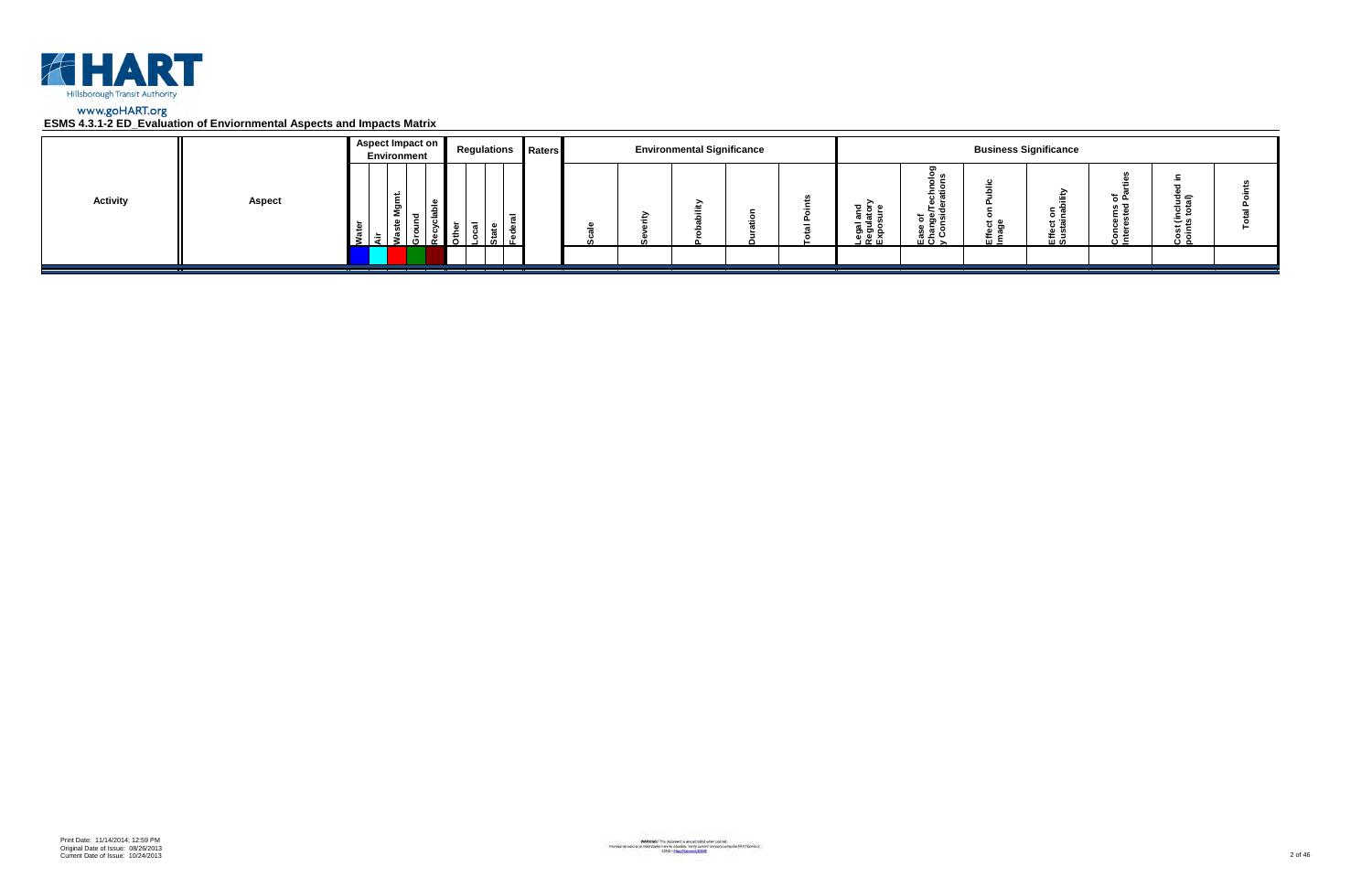

|                 |               | Aspect Impact on<br>Environment | <b>Regulations Raters</b> |  | <b>Environmental Significance</b> |  |                                                      |                                        |                      | <b>Business Significance</b> |                 |                         |  |
|-----------------|---------------|---------------------------------|---------------------------|--|-----------------------------------|--|------------------------------------------------------|----------------------------------------|----------------------|------------------------------|-----------------|-------------------------|--|
| <b>Activity</b> | <b>Aspect</b> | ۔ س<br>ទី<br>- 63               |                           |  |                                   |  | <u>ដូ ទ្ទី</u> ≦<br>క్లె క్లె క్ల<br><u>ា ចូ ក្ដ</u> | ಕ ಹಿ ತ<br><u>ہ ڇ</u> ۽<br>ن ≃ ؛<br>ᄪᅙᆾ | <del>ם</del> כ<br>๛゠ | $\circ$ $\circ$<br>로일        | ته <del>ہ</del> | ত্≘<br>، ت<br>×≂<br>ة ن |  |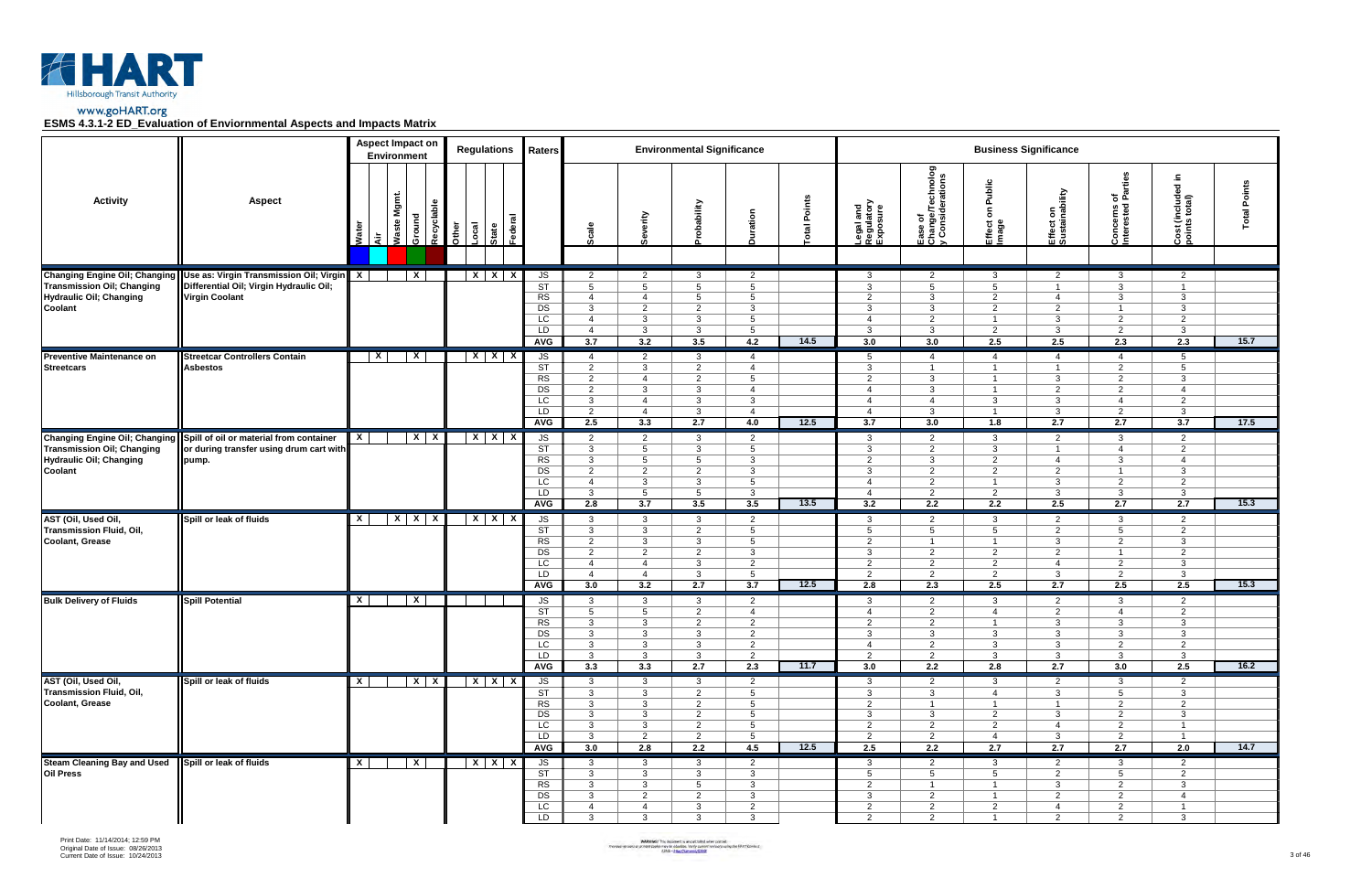

|                                                                           |                                                                                                                                                   |                           | <b>Aspect Impact on</b><br>Environment |                     | <b>Regulations</b>               | Raters                                                              |                                                                                                               |                                                                                                           | <b>Environmental Significance</b>                                                                |                                                                                                                   |               |                                                                                                   |                                                                                                  |                                                                                                               | <b>Business Significance</b>                                                                     |                                                                                                    |                                                                                                |                 |
|---------------------------------------------------------------------------|---------------------------------------------------------------------------------------------------------------------------------------------------|---------------------------|----------------------------------------|---------------------|----------------------------------|---------------------------------------------------------------------|---------------------------------------------------------------------------------------------------------------|-----------------------------------------------------------------------------------------------------------|--------------------------------------------------------------------------------------------------|-------------------------------------------------------------------------------------------------------------------|---------------|---------------------------------------------------------------------------------------------------|--------------------------------------------------------------------------------------------------|---------------------------------------------------------------------------------------------------------------|--------------------------------------------------------------------------------------------------|----------------------------------------------------------------------------------------------------|------------------------------------------------------------------------------------------------|-----------------|
| <b>Activity</b>                                                           | <b>Aspect</b>                                                                                                                                     | ក្ខី<br>दॅ                | Waste Mgmt.<br>Ground                  | Recyclable<br>Other | Federal<br>Local<br><b>State</b> |                                                                     | Scale                                                                                                         | Severity                                                                                                  | <b>obability</b>                                                                                 | Duration                                                                                                          | Points<br>ota | Legal and<br>Regulatory<br>Exposure                                                               | Ease of<br>Change/Technolog<br>y Considerations                                                  | Public<br>$\mathbf{s}$<br>Effect<br>Image                                                                     | Effect on<br>Sustainability                                                                      | of<br>Parties<br>Concerns o                                                                        | Ξ.<br>Cost (included i<br>points total)                                                        | Points<br>Total |
| <b>Transmission Oil; Changing</b><br>Hydraulic Oil; Changing<br>Coolant   | Changing Engine Oil; Changing   Use as: Virgin Transmission Oil; Virgin   X  <br>Differential Oil; Virgin Hydraulic Oil;<br><b>Virgin Coolant</b> |                           | $\mathbf{x}$                           |                     | $X$ $X$ $X$                      | JS<br>$\overline{\text{ST}}$<br>RS<br>DS<br>LC<br>LD<br><b>AVG</b>  | $\overline{2}$<br>5 <sup>5</sup><br>$\overline{4}$<br>$\mathbf{3}$<br>$\overline{4}$<br>$\overline{4}$<br>3.7 | $\overline{2}$<br>$5^{\circ}$<br>$\overline{4}$<br>$\overline{2}$<br>$\mathbf{3}$<br>$\mathbf{3}$<br>3.2  | 3<br>5<br>$5^{\circ}$<br>$\overline{2}$<br>3<br>$\mathbf{3}$<br>3.5                              | $\overline{2}$<br>$5\overline{5}$<br>$5\overline{)}$<br>$\mathbf{3}$<br>$5\overline{5}$<br>$5\overline{5}$<br>4.2 | 14.5          | 3<br>3<br>$\overline{2}$<br>3<br>4<br>3<br>3.0                                                    | $\overline{2}$<br>5<br>$\mathbf{3}$<br>3<br>2<br>$\mathbf{3}$<br>3.0                             | 3<br>5<br>$\overline{2}$<br>$\overline{2}$<br>- 1<br>$\overline{2}$<br>2.5                                    | $\overline{2}$<br>$\overline{1}$<br>$\overline{4}$<br>$\overline{2}$<br>3<br>$\mathbf{3}$<br>2.5 | 3<br>3<br>$\mathbf{3}$<br>$\overline{1}$<br>$\overline{2}$<br>$\overline{2}$<br>2.3                | $\overline{2}$<br>$\overline{1}$<br>$\mathbf{3}$<br>3<br>2<br>3<br>2.3                         | 15.7            |
| Preventive Maintenance on<br><b>Streetcars</b>                            | <b>Streetcar Controllers Contain</b><br><b>Asbestos</b>                                                                                           | $\boldsymbol{\mathsf{x}}$ | $\boldsymbol{\mathsf{x}}$              |                     | $X$ $X$ $X$                      | JS<br>ST<br>RS<br>DS<br>LC<br>LD<br><b>AVG</b>                      | $\overline{4}$<br>$\overline{2}$<br>$\overline{2}$<br>$\overline{2}$<br>3<br>2<br>2.5                         | $\overline{2}$<br>3<br>$\overline{4}$<br>3<br>$\overline{4}$<br>$\overline{4}$<br>3.3                     | $\mathbf{3}$<br>$\overline{2}$<br>2<br>3<br>$\mathbf{3}$<br>$\mathbf{3}$<br>2.7                  | $\overline{4}$<br>$\overline{4}$<br>$5\overline{5}$<br>$\overline{4}$<br>$\mathbf{3}$<br>$\overline{4}$<br>4.0    | 12.5          | $5\overline{)}$<br>$\mathbf{3}$<br>2<br>$\overline{4}$<br>$\overline{4}$<br>$\overline{4}$<br>3.7 | $\overline{4}$<br>$\overline{1}$<br>$\mathbf{3}$<br>3<br>$\overline{4}$<br>$\mathbf{3}$<br>3.0   | $\overline{4}$<br>$\overline{1}$<br>$\overline{1}$<br>$\overline{1}$<br>-3<br>$\overline{1}$<br>1.8           | $\overline{4}$<br>$\overline{1}$<br>$\mathbf{3}$<br>$\overline{2}$<br>3<br>$\mathbf{3}$<br>2.7   | $\overline{4}$<br>$\overline{2}$<br>$\overline{2}$<br>2<br>$\overline{4}$<br>$\overline{2}$<br>2.7 | 5<br>5<br>$\mathbf{3}$<br>$\overline{4}$<br>$\overline{2}$<br>$\mathbf{3}$<br>3.7              | 17.5            |
| <b>Transmission Oil; Changing</b><br>Hydraulic Oil; Changing<br>Coolant   | Changing Engine Oil; Changing   Spill of oil or material from container<br>or during transfer using drum cart with<br>pump.                       | $\mathbf{X}$              | $X$ $X$                                |                     | $X$ $X$ $X$                      | JS<br>$\overline{\text{ST}}$<br>RS<br>DS<br>LC<br>LD<br><b>AVG</b>  | $\overline{2}$<br>$\mathbf{3}$<br>$\mathbf{3}$<br>$\overline{2}$<br>$\overline{4}$<br>$\mathbf{3}$<br>2.8     | $\overline{2}$<br>5<br>5<br>$\overline{2}$<br>$\mathbf{3}$<br>$5\overline{5}$<br>3.7                      | $\mathbf{3}$<br>3<br>$5\overline{5}$<br>$\overline{2}$<br>$\mathbf{3}$<br>5<br>3.5               | $\overline{2}$<br>$5\overline{)}$<br>$\mathbf{3}$<br>$\mathbf{3}$<br>$5^{\circ}$<br>$\mathbf{3}$<br>3.5           | 13.5          | $\mathbf{3}$<br>$\mathbf{3}$<br>2<br>3<br>$\overline{4}$<br>$\overline{4}$<br>3.2                 | $\overline{2}$<br>$\overline{2}$<br>$\mathbf{3}$<br>$\overline{2}$<br>$\overline{2}$<br>2<br>2.2 | 3<br>-3<br>$\overline{2}$<br>2<br>$\overline{1}$<br>$\overline{2}$<br>2.2                                     | $\overline{2}$<br>$\overline{1}$<br>$\overline{4}$<br>$\overline{2}$<br>3<br>$\mathbf{3}$<br>2.5 | 3<br>$\overline{4}$<br>$\mathbf{3}$<br>$\overline{1}$<br>2<br>$\mathbf{3}$<br>2.7                  | $\overline{2}$<br>$\overline{2}$<br>$\overline{4}$<br>$\mathbf{3}$<br>2<br>$\mathbf{3}$<br>2.7 | 15.3            |
| AST (Oil, Used Oil,<br>Transmission Fluid, Oil,<br><b>Coolant, Grease</b> | Spill or leak of fluids                                                                                                                           | $\mathsf{x}$              | $X$ $X$ $X$                            |                     | $X$ $X$ $X$                      | JS<br>ST<br>RS<br>DS<br>LC<br>LD<br><b>AVG</b>                      | $\mathbf{3}$<br>$\mathbf{3}$<br>$\overline{2}$<br>$\overline{2}$<br>$\overline{4}$<br>$\overline{4}$<br>3.0   | $\mathbf{3}$<br>$\mathbf{3}$<br>$\mathbf{3}$<br>$\overline{2}$<br>$\overline{4}$<br>$\overline{4}$<br>3.2 | $\mathbf{3}$<br>$\overline{2}$<br>3<br>$\overline{2}$<br>3<br>3<br>2.7                           | $\overline{2}$<br>$5\overline{)}$<br>$5\overline{5}$<br>$\mathbf{3}$<br>$\overline{2}$<br>$5\overline{5}$<br>3.7  | 12.5          | $\mathbf{3}$<br>$5\phantom{.0}$<br>2<br>3<br>2<br>2<br>2.8                                        | 2<br>5<br>$\overline{1}$<br>$\overline{2}$<br>$\overline{2}$<br>$\overline{2}$<br>2.3            | -3<br>5<br>-1<br>$\overline{2}$<br>$\overline{2}$<br>$\overline{2}$<br>2.5                                    | $\overline{2}$<br>$\overline{2}$<br>3<br>2<br>$\overline{4}$<br>3<br>2.7                         | 3<br>5<br>$\overline{2}$<br>$\overline{1}$<br>$\overline{2}$<br>$\overline{2}$<br>2.5              | 2<br>2<br>$\mathbf{3}$<br>$\overline{2}$<br>$\mathbf{3}$<br>$\mathbf{3}$<br>2.5                | 15.3            |
| <b>Bulk Delivery of Fluids</b>                                            | <b>Spill Potential</b>                                                                                                                            | X.                        | $\overline{X}$                         |                     |                                  | JS<br><b>ST</b><br><b>RS</b><br><b>DS</b><br>LC<br>LD<br><b>AVG</b> | $\mathbf{3}$<br>5<br>$\mathbf{3}$<br>$\mathbf{3}$<br>$\mathbf{3}$<br>$\mathbf{3}$<br>3.3                      | $\mathbf{3}$<br>5<br>$\mathbf{3}$<br>$\mathbf{3}$<br>3<br>3<br>3.3                                        | $\mathbf{3}$<br>2<br>$\overline{2}$<br>3<br>3<br>3<br>2.7                                        | $\overline{2}$<br>$\overline{4}$<br>$\overline{2}$<br>$\overline{2}$<br>$\overline{2}$<br>$\overline{2}$<br>2.3   | 11.7          | $\mathbf{3}$<br>$\overline{4}$<br>2<br>$\mathbf{3}$<br>$\overline{4}$<br>2<br>3.0                 | 2<br>2<br>$\overline{2}$<br>$\mathbf{3}$<br>$\overline{2}$<br>$\overline{2}$<br>2.2              | -3<br>$\overline{4}$<br>$\overline{1}$<br>3<br>3<br>-3<br>2.8                                                 | $\overline{2}$<br>2<br>3<br>$\mathbf{3}$<br>3<br>3<br>2.7                                        | 3<br>$\overline{4}$<br>3<br>$\mathbf{3}$<br>$\overline{2}$<br>3<br>3.0                             | 2<br>2<br>$\mathbf{3}$<br>$\mathbf{3}$<br>2<br>$\mathbf{3}$<br>2.5                             | 16.2            |
| AST (Oil, Used Oil,<br>Transmission Fluid, Oil,<br><b>Coolant, Grease</b> | Spill or leak of fluids                                                                                                                           | $\mathbf{X}$              | $X$ $X$                                |                     | $X$ $X$ $X$                      | JS<br>ST<br>RS<br>DS<br>LC<br>LD<br>AVG                             | $\mathbf{3}$<br>$\mathbf{3}$<br>$\mathbf{3}$<br>$\mathbf{3}$<br>$\mathbf{3}$<br>$\mathbf{3}$<br>3.0           | $\mathbf{3}$<br>$\mathbf{3}$<br>$\mathbf{3}$<br>$\mathbf{3}$<br>3<br>$\overline{2}$<br>2.8                | $\mathbf{3}$<br>$\overline{2}$<br>2<br>$\overline{2}$<br>$\overline{2}$<br>$\overline{2}$<br>2.2 | $\overline{2}$<br>$5\overline{)}$<br>$5^{\circ}$<br>$5\overline{5}$<br>$5\overline{5}$<br>$5\overline{)}$<br>4.5  | 12.5          | 3<br>$\mathbf{3}$<br>2<br>3<br>2<br>$\overline{2}$<br>2.5                                         | 2<br>3<br>$\overline{1}$<br>3<br>2<br>$\overline{2}$<br>2.2                                      | $\mathbf{3}$<br>$\overline{4}$<br>$\overline{1}$<br>$\overline{2}$<br>$\overline{2}$<br>$\overline{4}$<br>2.7 | $\overline{2}$<br>3<br>$\overline{1}$<br>3<br>$\overline{4}$<br>3<br>2.7                         | 3<br>$5\overline{)}$<br>2<br>$\overline{2}$<br>2<br>$\overline{2}$<br>2.7                          | 2<br>$\mathbf{3}$<br>2<br>$\mathbf{3}$<br>$\overline{1}$<br>$\overline{1}$<br>2.0              | 14.7            |
| <b>Steam Cleaning Bay and Used</b><br><b>Oil Press</b>                    | Spill or leak of fluids                                                                                                                           | $\mathsf{X}$              | $\mathbf{x}$                           |                     | $X$ $X$ $X$                      | JS<br>ST<br>RS<br>DS<br>LC<br>LD                                    | $\mathbf{3}$<br>3 <sup>1</sup><br>$\mathbf{3}$<br>3<br>4<br>$\mathbf{3}$                                      | $\mathbf{3}$<br>$\mathbf{3}$<br>$\mathbf{3}$<br>$\overline{2}$<br>$\overline{4}$<br>$\mathbf{3}$          | $\mathbf{3}$<br>$\mathbf{3}$<br>5<br>$\overline{2}$<br>$\mathbf{3}$<br>$\mathbf{3}$              | $\overline{2}$<br>$\mathbf{3}$<br>$\mathbf{3}$<br>$\mathbf{3}$<br>$\overline{2}$<br>3 <sup>1</sup>                |               | 3<br>5<br>$\overline{2}$<br>3<br>$\overline{2}$<br>2                                              | $\overline{2}$<br>$5^{\circ}$<br>$\overline{1}$<br>$\overline{2}$<br>$\overline{2}$<br>2         | -3<br>5<br>$\overline{1}$<br>$\overline{1}$<br>$\overline{2}$<br>$\overline{1}$                               | $\overline{2}$<br>$\overline{2}$<br>3<br>$\overline{2}$<br>$\overline{4}$<br>2                   | 3<br>$5\overline{)}$<br>$\overline{2}$<br>$\overline{2}$<br>$\overline{2}$<br>2                    | $\overline{2}$<br>$\overline{2}$<br>$\mathbf{3}$<br>$\overline{4}$<br>$\overline{1}$<br>3      |                 |

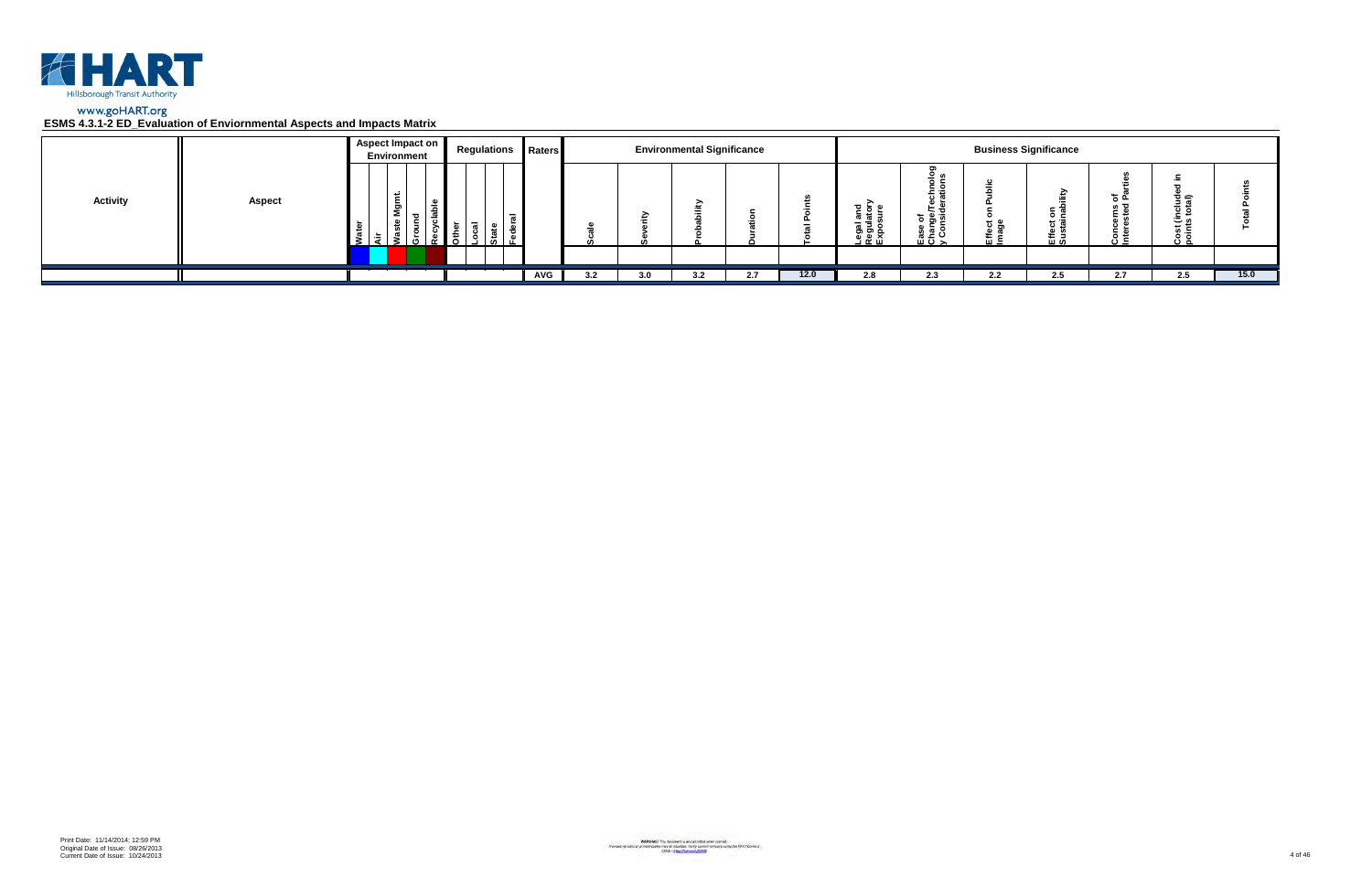

|                 |               | <b>Aspect Impact on</b> | <b>Environment</b>                 |  |                                  | <b>Regulations Raters</b> |     |     | <b>Environmental Significance</b> |     |      |                                                                                    |                                                       | <b>Business Significance</b> |                        |          |                                |      |
|-----------------|---------------|-------------------------|------------------------------------|--|----------------------------------|---------------------------|-----|-----|-----------------------------------|-----|------|------------------------------------------------------------------------------------|-------------------------------------------------------|------------------------------|------------------------|----------|--------------------------------|------|
| <b>Activity</b> | <b>Aspect</b> | .≒                      | ື<br>2<br>$\overline{\phantom{a}}$ |  | $\overline{\phantom{0}}$<br>۱Ó۱. |                           |     |     | ∽                                 |     |      | $\frac{1}{6}$ $\frac{1}{6}$ $\frac{1}{16}$<br><b>u</b><br>Legal<br>Regula<br>Expos | <u>—</u><br>.<br>ិ គឺ ច<br>ease<br>Chai<br>> <<br>> > |                              | ><br>οĉ<br><u> 또 알</u> | <u>.</u> | 흐슬<br>- -<br>م ڪ<br>" ≔<br>ه ب |      |
|                 |               |                         |                                    |  |                                  |                           |     |     |                                   |     |      |                                                                                    |                                                       |                              |                        |          |                                |      |
|                 |               |                         |                                    |  |                                  | AVG                       | 3.2 | 3.0 | 3.2                               | 2.7 | 12.0 | 2.8                                                                                | 2.3                                                   | 2.2                          | 2.5                    | 2.7      | 2.5                            | 15.0 |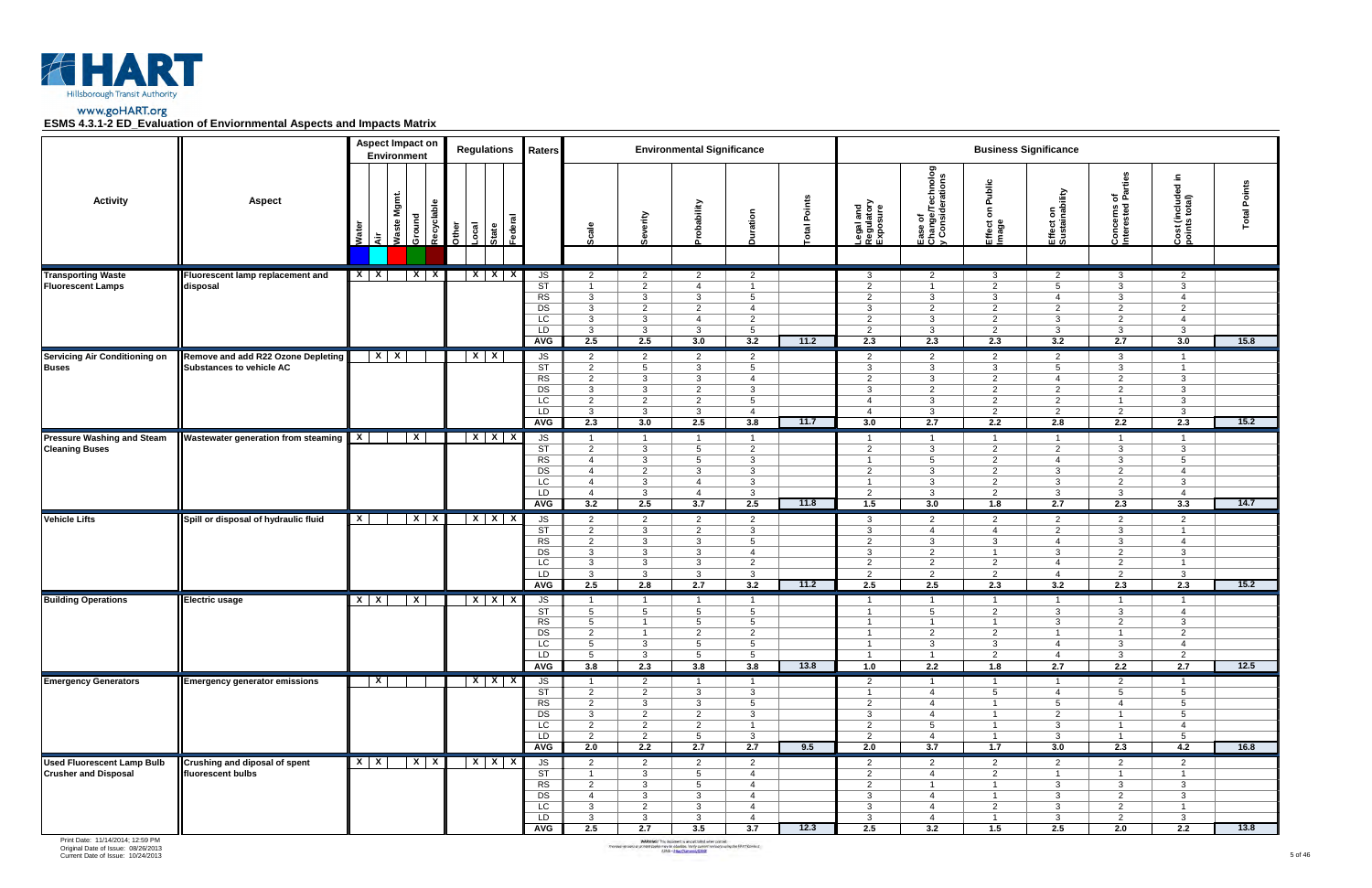

|                                                                  |                                                                       | <b>Aspect Impact on</b><br>Environment |                         |       | <b>Regulations</b>                   | Raters                                                                     |                                                                                                                 |                                                                                                               | <b>Environmental Significance</b>                                                                           |                                                                                                                 |             |                                                                                                             |                                                                                                                 |                                                                                                                 | <b>Business Significance</b>                                                                                  |                                                                                                                |                                                                                                            |                 |
|------------------------------------------------------------------|-----------------------------------------------------------------------|----------------------------------------|-------------------------|-------|--------------------------------------|----------------------------------------------------------------------------|-----------------------------------------------------------------------------------------------------------------|---------------------------------------------------------------------------------------------------------------|-------------------------------------------------------------------------------------------------------------|-----------------------------------------------------------------------------------------------------------------|-------------|-------------------------------------------------------------------------------------------------------------|-----------------------------------------------------------------------------------------------------------------|-----------------------------------------------------------------------------------------------------------------|---------------------------------------------------------------------------------------------------------------|----------------------------------------------------------------------------------------------------------------|------------------------------------------------------------------------------------------------------------|-----------------|
| <b>Activity</b>                                                  | <b>Aspect</b>                                                         | Mgmt.<br>Waste<br>Wate<br>दे           | Recyclable<br>Ground    | Other | ಕ<br>Local<br>Federa<br><b>State</b> |                                                                            | Scale                                                                                                           | Severity                                                                                                      | obability                                                                                                   | Duration                                                                                                        | otal Points | Legal and<br>Regulatory<br>Exposure                                                                         | Ease of<br>Change/Technolog<br>y Considerations                                                                 | Public<br>$\mathbf s$<br>Effect<br>Image                                                                        | Effect on<br>Sustainability                                                                                   | rrties<br>호 词<br>Concerns c<br>Interested I                                                                    | £.<br>ਰ<br>Cost (included<br>points total)                                                                 | Points<br>Total |
| <b>Transporting Waste</b><br><b>Fluorescent Lamps</b>            | Fluorescent lamp replacement and<br>disposal                          | $X \mid X$                             | $X \mid X$              |       | $X$ $X$ $X$                          | JS<br>ST<br>RS<br>DS<br>LC<br>LD<br><b>AVG</b>                             | $\overline{2}$<br>$\overline{1}$<br>$\mathbf{3}$<br>$\mathbf{3}$<br>$\mathbf{3}$<br>$\mathbf{3}$<br>2.5         | $\overline{2}$<br>$\overline{2}$<br>$\mathbf{3}$<br>$\overline{2}$<br>$\mathbf{3}$<br>$\mathbf{3}$<br>2.5     | $\overline{2}$<br>$\overline{4}$<br>$\mathbf{3}$<br>$\overline{2}$<br>$\overline{4}$<br>$\mathbf{3}$<br>3.0 | $\overline{2}$<br>$\overline{1}$<br>$5^{\circ}$<br>$\overline{4}$<br>$\overline{2}$<br>$5\overline{5}$<br>3.2   | 11.2        | 3<br>2<br>2<br>3<br>2<br>2<br>2.3                                                                           | $\overline{2}$<br>$\overline{1}$<br>$\mathbf{3}$<br>$\overline{2}$<br>3<br>$\mathbf{3}$<br>2.3                  | $\mathbf{3}$<br>$\overline{2}$<br>3<br>$\overline{2}$<br>2<br>2<br>2.3                                          | $\overline{2}$<br>$5^{\circ}$<br>$\overline{4}$<br>$\overline{2}$<br>$\mathbf{3}$<br>$\mathbf{3}$<br>3.2      | 3<br>$\mathbf{3}$<br>$\mathbf{3}$<br>$\overline{2}$<br>$\overline{2}$<br>$\mathbf{3}$<br>2.7                   | $\overline{2}$<br>$\mathbf{3}$<br>$\overline{4}$<br>2<br>$\overline{4}$<br>$\mathbf{3}$<br>3.0             | 15.8            |
| <b>Servicing Air Conditioning on</b><br><b>Buses</b>             | Remove and add R22 Ozone Depleting<br><b>Substances to vehicle AC</b> | $X$ $X$                                |                         |       | $X$ $X$                              | JS<br>ST<br>RS<br>DS<br>LC<br>LD<br><b>AVG</b>                             | $\overline{2}$<br>$\overline{2}$<br>$\overline{2}$<br>$\mathbf{3}$<br>$\overline{2}$<br>$\mathbf{3}$<br>2.3     | $\overline{2}$<br>$5\overline{)}$<br>$\mathbf{3}$<br>3<br>$\overline{2}$<br>$\mathbf{3}$<br>3.0               | $\overline{2}$<br>$\mathbf{3}$<br>3<br>$\overline{2}$<br>$\overline{2}$<br>$\mathbf{3}$<br>2.5              | $\overline{2}$<br>$5\overline{5}$<br>$\overline{4}$<br>$\mathbf{3}$<br>$5^{\circ}$<br>$\overline{4}$<br>3.8     | 11.7        | $\overline{2}$<br>$\mathbf{3}$<br>2<br>3<br>$\overline{4}$<br>$\overline{4}$<br>3.0                         | $\overline{2}$<br>$\mathbf{3}$<br>$\mathbf{3}$<br>2<br>$\mathbf{3}$<br>$\mathbf{3}$<br>2.7                      | $\overline{2}$<br>3<br>$\overline{2}$<br>2<br>2<br>$\overline{2}$<br>2.2                                        | $\overline{2}$<br>$5^{\circ}$<br>$\overline{4}$<br>$\overline{2}$<br>2<br>2<br>2.8                            | $\mathbf{3}$<br>3<br>$\overline{2}$<br>$\overline{2}$<br>$\overline{1}$<br>2<br>2.2                            | $\mathbf{1}$<br>$\mathbf{1}$<br>$\mathbf{3}$<br>$\mathbf{3}$<br>$\mathbf{3}$<br>$\mathbf{3}$<br>2.3        | 15.2            |
| <b>Pressure Washing and Steam</b><br><b>Cleaning Buses</b>       | Wastewater generation from steaming                                   | $\mathbf{X}$                           | $\overline{\mathbf{x}}$ |       | $X$ $X$ $X$                          | $\sqrt{S}$<br>$\overline{\text{ST}}$<br><b>RS</b><br>DS<br>LC<br>LD<br>AVG | $\overline{1}$<br>$\overline{2}$<br>$\overline{4}$<br>$\overline{4}$<br>$\overline{4}$<br>$\overline{4}$<br>3.2 | $\overline{1}$<br>$\mathbf{3}$<br>3<br>$\overline{2}$<br>3<br>$\mathbf{3}$<br>2.5                             | $\overline{1}$<br>$5\overline{5}$<br>$5\overline{5}$<br>3<br>$\overline{4}$<br>$\overline{4}$<br>3.7        | $\overline{1}$<br>$\overline{2}$<br>$\mathbf{3}$<br>$\mathbf{3}$<br>$\mathbf{3}$<br>$\mathbf{3}$<br>2.5         | 11.8        | $\overline{1}$<br>$\overline{2}$<br>$\overline{1}$<br>2<br>$\overline{1}$<br>2<br>1.5                       | $\overline{1}$<br>$\mathbf{3}$<br>5<br>3<br>$\mathbf{3}$<br>$\mathbf{3}$<br>3.0                                 | $\overline{1}$<br>$\overline{2}$<br>$\overline{2}$<br>2<br>2<br>$\overline{2}$<br>1.8                           | $\overline{1}$<br>$\overline{2}$<br>$\overline{4}$<br>$\mathbf{3}$<br>3<br>$\mathbf{3}$<br>2.7                | $\overline{1}$<br>$\mathbf{3}$<br>3<br>$\overline{2}$<br>$\overline{2}$<br>$\mathbf{3}$<br>2.3                 | $\overline{1}$<br>$\mathbf{3}$<br>5<br>$\overline{4}$<br>$\mathbf{3}$<br>$\overline{4}$<br>3.3             | 14.7            |
| <b>Vehicle Lifts</b>                                             | Spill or disposal of hydraulic fluid                                  | $\overline{\mathbf{x}}$                | $X$ $X$                 |       | $X$ $X$ $X$                          | JS<br>ST<br>RS<br>DS<br>LC<br>LD<br><b>AVG</b>                             | $\overline{2}$<br>$\overline{2}$<br>$\overline{2}$<br>$\mathbf{3}$<br>$\mathbf{3}$<br>$\mathbf{3}$<br>2.5       | $\overline{2}$<br>$\mathbf{3}$<br>$\mathbf{3}$<br>$\mathbf{3}$<br>$\mathbf{3}$<br>$\mathbf{3}$<br>2.8         | 2<br>$\overline{2}$<br>$\mathbf{3}$<br>$\mathbf{3}$<br>3<br>$\mathbf{3}$<br>2.7                             | $\overline{2}$<br>$\mathbf{3}$<br>$5^{\circ}$<br>$\overline{4}$<br>$\overline{2}$<br>$\mathbf{3}$<br>3.2        | 11.2        | $\mathbf{3}$<br>$\mathbf{3}$<br>2<br>$\mathbf{3}$<br>2<br>2<br>2.5                                          | $\overline{2}$<br>$\overline{4}$<br>$\mathbf{3}$<br>2<br>$\overline{2}$<br>$\overline{2}$<br>2.5                | $\overline{2}$<br>$\overline{4}$<br>3<br>$\overline{1}$<br>$\overline{2}$<br>$\overline{2}$<br>$\overline{2.3}$ | $\overline{2}$<br>$\overline{2}$<br>$\overline{4}$<br>$\mathbf{3}$<br>$\overline{4}$<br>$\overline{4}$<br>3.2 | $\overline{2}$<br>$\mathbf{3}$<br>3<br>$\overline{2}$<br>$\overline{2}$<br>$\overline{2}$<br>2.3               | 2<br>$\overline{1}$<br>$\overline{4}$<br>$\mathbf{3}$<br>$\mathbf{1}$<br>$\mathbf{3}$<br>2.3               | 15.2            |
| <b>Building Operations</b>                                       | <b>Electric usage</b>                                                 | $X$ $X$                                | $\mathsf{X}$            |       | $X$ $X$ $X$                          | JS<br><b>ST</b><br><b>RS</b><br>DS<br>$\overline{LC}$<br>LD<br>AVG         | $\mathbf{1}$<br>$5\overline{)}$<br>$5^{\circ}$<br>$\overline{2}$<br>$5\overline{5}$<br>$5\overline{)}$<br>3.8   | $\overline{1}$<br>$5\overline{)}$<br>$\overline{1}$<br>$\mathbf{1}$<br>3<br>$\mathbf{3}$<br>2.3               | $\overline{1}$<br>5<br>$5^{\circ}$<br>$\overline{2}$<br>$5^{\circ}$<br>$5\overline{5}$<br>3.8               | - 1<br>$5^{\circ}$<br>$5^{\circ}$<br>$\overline{2}$<br>5<br>$5\overline{5}$<br>3.8                              | 13.8        | $\overline{1}$<br>$\mathbf{1}$<br>$\overline{1}$<br>$\mathbf{1}$<br>$\overline{1}$<br>$\overline{1}$<br>1.0 | $\blacksquare$<br>5<br>$\overline{1}$<br>$\overline{2}$<br>3<br>$\overline{1}$<br>2.2                           | - 1<br>$\overline{2}$<br>$\overline{1}$<br>$\overline{2}$<br>3<br>$\overline{2}$<br>1.8                         | $\overline{\mathbf{1}}$<br>3<br>3<br>$\mathbf{1}$<br>$\overline{4}$<br>$\overline{4}$<br>2.7                  | $\mathbf{1}$<br>3<br>$\overline{2}$<br>$\overline{1}$<br>$\mathbf{3}$<br>$\mathbf{3}$<br>2.2                   | $\mathbf 1$<br>$\overline{4}$<br>$\mathbf{3}$<br>$\overline{2}$<br>$\overline{4}$<br>$\overline{2}$<br>2.7 | 12.5            |
| <b>Emergency Generators</b>                                      | <b>Emergency generator emissions</b>                                  | $\overline{X}$                         |                         |       | $X$ $X$ $X$                          | JS<br>ST<br>RS<br>DS<br>LC<br>LD<br>AVG                                    | $\mathbf{1}$<br>$\overline{2}$<br>2<br>$\mathbf{3}$<br>$\overline{2}$<br>$\overline{2}$<br>2.0                  | $\overline{2}$<br>$\overline{2}$<br>$\mathbf{3}$<br>$\overline{2}$<br>$\overline{2}$<br>$\overline{2}$<br>2.2 | $\overline{1}$<br>$\mathbf{3}$<br>$\mathbf{3}$<br>2<br>$\overline{2}$<br>$5\overline{)}$<br>2.7             | $\overline{1}$<br>$\mathbf{3}$<br>$5\overline{5}$<br>$\mathbf{3}$<br>$\mathbf{1}$<br>$\mathbf{3}$<br>2.7        | 9.5         | 2<br>$\overline{1}$<br>$\overline{2}$<br>$\mathbf{3}$<br>$\overline{2}$<br>$\overline{2}$<br>2.0            | $\overline{4}$<br>$\overline{4}$<br>$\overline{4}$<br>5<br>$\overline{4}$<br>3.7                                | - 1<br>5<br>$\overline{1}$<br>$\overline{1}$<br>$\overline{1}$<br>$\overline{1}$<br>$\overline{1.7}$            | $\overline{1}$<br>$\overline{4}$<br>$5^{\circ}$<br>$\overline{2}$<br>3<br>$\mathbf{3}$<br>3.0                 | $\overline{2}$<br>$5\overline{5}$<br>$\overline{4}$<br>$\overline{1}$<br>$\mathbf{1}$<br>$\overline{1}$<br>2.3 | $5\overline{)}$<br>$5\overline{)}$<br>5<br>$\overline{4}$<br>5 <sup>5</sup><br>4.2                         | 16.8            |
| <b>Used Fluorescent Lamp Bulb</b><br><b>Crusher and Disposal</b> | Crushing and diposal of spent<br>fluorescent bulbs                    | $X$ $X$                                | $X$ $X$                 |       | $X$ $X$ $X$                          | JS<br>ST<br>RS<br>DS<br>LC<br>LD<br><b>AVG</b>                             | $\overline{2}$<br>$\overline{1}$<br>$\overline{2}$<br>$\overline{4}$<br>$\mathbf{3}$<br>$\mathbf{3}$<br>2.5     | $\overline{2}$<br>$\mathbf{3}$<br>$\mathbf{3}$<br>$\mathbf{3}$<br>$\overline{2}$<br>$\mathbf{3}$<br>2.7       | 2<br>$5^{\circ}$<br>$5\overline{)}$<br>$\mathbf{3}$<br>$\mathbf{3}$<br>$\mathbf{3}$<br>3.5                  | $\overline{2}$<br>$\overline{4}$<br>$\overline{4}$<br>$\overline{4}$<br>$\overline{4}$<br>$\overline{4}$<br>3.7 | 12.3        | $\overline{2}$<br>$\overline{2}$<br>$\overline{2}$<br>3<br>$\mathbf{3}$<br>$\mathbf{3}$<br>2.5              | $\overline{2}$<br>$\overline{4}$<br>$\overline{1}$<br>$\overline{4}$<br>$\overline{4}$<br>$\overline{4}$<br>3.2 | $\overline{2}$<br>2<br>$\overline{1}$<br>$\overline{1}$<br>$\overline{2}$<br>$\overline{1}$<br>1.5              | $\overline{2}$<br>$\overline{1}$<br>$\mathbf{3}$<br>$\mathbf{3}$<br>$\mathbf{3}$<br>$\mathbf{3}$<br>2.5       | $\overline{2}$<br>$\overline{1}$<br>$\mathbf{3}$<br>$\overline{2}$<br>$\overline{2}$<br>$\overline{2}$<br>2.0  | $\overline{2}$<br>$\overline{1}$<br>$\mathbf{3}$<br>$\mathbf{3}$<br>$\mathbf{1}$<br>$\mathbf{3}$<br>2.2    | 13.8            |

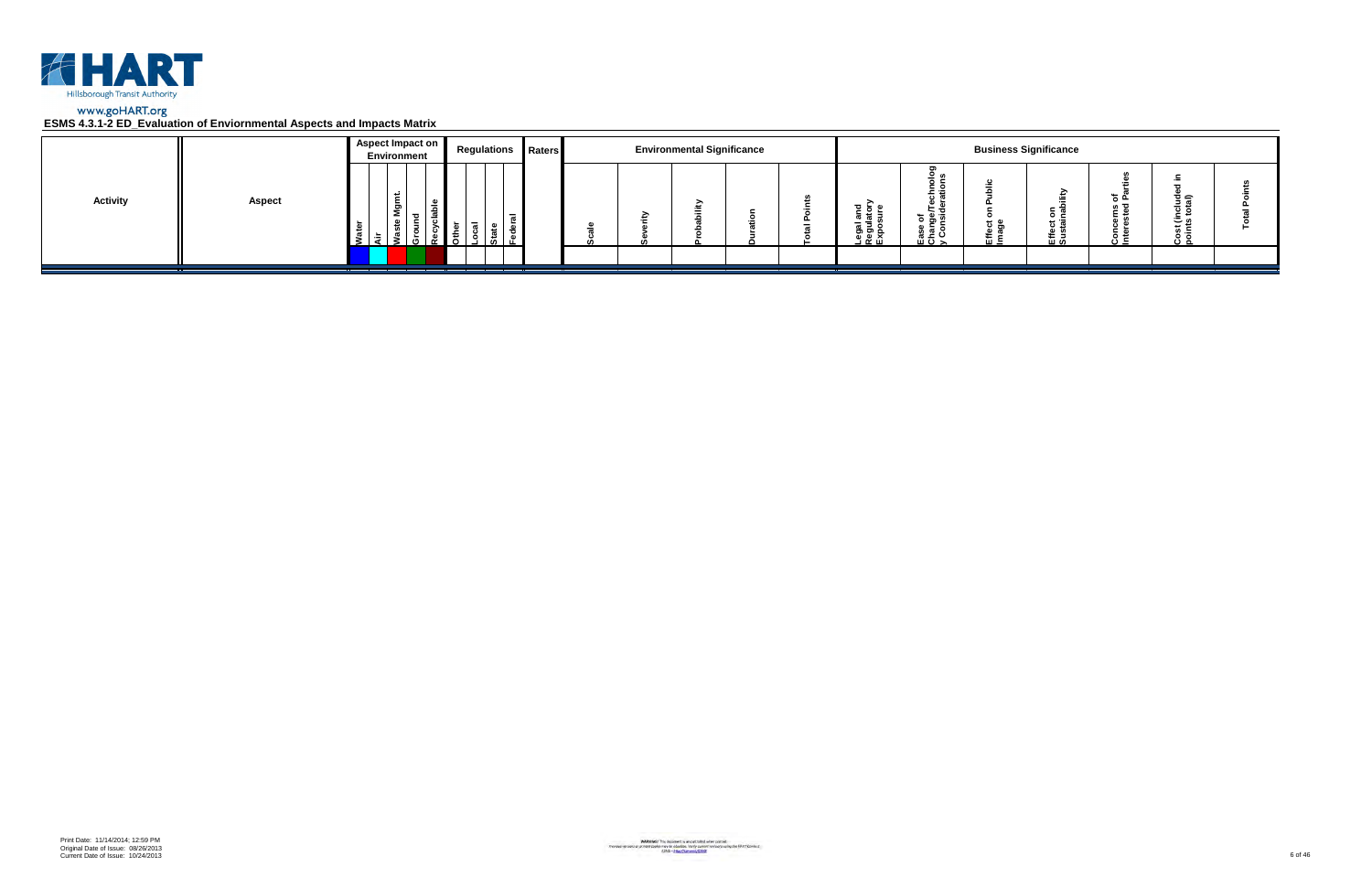

|                 |               | Aspect Impact on<br>Environment | <b>Regulations Raters</b> |  | <b>Environmental Significance</b> |  |                                                      |                                        |                      | <b>Business Significance</b> |                 |                         |  |
|-----------------|---------------|---------------------------------|---------------------------|--|-----------------------------------|--|------------------------------------------------------|----------------------------------------|----------------------|------------------------------|-----------------|-------------------------|--|
| <b>Activity</b> | <b>Aspect</b> | ۔ س<br>ទី<br>- 63               |                           |  |                                   |  | <u>ដូ ទ្ទី</u> ≦<br>క్లె క్లె క్ల<br><u>ា ចូ ក្ដ</u> | ಕ ಹಿ ತ<br><u>ہ ڇ</u> ۽<br>ن ≃ ؛<br>ᄪᅙᆾ | <del>ם</del> כ<br>๛゠ | $\circ$ $\circ$<br>로일        | ته <del>ہ</del> | ত্≘<br>، ت<br>×≂<br>ة ن |  |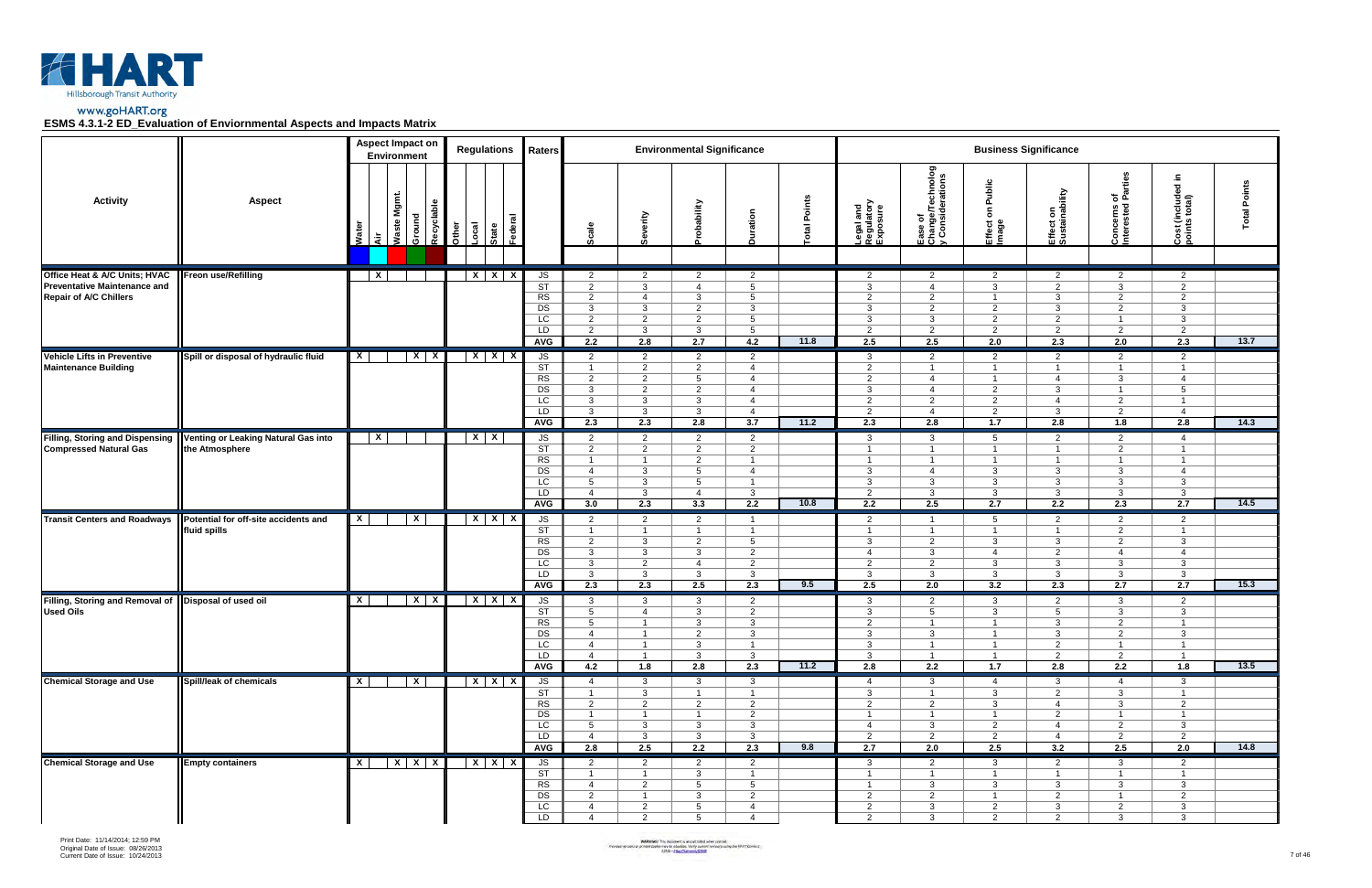



|                                                                                                       |                                                       |                         | <b>Aspect Impact on</b><br>Environment |                      |       | <b>Regulations</b>                   | Raters                                                             |                                                                                                                    |                                                                                                             | <b>Environmental Significance</b>                                                                |                                                                                                                 |             |                                                                                                               |                                                                                                    |                                                                                                  | <b>Business Significance</b>                                                                                  |                                                                                                    |                                                                                                    |                 |
|-------------------------------------------------------------------------------------------------------|-------------------------------------------------------|-------------------------|----------------------------------------|----------------------|-------|--------------------------------------|--------------------------------------------------------------------|--------------------------------------------------------------------------------------------------------------------|-------------------------------------------------------------------------------------------------------------|--------------------------------------------------------------------------------------------------|-----------------------------------------------------------------------------------------------------------------|-------------|---------------------------------------------------------------------------------------------------------------|----------------------------------------------------------------------------------------------------|--------------------------------------------------------------------------------------------------|---------------------------------------------------------------------------------------------------------------|----------------------------------------------------------------------------------------------------|----------------------------------------------------------------------------------------------------|-----------------|
| <b>Activity</b>                                                                                       | <b>Aspect</b>                                         | Wate<br>दे              | Mgmt.<br>Waste                         | Recyclable<br>Ground | Other | ಕ<br>Local<br>Federa<br><b>State</b> |                                                                    | Scale                                                                                                              | Severity                                                                                                    | obability                                                                                        | Duration                                                                                                        | otal Points | Legal and<br>Regulatory<br>Exposure                                                                           | Ease of<br>Change/Technolog<br>y Considerations                                                    | Public<br>$\mathsf{s}$<br>Effect<br>Image                                                        | Effect on<br>Sustainability                                                                                   | arties<br>ួ ច្ច<br>Concerns c<br>Interested I                                                      | $\equiv$<br>$\overline{\phantom{a}}$<br>Cost (included<br>points total)                            | Points<br>Total |
| Office Heat & A/C Units; HVAC<br><b>Preventative Maintenance and</b><br><b>Repair of A/C Chillers</b> | <b>Freon use/Refilling</b>                            | $\overline{\mathbf{x}}$ |                                        |                      |       | $X$ $X$ $X$                          | JS<br>$\overline{\text{ST}}$<br>RS<br>DS<br>LC<br>LD<br><b>AVG</b> | $\overline{2}$<br>$\overline{2}$<br>$\overline{2}$<br>$\mathbf{3}$<br>$\overline{2}$<br>$\overline{2}$<br>2.2      | $\overline{2}$<br>3<br>$\overline{4}$<br>3<br>$\overline{2}$<br>$\mathbf{3}$<br>2.8                         | $\overline{2}$<br>$\overline{4}$<br>3<br>$\overline{2}$<br>$\overline{2}$<br>$\mathbf{3}$<br>2.7 | $\overline{2}$<br>$5\overline{)}$<br>$5\overline{)}$<br>3<br>$5^{\circ}$<br>$5\overline{)}$<br>4.2              | 11.8        | $\overline{2}$<br>$\mathbf{3}$<br>$\overline{2}$<br>3<br>3<br>2<br>2.5                                        | $\overline{2}$<br>$\overline{4}$<br>$\overline{2}$<br>2<br>3<br>2<br>2.5                           | $\overline{2}$<br>3<br>$\overline{1}$<br>$\overline{2}$<br>2<br>2<br>2.0                         | $\overline{2}$<br>2<br>3<br>3<br>$\overline{2}$<br>$\overline{2}$<br>2.3                                      | $\overline{2}$<br>$\mathbf{3}$<br>$\overline{2}$<br>2<br>$\overline{1}$<br>$\overline{2}$<br>2.0   | $\overline{2}$<br>2<br>2<br>3<br>$\mathbf{3}$<br>$\overline{2}$<br>2.3                             | 13.7            |
| <b>Vehicle Lifts in Preventive</b><br><b>Maintenance Building</b>                                     | Spill or disposal of hydraulic fluid                  | $\mathsf{x}$            |                                        | $X$ $X$              |       | $X$ $X$ $X$                          | JS<br>ST<br>RS<br>DS<br>LC<br>LD<br><b>AVG</b>                     | $\overline{2}$<br>$\overline{1}$<br>$\overline{2}$<br>$\mathbf{3}$<br>$\mathbf{3}$<br>$\mathbf{3}$<br>2.3          | $\overline{2}$<br>$\overline{2}$<br>$\overline{2}$<br>$\overline{2}$<br>$\mathbf{3}$<br>$\mathbf{3}$<br>2.3 | 2<br>$\overline{2}$<br>$5^{\circ}$<br>$\overline{2}$<br>$\mathbf{3}$<br>$\mathbf{3}$<br>2.8      | $\overline{2}$<br>$\overline{4}$<br>$\overline{4}$<br>$\overline{4}$<br>$\overline{4}$<br>$\overline{4}$<br>3.7 | 11.2        | $\mathbf{3}$<br>$\overline{2}$<br>2<br>3<br>2<br>2<br>2.3                                                     | $\overline{2}$<br>$\overline{1}$<br>$\overline{4}$<br>$\overline{4}$<br>2<br>$\overline{4}$<br>2.8 | 2<br>$\overline{1}$<br>$\overline{1}$<br>$\overline{2}$<br>2<br>$\overline{2}$<br>1.7            | $\overline{2}$<br>$\overline{1}$<br>$\overline{4}$<br>3<br>$\overline{4}$<br>$\mathbf{3}$<br>2.8              | $\overline{2}$<br>$\overline{1}$<br>$\mathbf{3}$<br>$\overline{1}$<br>$\overline{2}$<br>2<br>1.8   | $\overline{2}$<br>$\overline{1}$<br>$\overline{4}$<br>5<br>$\overline{1}$<br>$\overline{4}$<br>2.8 | 14.3            |
| <b>Filling, Storing and Dispensing</b><br><b>Compressed Natural Gas</b>                               | Venting or Leaking Natural Gas into<br>the Atmosphere | $\mathbf{X}$            |                                        |                      |       | $X$ $X$                              | JS<br>$\overline{\text{ST}}$<br>RS<br>DS<br>LC<br>LD<br><b>AVG</b> | 2<br>$\overline{2}$<br>-1<br>$\overline{4}$<br>$5\overline{5}$<br>$\overline{4}$<br>3.0                            | $\overline{2}$<br>$\overline{2}$<br>$\overline{1}$<br>$\mathbf{3}$<br>3<br>3<br>2.3                         | 2<br>$\overline{2}$<br>$\overline{2}$<br>$5^{\circ}$<br>$5^{\circ}$<br>$\overline{4}$<br>3.3     | $\overline{2}$<br>$\overline{2}$<br>$\overline{1}$<br>$\overline{4}$<br>$\overline{1}$<br>$\mathbf{3}$<br>2.2   | 10.8        | 3<br>$\mathbf{1}$<br>$\mathbf{3}$<br>$\mathbf{3}$<br>2<br>2.2                                                 | 3<br>$\overline{1}$<br>- 1<br>$\overline{4}$<br>$\mathbf{3}$<br>$\mathbf{3}$<br>2.5                | 5<br>$\overline{1}$<br>- 1<br>$\mathbf{3}$<br>$\mathbf{3}$<br>$\mathbf{3}$<br>2.7                | 2<br>$\overline{1}$<br>$\overline{1}$<br>$\mathbf{3}$<br>$\mathbf{3}$<br>$\mathbf{3}$<br>$2.2$                | $\overline{2}$<br>$\overline{2}$<br>-1<br>$\mathbf{3}$<br>$\mathbf{3}$<br>$\mathbf{3}$<br>2.3      | 4<br>$\overline{1}$<br>$\overline{4}$<br>$\mathbf{3}$<br>$\mathbf{3}$<br>2.7                       | 14.5            |
| <b>Transit Centers and Roadways</b>                                                                   | Potential for off-site accidents and<br>fluid spills  | $\mathbf{x}$            |                                        | $\mathbf{x}$         |       | $X$ $X$ $X$                          | JS<br><b>ST</b><br>RS<br>DS<br>LC<br>LD<br><b>AVG</b>              | $\overline{2}$<br>$\mathbf{1}$<br>$\overline{2}$<br>$\mathbf{3}$<br>$\mathbf{3}$<br>$\mathbf{3}$<br>2.3            | $\overline{2}$<br>$\overline{1}$<br>$\mathbf{3}$<br>$\mathbf{3}$<br>$\overline{2}$<br>$\mathbf{3}$<br>2.3   | $\overline{2}$<br>-1<br>$\overline{2}$<br>$\mathbf{3}$<br>$\overline{4}$<br>$\mathbf{3}$<br>2.5  | $\overline{1}$<br>$\overline{1}$<br>$5\overline{5}$<br>$\overline{2}$<br>$\overline{2}$<br>$\mathbf{3}$<br>2.3  | 9.5         | 2<br>$\mathbf 1$<br>3<br>$\overline{4}$<br>2<br>3<br>2.5                                                      | $\overline{1}$<br>$\overline{1}$<br>2<br>$\mathbf{3}$<br>$\overline{2}$<br>$\mathbf{3}$<br>2.0     | 5<br>$\overline{1}$<br>-3<br>$\overline{4}$<br>-3<br>3<br>3.2                                    | $\overline{2}$<br>$\overline{1}$<br>3<br>$\overline{2}$<br>3<br>3<br>2.3                                      | $\overline{2}$<br>$\overline{2}$<br>2<br>$\overline{4}$<br>3<br>3<br>2.7                           | 2<br>$\overline{1}$<br>$\mathbf{3}$<br>$\overline{4}$<br>$\mathbf{3}$<br>3<br>2.7                  | 15.3            |
| Filling, Storing and Removal of<br><b>Used Oils</b>                                                   | Disposal of used oil                                  | $\mathsf{X}$            |                                        | $X$ $X$              |       | $X$ $X$ $X$                          | JS<br><b>ST</b><br><b>RS</b><br>DS<br>$\overline{LC}$<br>LD<br>AVG | 3<br>$5^{\circ}$<br>$5^{\circ}$<br>4<br>$\overline{4}$<br>$\overline{4}$<br>4.2                                    | $\mathbf{3}$<br>$\overline{4}$<br>$\overline{1}$<br>$\mathbf{1}$<br>$\overline{1}$<br>$\overline{1}$<br>1.8 | $\mathbf{3}$<br>3<br>3<br>$\overline{2}$<br>3<br>$\mathbf{3}$<br>2.8                             | $\overline{2}$<br>$\overline{2}$<br>$\mathbf{3}$<br>$\mathbf{3}$<br>$\overline{1}$<br>3 <sup>1</sup><br>2.3     | 11.2        | 3<br>3<br>2<br>$\mathbf{3}$<br>3<br>$\mathbf{3}$<br>2.8                                                       | $\overline{2}$<br>5<br>$\overline{1}$<br>$\mathbf{3}$<br>$\overline{1}$<br>2.2                     | -3<br>-3<br>$\overline{1}$<br>$\overline{1}$<br>$\overline{1}$<br>$\overline{1}$<br>1.7          | $\overline{2}$<br>$5^{\circ}$<br>3<br>3<br>2<br>$\overline{2}$<br>2.8                                         | 3<br>3<br>2<br>$\overline{2}$<br>$\overline{1}$<br>$\overline{2}$<br>2.2                           | 2<br>$\mathbf{3}$<br>$\mathbf{1}$<br>$\mathbf{3}$<br>$\mathbf{1}$<br>1.8                           | 13.5            |
| <b>Chemical Storage and Use</b>                                                                       | Spill/leak of chemicals                               | $\mathbf{X}$            |                                        | $\mathbf{x}$         |       | $X$ $X$ $X$                          | JS<br>$\overline{\text{ST}}$<br>RS<br>DS<br>LC<br>LD<br>AVG        | $\overline{4}$<br>$\overline{1}$<br>$\overline{2}$<br>$\overline{1}$<br>$5\overline{)}$<br>$\overline{4}$<br>2.8   | $\mathbf{3}$<br>$\mathbf{3}$<br>$\overline{2}$<br>$\overline{1}$<br>$\mathbf{3}$<br>$\mathbf{3}$<br>2.5     | $\mathbf{3}$<br>$\overline{1}$<br>$\overline{2}$<br>$\overline{1}$<br>3<br>$\mathbf{3}$<br>2.2   | $\mathbf{3}$<br>$\overline{1}$<br>$\overline{2}$<br>2<br>3 <sup>1</sup><br>$\mathbf{3}$<br>2.3                  | 9.8         | $\overline{4}$<br>$\mathbf{3}$<br>$\overline{2}$<br>$\overline{1}$<br>$\overline{4}$<br>$\overline{2}$<br>2.7 | 3<br>$\overline{1}$<br>$\overline{2}$<br>$\overline{1}$<br>$\mathbf{3}$<br>$\overline{2}$<br>2.0   | $\overline{4}$<br>$\mathbf{3}$<br>3<br>$\overline{1}$<br>$\overline{2}$<br>$\overline{2}$<br>2.5 | $\mathbf{3}$<br>$\overline{2}$<br>$\overline{4}$<br>$\overline{2}$<br>$\overline{4}$<br>$\overline{4}$<br>3.2 | $\overline{4}$<br>$\mathbf{3}$<br>3<br>$\overline{1}$<br>$\overline{2}$<br>$\overline{2}$<br>2.5   | $\mathbf{3}$<br>$\overline{1}$<br>$\overline{2}$<br>$\overline{1}$<br>$\mathbf{3}$<br>2<br>2.0     | 14.8            |
| <b>Chemical Storage and Use</b>                                                                       | <b>Empty containers</b>                               | $\mathbf{x}$            |                                        | $X$ $X$ $X$          |       | $X$ $X$ $X$                          | JS<br>ST<br>RS<br>DS<br>$\overline{LC}$<br>LD                      | $\overline{2}$<br>$\overline{1}$<br>$\overline{4}$<br>$\overline{2}$<br>$\overline{4}$<br>$\overline{\mathcal{A}}$ | $\overline{2}$<br>$\overline{1}$<br>$\overline{2}$<br>$\overline{1}$<br>$\overline{2}$<br>$\overline{2}$    | 2<br>$\mathbf{3}$<br>$5\overline{)}$<br>3<br>$5\overline{)}$<br>$5^{\circ}$                      | $\overline{2}$<br>$\overline{1}$<br>$5^{\circ}$<br>$\overline{2}$<br>$\overline{4}$<br>$\overline{4}$           |             | $\mathbf{3}$<br>$\overline{1}$<br>$\overline{1}$<br>$\overline{2}$<br>$\overline{2}$<br>2                     | $\overline{2}$<br>$\overline{1}$<br>$\mathbf{3}$<br>$\overline{2}$<br>$\mathbf{3}$<br>$\mathbf{3}$ | $\mathbf{3}$<br>$\overline{1}$<br>$\mathbf{3}$<br>$\overline{1}$<br>$\overline{2}$<br>2          | $\overline{2}$<br>$\overline{1}$<br>$\mathbf{3}$<br>$\overline{2}$<br>$\mathbf{3}$<br>2                       | $\mathbf{3}$<br>$\overline{1}$<br>$\mathbf{3}$<br>$\overline{1}$<br>$\overline{2}$<br>$\mathbf{3}$ | $\overline{2}$<br>$\overline{1}$<br>$\mathbf{3}$<br>$\overline{2}$<br>$\mathbf{3}$<br>$\mathbf{3}$ |                 |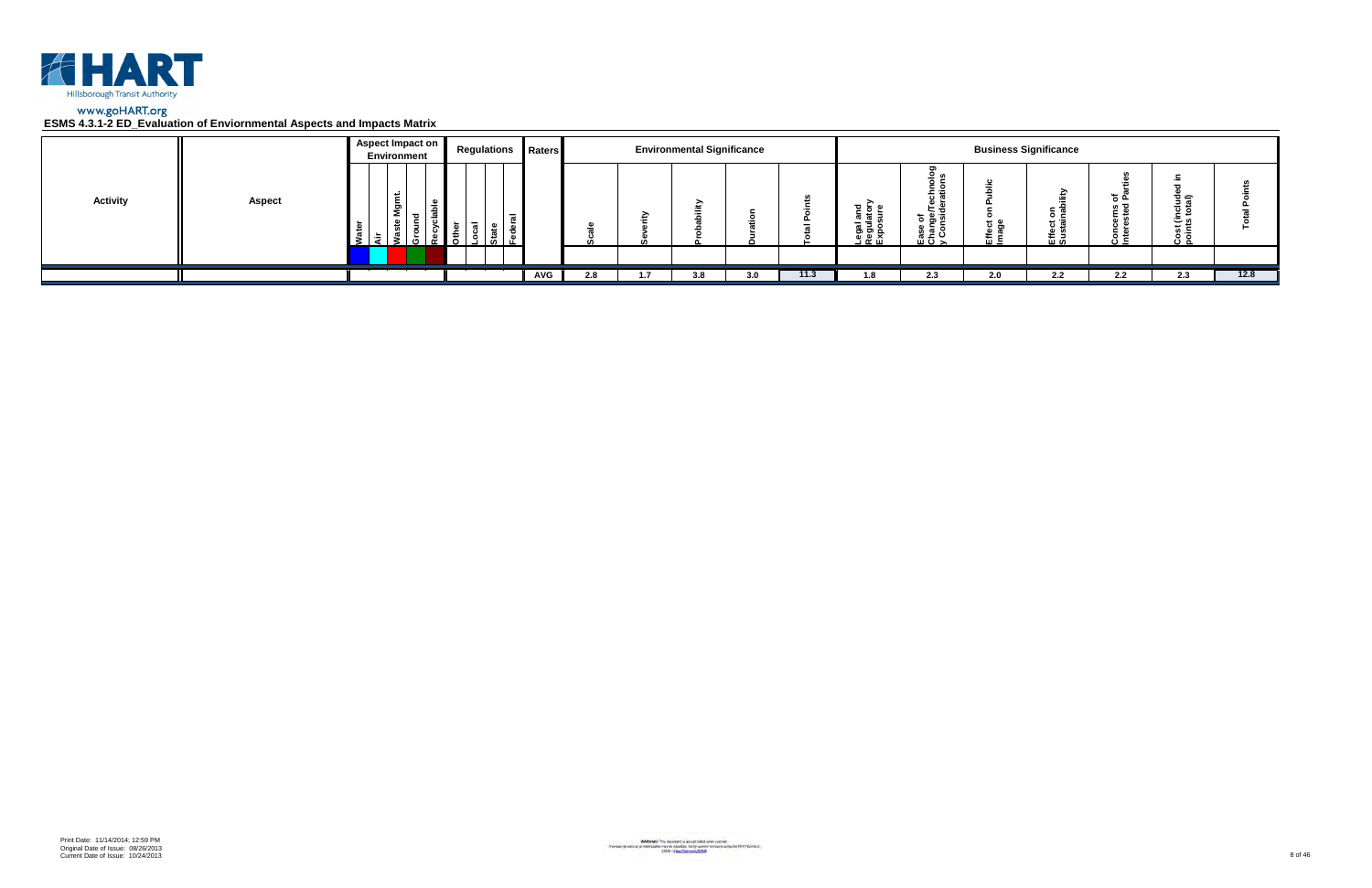

|                 |               | <b>Aspect Impact on</b> | <b>Environment</b> |                          |      |                          | <b>Regulations Raters</b> |     |     | <b>Environmental Significance</b> |     |      |                                                                                   |                                                | <b>Business Significance</b> |                        |          |                         |      |
|-----------------|---------------|-------------------------|--------------------|--------------------------|------|--------------------------|---------------------------|-----|-----|-----------------------------------|-----|------|-----------------------------------------------------------------------------------|------------------------------------------------|------------------------------|------------------------|----------|-------------------------|------|
| <b>Activity</b> | <b>Aspect</b> | -5                      | ື                  | $\overline{\phantom{a}}$ | ۱Ó۱. | $\overline{\phantom{0}}$ |                           |     |     | ∽                                 |     |      | $\frac{1}{6}$ $\frac{1}{6}$ $\frac{1}{16}$<br><b>u</b><br>Legal<br>Regul<br>Expos | -<br>.<br>ិ គឺ ច<br>ease<br>Chai<br>> <<br>> > |                              | ><br>οĉ<br><u> 또 알</u> | <u>.</u> | 흐슬<br>ە ت<br>" –<br>ه ب |      |
|                 |               |                         |                    |                          |      |                          |                           |     |     |                                   |     |      |                                                                                   |                                                |                              |                        |          |                         |      |
|                 |               |                         |                    |                          |      |                          | AVG                       | 2.8 | 1.7 | 3.8                               | 3.0 | 11.3 | 1.8                                                                               | 2.3                                            | 2.0                          | $2.2^{\circ}$          | 2.2      | 2.3                     | 12.8 |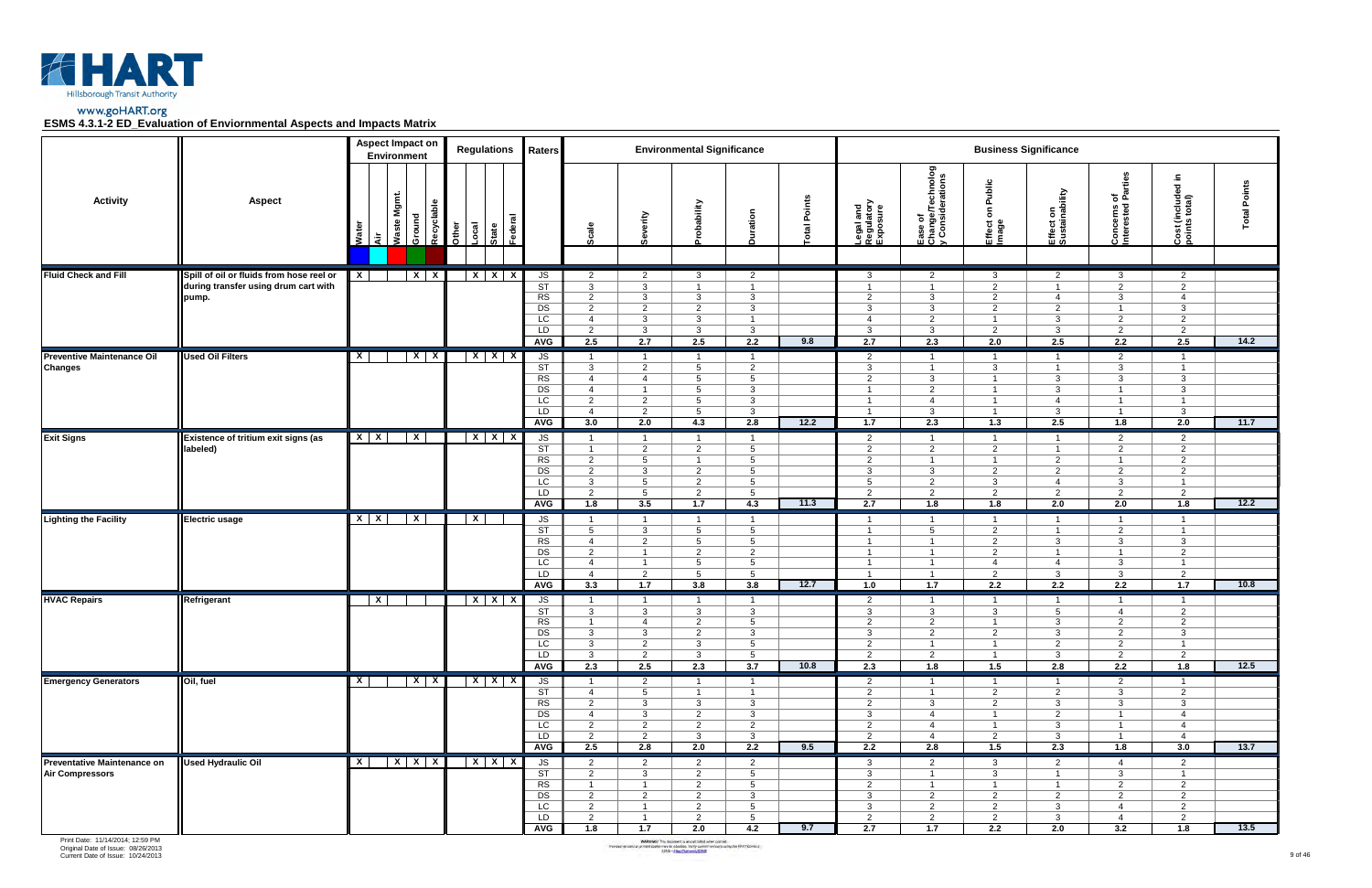



|                                                              |                                                                                           | <b>Aspect Impact on</b><br>Environment |                     |              | <b>Regulations</b> | Raters                                                                                  |                                                                                                                 |                                                                                                                  | <b>Environmental Significance</b>                                                                                            |                                                                                                                    |             |                                                                                                               |                                                                                                               |                                                                                                             | <b>Business Significance</b>                                                                                |                                                                                                                 |                                                                                                               |                 |
|--------------------------------------------------------------|-------------------------------------------------------------------------------------------|----------------------------------------|---------------------|--------------|--------------------|-----------------------------------------------------------------------------------------|-----------------------------------------------------------------------------------------------------------------|------------------------------------------------------------------------------------------------------------------|------------------------------------------------------------------------------------------------------------------------------|--------------------------------------------------------------------------------------------------------------------|-------------|---------------------------------------------------------------------------------------------------------------|---------------------------------------------------------------------------------------------------------------|-------------------------------------------------------------------------------------------------------------|-------------------------------------------------------------------------------------------------------------|-----------------------------------------------------------------------------------------------------------------|---------------------------------------------------------------------------------------------------------------|-----------------|
| <b>Activity</b>                                              | <b>Aspect</b>                                                                             | Waste Mgmt.<br>Ground<br>Wate<br>ਵੋ    | Recyclable<br>Other | Local        | <b>State</b>       |                                                                                         | Scale                                                                                                           | Severity                                                                                                         | villidedo                                                                                                                    | Duration                                                                                                           | otal Points | Legal and<br>Regulatory<br>Exposure                                                                           | Ease of<br>Change/Technolog<br>y Considerations                                                               | Public<br>$\mathbf{s}$<br>Effect<br>Image                                                                   | Effect on<br>Sustainability                                                                                 | arties<br>ᄒᄠ<br>Concerns o<br>Interested                                                                        | Ξ.<br>Cost (included i<br>points total)                                                                       | Points<br>Total |
| <b>Fluid Check and Fill</b>                                  | Spill of oil or fluids from hose reel or<br>during transfer using drum cart with<br>pump. | $\mathbf{X}$<br>$X \mid X$             |                     |              | $X$ $X$ $X$        | JS<br>ST<br>RS<br>DS<br>LC<br>LD<br><b>AVG</b>                                          | $\overline{2}$<br>$\mathbf{3}$<br>$\overline{2}$<br>$\overline{2}$<br>$\overline{4}$<br>$\overline{2}$<br>2.5   | $\overline{2}$<br>$\mathbf{3}$<br>$\mathbf{3}$<br>$\overline{2}$<br>$\mathbf{3}$<br>$\mathbf{3}$<br>2.7          | $\mathbf{3}$<br>$\overline{1}$<br>$\mathbf{3}$<br>$\overline{2}$<br>3<br>$\mathbf{3}$<br>2.5                                 | $\overline{2}$<br>$\mathbf{1}$<br>$\mathbf{3}$<br>$\mathbf{3}$<br>$\overline{1}$<br>$\mathbf{3}$<br>2.2            | 9.8         | 3<br>$\overline{1}$<br>2<br>3<br>4<br>$\mathbf{3}$<br>2.7                                                     | $\overline{2}$<br>$\overline{1}$<br>$\mathbf{3}$<br>3<br>2<br>$\mathbf{3}$<br>2.3                             | $\mathbf{3}$<br>2<br>2<br>$\overline{2}$<br>$\overline{\mathbf{1}}$<br>$\overline{2}$<br>2.0                | $\overline{2}$<br>$\overline{1}$<br>$\overline{4}$<br>$\overline{2}$<br>$\mathbf{3}$<br>$\mathbf{3}$<br>2.5 | 3<br>$\overline{2}$<br>$\mathbf{3}$<br>$\overline{1}$<br>$\overline{2}$<br>$\overline{2}$<br>2.2                | $\overline{2}$<br>$\overline{2}$<br>$\overline{4}$<br>$\mathbf{3}$<br>2<br>$\overline{2}$<br>2.5              | 14.2            |
| <b>Preventive Maintenance Oil</b><br><b>Changes</b>          | <b>Used Oil Filters</b>                                                                   | $X$   $X$<br>$\mathsf{x}$              |                     |              | $X$ $X$ $X$        | JS<br>ST<br>RS<br>DS<br>LC<br>LD<br><b>AVG</b>                                          | $\overline{1}$<br>$\mathbf{3}$<br>$\overline{4}$<br>$\overline{4}$<br>$\overline{2}$<br>$\overline{4}$<br>3.0   | $\overline{1}$<br>$\overline{2}$<br>$\overline{4}$<br>$\overline{1}$<br>$\overline{2}$<br>2<br>2.0               | $\overline{1}$<br>$5\overline{)}$<br>$5^{\circ}$<br>$5\overline{5}$<br>$5^{\circ}$<br>5<br>4.3                               | $\overline{1}$<br>$\overline{2}$<br>$5\overline{5}$<br>$\mathbf{3}$<br>$\mathbf{3}$<br>$\mathbf{3}$<br>2.8         | 12.2        | $\overline{2}$<br>$\mathbf{3}$<br>2<br>$\overline{1}$<br>$\overline{1}$<br>$\overline{1}$<br>1.7              | $\overline{1}$<br>$\overline{1}$<br>$\mathbf{3}$<br>$\overline{2}$<br>$\overline{4}$<br>$\mathbf{3}$<br>2.3   | $\overline{1}$<br>$\mathbf{3}$<br>$\overline{1}$<br>-1<br>$\overline{1}$<br>$\overline{1}$<br>1.3           | $\overline{1}$<br>$\overline{1}$<br>$\mathbf{3}$<br>3<br>$\overline{4}$<br>$\mathbf{3}$<br>2.5              | $\overline{2}$<br>3<br>$\mathbf{3}$<br>$\overline{1}$<br>$\overline{1}$<br>$\overline{1}$<br>1.8                | $\mathbf{1}$<br>$\mathbf{1}$<br>$\mathbf{3}$<br>3<br>$\overline{1}$<br>$\mathbf{3}$<br>2.0                    | 11.7            |
| <b>Exit Signs</b>                                            | Existence of tritium exit signs (as<br>labeled)                                           | $X$   $X$<br>$\mathbf{X}$              |                     |              | $X$ $X$ $X$        | JS<br>$\overline{\text{ST}}$<br>$\overline{\text{RS}}$<br>DS<br>LC<br>LD<br><b>AVG</b>  | $\overline{1}$<br>$\overline{1}$<br>$\overline{2}$<br>$\overline{2}$<br>$\mathbf{3}$<br>2<br>1.8                | $\overline{1}$<br>$\overline{2}$<br>$5\overline{)}$<br>$\mathbf{3}$<br>$5\overline{)}$<br>$5\overline{5}$<br>3.5 | $\overline{1}$<br>$\overline{2}$<br>$\overline{1}$<br>$\overline{2}$<br>$\overline{2}$<br>$\overline{2}$<br>$\overline{1.7}$ | $\overline{1}$<br>$5\overline{5}$<br>$5\overline{5}$<br>$5\overline{5}$<br>$5\overline{5}$<br>$5^{\circ}$<br>4.3   | 11.3        | $\overline{2}$<br>$\overline{2}$<br>2<br>3<br>$5\overline{5}$<br>2<br>2.7                                     | $\overline{1}$<br>$\overline{2}$<br>$\overline{1}$<br>$\mathbf{3}$<br>$\overline{2}$<br>2<br>1.8              | $\overline{1}$<br>$\overline{2}$<br>$\overline{1}$<br>$\overline{2}$<br>3<br>$\overline{2}$<br>1.8          | $\overline{1}$<br>$\overline{1}$<br>$\overline{2}$<br>$\overline{2}$<br>$\overline{4}$<br>2<br>2.0          | $\overline{2}$<br>$\overline{2}$<br>$\overline{1}$<br>$\overline{2}$<br>3<br>2<br>2.0                           | $\overline{2}$<br>$\overline{2}$<br>2<br>$\overline{2}$<br>$\overline{1}$<br>2<br>1.8                         | 12.2            |
| <b>Lighting the Facility</b>                                 | <b>Electric usage</b>                                                                     | $X \mid X$<br>$\overline{\mathbf{x}}$  |                     | $\mathbf{X}$ |                    | $\sqrt{S}$<br>$\overline{\text{ST}}$<br>RS<br>DS<br>$\overline{LC}$<br>LD<br><b>AVG</b> | $\overline{1}$<br>5 <sup>5</sup><br>$\overline{4}$<br>$\overline{2}$<br>$\overline{4}$<br>$\overline{4}$<br>3.3 | $\overline{1}$<br>$\mathbf{3}$<br>$\overline{2}$<br>$\overline{1}$<br>$\overline{1}$<br>$\overline{2}$<br>1.7    | $\overline{1}$<br>$5\overline{)}$<br>$5^{\circ}$<br>$\overline{2}$<br>$5\overline{5}$<br>$5^{\circ}$<br>3.8                  | $\overline{1}$<br>$5\overline{5}$<br>$5\overline{5}$<br>$\overline{2}$<br>$5\overline{5}$<br>5 <sup>5</sup><br>3.8 | 12.7        | $\overline{1}$<br>$\overline{1}$<br>$\mathbf 1$<br>$\overline{1}$<br>$\overline{1}$<br>$\overline{1}$<br>1.0  | $\overline{1}$<br>5<br>- 1<br>$\overline{1}$<br>$\overline{1}$<br>$\overline{\mathbf{1}}$<br>1.7              | $\overline{1}$<br>$\overline{2}$<br>$\overline{2}$<br>2<br>$\overline{4}$<br>$\overline{2}$<br>2.2          | $\overline{1}$<br>$\overline{1}$<br>3<br>$\overline{1}$<br>$\overline{4}$<br>3<br>2.2                       | $\overline{1}$<br>$\overline{2}$<br>$\mathbf{3}$<br>$\overline{1}$<br>$\mathbf{3}$<br>$\mathbf{3}$<br>2.2       | $\overline{1}$<br>$\overline{1}$<br>$\mathbf{3}$<br>$\overline{2}$<br>$\mathbf{1}$<br>$\overline{2}$<br>1.7   | 10.8            |
| <b>HVAC Repairs</b>                                          | Refrigerant                                                                               | $\overline{\mathbf{x}}$                |                     |              | $X$ $X$ $X$        | $\sqrt{S}$<br><b>ST</b><br><b>RS</b><br>DS<br>$\overline{LC}$<br>LD<br>AVG              | $\overline{1}$<br>$\mathbf{3}$<br>$\mathbf{1}$<br>3<br>$\mathbf{3}$<br>3 <sup>1</sup><br>2.3                    | $\overline{1}$<br>$\mathbf{3}$<br>$\overline{4}$<br>$\mathbf{3}$<br>$\overline{2}$<br>$\overline{2}$<br>2.5      | $\overline{1}$<br>3<br>$\overline{2}$<br>2<br>3<br>$\mathbf{3}$<br>2.3                                                       | $\overline{1}$<br>$\mathbf{3}$<br>$5\overline{)}$<br>$\mathbf{3}$<br>$5\overline{)}$<br>$5\overline{)}$<br>3.7     | 10.8        | $\overline{2}$<br>3<br>2<br>$\mathbf{3}$<br>$\overline{2}$<br>$\overline{2}$<br>2.3                           | $\overline{1}$<br>3<br>$\overline{2}$<br>$\overline{2}$<br>$\overline{1}$<br>$\overline{2}$<br>1.8            | $\overline{1}$<br>3<br>$\overline{1}$<br>$\overline{2}$<br>$\overline{1}$<br>$\overline{\mathbf{1}}$<br>1.5 | $\overline{1}$<br>$5^{\circ}$<br>3<br>3<br>$\overline{2}$<br>$\mathbf{3}$<br>2.8                            | $\overline{1}$<br>$\overline{4}$<br>$\overline{2}$<br>$\overline{2}$<br>$\overline{2}$<br>$\overline{2}$<br>2.2 | $\overline{1}$<br>$\overline{2}$<br>$\overline{2}$<br>$\mathbf{3}$<br>$\overline{1}$<br>$2^{\circ}$<br>1.8    | 12.5            |
| <b>Emergency Generators</b>                                  | Oil, fuel                                                                                 | $X$ $X$<br>$\mathsf{X}$                |                     |              | $X$ $X$ $X$        | JS<br>ST<br>RS<br>DS<br>$\overline{LC}$<br>LD<br>AVG                                    | $\overline{1}$<br>$\overline{4}$<br>$\overline{2}$<br>$\overline{4}$<br>$\overline{2}$<br>$\overline{2}$<br>2.5 | $\overline{2}$<br>5 <sup>5</sup><br>$\mathbf{3}$<br>$\mathbf{3}$<br>$\overline{2}$<br>$\overline{2}$<br>2.8      | $\overline{1}$<br>$\overline{1}$<br>$\mathbf{3}$<br>2<br>$\overline{2}$<br>$\mathbf{3}$<br>2.0                               | $\overline{1}$<br>$\overline{1}$<br>3 <sup>1</sup><br>$\mathbf{3}$<br>$\overline{2}$<br>3 <sup>1</sup><br>2.2      | 9.5         | $\overline{2}$<br>$\overline{2}$<br>$\overline{2}$<br>$\mathbf{3}$<br>$\overline{2}$<br>$\overline{2}$<br>2.2 | $\overline{1}$<br>$\overline{1}$<br>$\mathbf{3}$<br>$\overline{4}$<br>$\overline{4}$<br>$\overline{4}$<br>2.8 | $\overline{1}$<br>$\overline{2}$<br>2<br>$\overline{1}$<br>$\overline{1}$<br>$\overline{2}$<br>1.5          | $\overline{1}$<br>$\overline{2}$<br>$\mathbf{3}$<br>$\overline{2}$<br>3<br>$\mathbf{3}$<br>2.3              | $\overline{2}$<br>$\mathbf{3}$<br>3<br>$\overline{1}$<br>$\overline{1}$<br>$\overline{1}$<br>1.8                | $\overline{1}$<br>$\overline{2}$<br>$\mathbf{3}$<br>$\overline{4}$<br>$\overline{4}$<br>$\overline{4}$<br>3.0 | 13.7            |
| <b>Preventative Maintenance on</b><br><b>Air Compressors</b> | <b>Used Hydraulic Oil</b>                                                                 | $X$ $X$ $X$<br>$\mathbf{X}$            |                     |              | $X$ $X$ $X$        | JS<br>$\overline{\text{ST}}$<br>RS<br>DS<br>LC<br>LD<br>AVG                             | $\overline{2}$<br>$\overline{2}$<br>$\overline{1}$<br>$\overline{2}$<br>$\overline{2}$<br>$\overline{2}$<br>1.8 | $\overline{2}$<br>$\mathbf{3}$<br>$\overline{1}$<br>$\overline{2}$<br>$\overline{1}$<br>$\overline{1}$<br>1.7    | $\overline{2}$<br>$\overline{2}$<br>$\overline{2}$<br>$\overline{2}$<br>$\overline{2}$<br>$\overline{2}$<br>2.0              | 2<br>$5\overline{)}$<br>$5\overline{5}$<br>$\mathbf{3}$<br>$5\overline{5}$<br>$5\overline{)}$<br>4.2               | 9.7         | 3<br>$\mathbf{3}$<br>2<br>$\mathbf{3}$<br>$\mathbf{3}$<br>$\overline{2}$<br>2.7                               | 2<br>$\overline{1}$<br>$\overline{1}$<br>$\overline{2}$<br>$\overline{2}$<br>$\overline{2}$<br>1.7            | $\mathbf{3}$<br>3<br>$\overline{1}$<br>$\overline{2}$<br>2<br>$\overline{2}$<br>2.2                         | $\overline{2}$<br>$\overline{1}$<br>$\overline{1}$<br>$\overline{2}$<br>3<br>3<br>2.0                       | $\overline{4}$<br>$\mathbf{3}$<br>$\overline{2}$<br>$\overline{2}$<br>$\overline{4}$<br>$\overline{4}$<br>3.2   | 2<br>$\overline{1}$<br>2<br>$\overline{2}$<br>2<br>2<br>1.8                                                   | 13.5            |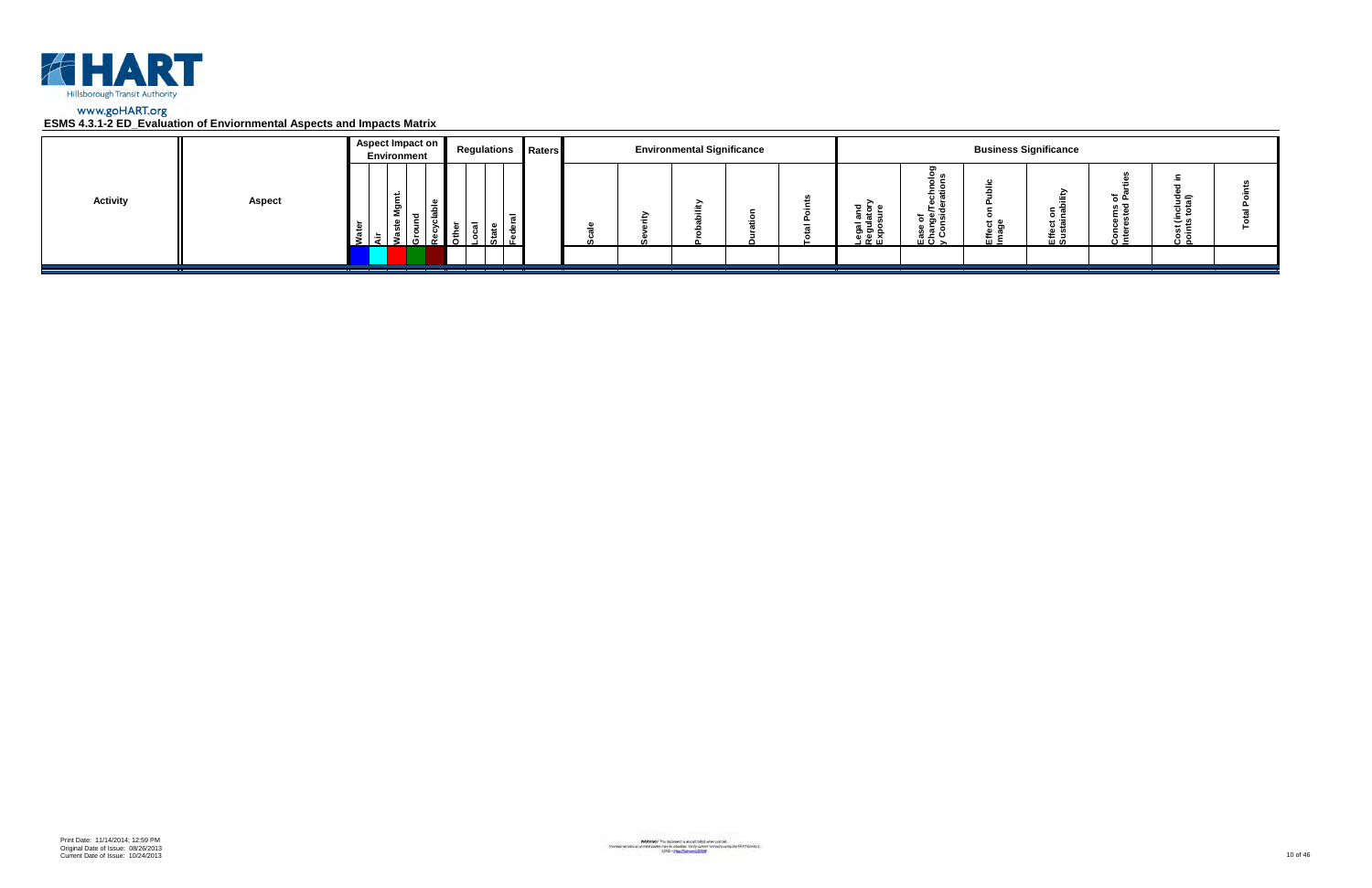

|                 |               | Aspect Impact on<br>Environment | <b>Regulations Raters</b> |  | <b>Environmental Significance</b> |  |                                                      |                                        |                      | <b>Business Significance</b> |                 |                         |  |
|-----------------|---------------|---------------------------------|---------------------------|--|-----------------------------------|--|------------------------------------------------------|----------------------------------------|----------------------|------------------------------|-----------------|-------------------------|--|
| <b>Activity</b> | <b>Aspect</b> | ۔ س<br>ទី<br>- 63               |                           |  |                                   |  | <u>ដូ ទ្ទី</u> ≦<br>క్లె క్లె క్ల<br><u>ា ចូ ក្ដ</u> | ಕ ಹಿ ತ<br><u>ہ ڇ</u> ۽<br>ن ≃ ؛<br>ᄪᅙᆾ | <del>ם</del> כ<br>๛゠ | $\circ$ $\circ$<br>로일        | ته <del>ہ</del> | ত্≘<br>، ت<br>×≂<br>ة ن |  |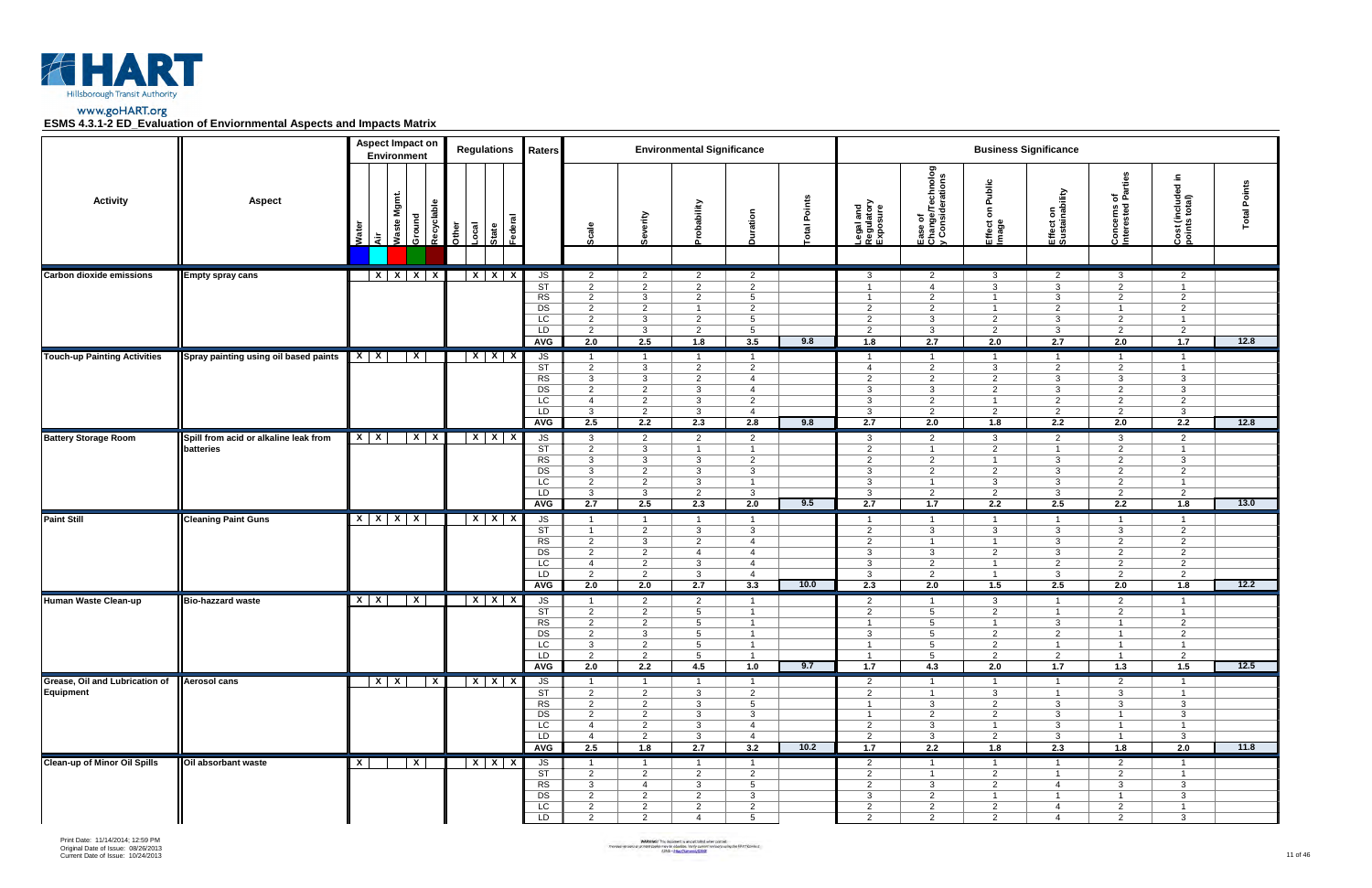

|                                               |                                       | <b>Aspect Impact on</b><br><b>Environment</b> |                         | <b>Regulations</b>                 | Raters                                                                    |                                                                                               |                                                                                               | <b>Environmental Significance</b>                                                       |                                                                                                  |                |                                                                                               |                                                                              |                                                                                               | <b>Business Significance</b>                                                                |                                                                                               |                                                                                       |                 |
|-----------------------------------------------|---------------------------------------|-----------------------------------------------|-------------------------|------------------------------------|---------------------------------------------------------------------------|-----------------------------------------------------------------------------------------------|-----------------------------------------------------------------------------------------------|-----------------------------------------------------------------------------------------|--------------------------------------------------------------------------------------------------|----------------|-----------------------------------------------------------------------------------------------|------------------------------------------------------------------------------|-----------------------------------------------------------------------------------------------|---------------------------------------------------------------------------------------------|-----------------------------------------------------------------------------------------------|---------------------------------------------------------------------------------------|-----------------|
| <b>Activity</b>                               | <b>Aspect</b>                         | Waste Mgmt.<br>š<br>ਂ ਕੋ                      | Recyclable<br>Ground    | State<br>Federal<br>Other<br>-ocal |                                                                           | Scale                                                                                         | Severity                                                                                      | obability                                                                               | Duration                                                                                         | Points<br> eta | Legal and<br>Regulatory<br>Exposure                                                           | Ease of<br>Change/Technolog<br>y Considerations                              | ublic<br>ã<br>δ<br>Effect<br>Image                                                            | Effect on<br>Sustainability                                                                 | arties<br>ᅙᄠ<br>Concerns o<br>Interested                                                      | Ξ.<br>Cost (included i<br>points total)                                               | Points<br>Total |
| <b>Carbon dioxide emissions</b>               | <b>Empty spray cans</b>               |                                               | $X$ $X$ $X$ $X$         | $X$ $X$ $X$                        | JS                                                                        | $\overline{2}$                                                                                | $\overline{2}$                                                                                | $\overline{2}$                                                                          | $\overline{2}$                                                                                   |                | $\mathbf{3}$                                                                                  | 2                                                                            | $\mathbf{3}$                                                                                  | $\overline{2}$                                                                              | 3                                                                                             | $\overline{2}$                                                                        |                 |
|                                               |                                       |                                               |                         |                                    | $\overline{\text{ST}}$<br>RS<br>$\overline{DS}$<br>LC<br>LD<br><b>AVG</b> | $\overline{2}$<br>$\overline{2}$<br>$\overline{2}$<br>$\overline{2}$<br>$\overline{2}$<br>2.0 | $\overline{2}$<br>$\mathbf{3}$<br>$\overline{2}$<br>$\mathbf{3}$<br>$\mathbf{3}$<br>2.5       | $\overline{2}$<br>$\overline{2}$<br>1<br>$\overline{2}$<br>$\overline{2}$<br>1.8        | $\overline{2}$<br>$5\overline{)}$<br>$\overline{2}$<br>$5\overline{)}$<br>$5\overline{)}$<br>3.5 | 9.8            | $\overline{1}$<br>$\overline{1}$<br>$\overline{2}$<br>$\overline{2}$<br>$\overline{2}$<br>1.8 | $\overline{4}$<br>2<br>$\overline{2}$<br>3<br>$\mathbf{3}$<br>2.7            | $\mathbf{3}$<br>$\overline{1}$<br>$\overline{1}$<br>2<br>2<br>2.0                             | $\mathbf{3}$<br>$\mathbf{3}$<br>2<br>3<br>3<br>2.7                                          | $\overline{2}$<br>$\overline{2}$<br>$\overline{1}$<br>$\overline{2}$<br>$\overline{2}$<br>2.0 | $\overline{1}$<br>2<br>$\overline{2}$<br>$\overline{1}$<br>$\overline{2}$<br>1.7      | 12.8            |
| <b>Touch-up Painting Activities</b>           | Spray painting using oil based paints | $x \mid x$                                    | $\mathsf{X}$            | $X$ $X$ $X$                        | JS                                                                        | $\overline{1}$                                                                                | $\overline{1}$                                                                                | $\overline{1}$                                                                          | $\mathbf{1}$                                                                                     |                | $\overline{1}$                                                                                | $\overline{1}$                                                               | $\overline{1}$                                                                                | $\overline{1}$                                                                              | $\overline{1}$                                                                                | $\overline{1}$                                                                        |                 |
|                                               |                                       |                                               |                         |                                    | ST<br>RS<br>DS<br>LC<br>LD<br><b>AVG</b>                                  | $\overline{2}$<br>$\mathbf{3}$<br>$\overline{2}$<br>$\overline{4}$<br>$\mathbf{3}$<br>2.5     | $\mathbf{3}$<br>$\mathbf{3}$<br>$\overline{2}$<br>$\overline{2}$<br>$\overline{2}$<br>2.2     | $\overline{2}$<br>$\overline{2}$<br>3<br>$\mathbf{3}$<br>$\mathbf{3}$<br>2.3            | $\overline{2}$<br>$\overline{4}$<br>$\overline{4}$<br>$\overline{2}$<br>$\overline{4}$<br>2.8    | 9.8            | $\overline{4}$<br>2<br>3<br>$\mathbf{3}$<br>$\mathbf{3}$<br>2.7                               | $\overline{2}$<br>2<br>3<br>$\overline{2}$<br>2<br>2.0                       | $\mathbf{3}$<br>$\overline{2}$<br>$\overline{2}$<br>$\overline{1}$<br>$\overline{2}$<br>1.8   | $\overline{2}$<br>$\mathbf{3}$<br>3<br>2<br>2<br>2.2                                        | $\overline{2}$<br>$\mathbf{3}$<br>$\overline{2}$<br>2<br>$\overline{2}$<br>2.0                | $\overline{1}$<br>$\mathbf{3}$<br>$\mathbf{3}$<br>2<br>$\mathbf{3}$<br>2.2            | 12.8            |
| <b>Battery Storage Room</b>                   | Spill from acid or alkaline leak from | $X$   $X$                                     | $X \mid X$              | $X$ $X$ $X$                        | JS                                                                        | $\mathbf{3}$                                                                                  | $\overline{2}$                                                                                | $\overline{2}$                                                                          | $2^{\circ}$                                                                                      |                | $\mathbf{3}$                                                                                  | 2                                                                            | $\mathbf{3}$                                                                                  | $\overline{2}$                                                                              | $\mathbf{3}$                                                                                  | $\overline{2}$                                                                        |                 |
|                                               | batteries                             |                                               |                         |                                    | $\overline{\text{ST}}$<br>RS<br>DS<br>LC<br>LD<br><b>AVG</b>              | $\overline{2}$<br>$\mathbf{3}$<br>$\mathbf{3}$<br>$\overline{2}$<br>$\mathbf{3}$<br>2.7       | $\mathbf{3}$<br>$\mathbf{3}$<br>$\overline{2}$<br>2<br>$\mathbf{3}$<br>2.5                    | $\overline{1}$<br>$\mathbf{3}$<br>$\mathbf{3}$<br>$\mathbf{3}$<br>$\overline{2}$<br>2.3 | $\overline{1}$<br>$\overline{2}$<br>$\mathbf{3}$<br>$\mathbf{1}$<br>3<br>2.0                     | 9.5            | $\overline{2}$<br>2<br>$\mathbf{3}$<br>$\mathbf{3}$<br>$\mathbf{3}$<br>2.7                    | $\overline{1}$<br>2<br>$\overline{2}$<br>$\overline{1}$<br>2<br>1.7          | $\overline{2}$<br>$\overline{1}$<br>$\overline{2}$<br>$\mathbf{3}$<br>$\overline{2}$<br>2.2   | $\overline{1}$<br>3<br>$\mathbf{3}$<br>$\mathbf{3}$<br>3<br>2.5                             | $\overline{2}$<br>$\overline{2}$<br>$\overline{2}$<br>2<br>$\overline{2}$<br>2.2              | $\overline{1}$<br>$\mathbf{3}$<br>$\overline{2}$<br>$\overline{1}$<br>2<br>1.8        | 13.0            |
| Paint Still                                   | <b>Cleaning Paint Guns</b>            | $X$ $X$ $X$ $X$                               |                         | $X$ $X$ $X$                        | JS                                                                        | $\overline{1}$                                                                                | $\overline{1}$                                                                                | $\overline{1}$                                                                          | $\mathbf{1}$                                                                                     |                | $\overline{1}$                                                                                | $\overline{1}$                                                               | $\overline{1}$                                                                                | $\overline{\mathbf{1}}$                                                                     | $\overline{1}$                                                                                | $\overline{1}$                                                                        |                 |
|                                               |                                       |                                               |                         |                                    | $\overline{\text{ST}}$<br>RS<br>DS<br>LC<br>LD<br><b>AVG</b>              | $\overline{1}$<br>$\overline{2}$<br>$\overline{2}$<br>$\overline{4}$<br>$\overline{2}$<br>2.0 | $\overline{2}$<br>$\mathbf{3}$<br>$\overline{2}$<br>$\overline{2}$<br>$\overline{2}$<br>2.0   | $\mathbf{3}$<br>2<br>$\overline{4}$<br>$\mathbf{3}$<br>$\mathbf{3}$<br>2.7              | $\mathbf{3}$<br>$\overline{4}$<br>$\overline{4}$<br>$\overline{4}$<br>$\overline{4}$<br>3.3      | 10.0           | $\overline{2}$<br>2<br>$\mathbf{3}$<br>$\mathbf{3}$<br>3<br>2.3                               | 3<br>$\overline{1}$<br>$\mathbf{3}$<br>$\overline{2}$<br>2<br>2.0            | $\mathbf{3}$<br>$\overline{1}$<br>2<br>$\overline{1}$<br>$\overline{1}$<br>1.5                | $\mathbf{3}$<br>3<br>$\mathbf{3}$<br>$\overline{2}$<br>3<br>2.5                             | $\mathbf{3}$<br>$\overline{2}$<br>$\overline{2}$<br>$\overline{2}$<br>$\overline{2}$<br>2.0   | $\overline{2}$<br>$\overline{2}$<br>$\overline{2}$<br>$\overline{2}$<br>2<br>1.8      | 12.2            |
| <b>Human Waste Clean-up</b>                   | <b>Bio-hazzard waste</b>              | $X$   $X$                                     | $\mathbf{x}$            | $X$ $X$ $X$                        | $\sqrt{S}$                                                                | $\mathbf 1$                                                                                   | $\overline{2}$                                                                                | $\overline{2}$                                                                          | $\mathbf{1}$                                                                                     |                | $\overline{2}$                                                                                | $\overline{1}$                                                               | $\mathbf{3}$                                                                                  | - 1                                                                                         | $\overline{2}$                                                                                | $\overline{1}$                                                                        |                 |
|                                               |                                       |                                               |                         |                                    | <b>ST</b><br>RS<br>DS<br>$\overline{LC}$<br>LD.<br>AVG                    | $\overline{2}$<br>$\overline{2}$<br>$\overline{2}$<br>$\mathbf{3}$<br>$\overline{2}$<br>2.0   | $\overline{2}$<br>$\overline{2}$<br>$\overline{3}$<br>$\overline{2}$<br>$\overline{2}$<br>2.2 | $5^{\circ}$<br>$5^{\circ}$<br>$5\overline{5}$<br>5<br>$5\overline{)}$<br>4.5            | $\mathbf{1}$<br>$\overline{1}$<br>$\mathbf{1}$<br>$\overline{1}$<br>-1<br>1.0                    | 9.7            | $\overline{2}$<br>$\mathbf{1}$<br>$\mathbf{3}$<br>$\overline{1}$<br>$\overline{1}$<br>1.7     | 5<br>$5^{\circ}$<br>$5\phantom{.0}$<br>5<br>5<br>4.3                         | $\overline{2}$<br>$\overline{1}$<br>$\overline{2}$<br>$\overline{2}$<br>$\overline{2}$<br>2.0 | $\overline{1}$<br>$\mathbf{3}$<br>$\overline{2}$<br>$\overline{1}$<br>$\overline{2}$<br>1.7 | $\overline{2}$<br>$\overline{1}$<br>$\overline{1}$<br>$\overline{1}$<br>- 1<br>1.3            | 2<br>$\overline{2}$<br>$\overline{1}$<br>$\overline{2}$<br>1.5                        | 12.5            |
| Grease, Oil and Lubrication of   Aerosol cans |                                       | $X$   $X$                                     | $\overline{\mathbf{x}}$ | $X$ $X$ $X$                        | JS                                                                        | $\overline{1}$                                                                                | -1                                                                                            |                                                                                         | $\overline{1}$                                                                                   |                | $\overline{2}$                                                                                |                                                                              | -1                                                                                            | -1                                                                                          | $\overline{2}$                                                                                | $\overline{1}$                                                                        |                 |
| Equipment                                     |                                       |                                               |                         |                                    | $\overline{\text{ST}}$<br>RS<br>DS<br>LC<br>LD<br><b>AVG</b>              | $\overline{2}$<br>$\overline{2}$<br>$\overline{2}$<br>$\overline{4}$<br>4<br>2.5              | $\overline{2}$<br>$\overline{2}$<br>$\overline{2}$<br>$\overline{2}$<br>$\overline{2}$<br>1.8 | $\mathbf{3}$<br>3<br>$\mathbf{3}$<br>3<br>$\mathbf{3}$<br>2.7                           | $\overline{2}$<br>$5\overline{)}$<br>$\mathbf{3}$<br>$\overline{4}$<br>$\overline{4}$<br>3.2     | 10.2           | $\overline{2}$<br>$\mathbf{1}$<br>$\overline{1}$<br>$\overline{2}$<br>2<br>1.7                | $\overline{1}$<br>3<br>$\overline{2}$<br>$\mathbf{3}$<br>$\mathbf{3}$<br>2.2 | $\mathbf{3}$<br>2<br>$\overline{2}$<br>$\overline{1}$<br>$\overline{2}$<br>1.8                | $\overline{1}$<br>3<br>$\mathbf{3}$<br>3<br>3<br>2.3                                        | $\mathbf{3}$<br>3<br>$\overline{1}$<br>$\overline{1}$<br>$\overline{1}$<br>1.8                | $\overline{1}$<br>$\mathbf{3}$<br>$\mathbf{3}$<br>$\mathbf{1}$<br>$\mathbf{3}$<br>2.0 | 11.8            |
| <b>Clean-up of Minor Oil Spills</b>           | Oil absorbant waste                   | $\mathbf{X}$                                  | $\overline{X}$          | $X$ $X$ $X$                        | JS                                                                        | $\overline{1}$                                                                                | $\overline{1}$                                                                                | $\overline{1}$                                                                          | $\overline{1}$                                                                                   |                | $\overline{2}$                                                                                | $\overline{1}$                                                               | $\overline{1}$                                                                                | $\overline{\mathbf{1}}$                                                                     | $\overline{2}$                                                                                | $\overline{1}$                                                                        |                 |
|                                               |                                       |                                               |                         |                                    | ST<br>RS<br>DS<br>LC<br>LD                                                | $\overline{2}$<br>$\mathbf{3}$<br>$\overline{2}$<br>$\overline{2}$<br>2                       | $\overline{2}$<br>$\overline{4}$<br>$\overline{2}$<br>$\overline{2}$<br>2                     | 2<br>3<br>$\overline{2}$<br>$\overline{2}$<br>$\overline{4}$                            | $\overline{2}$<br>5 <sup>5</sup><br>$\mathbf{3}$<br>$\overline{2}$<br>5 <sup>5</sup>             |                | 2<br>$\overline{2}$<br>3<br>$\overline{2}$<br>2                                               | $\overline{1}$<br>3<br>$\overline{2}$<br>$\overline{2}$<br>$\overline{2}$    | $\overline{2}$<br>$\overline{2}$<br>$\overline{1}$<br>$\overline{2}$<br>2                     | $\overline{1}$<br>-4<br>$\overline{1}$<br>$\overline{4}$<br>$\overline{4}$                  | $\overline{2}$<br>3<br>$\overline{1}$<br>$\overline{2}$<br>2                                  | $\overline{1}$<br>$\mathbf{3}$<br>$\mathbf{3}$<br>$\mathbf{1}$<br>$\mathbf{3}$        |                 |

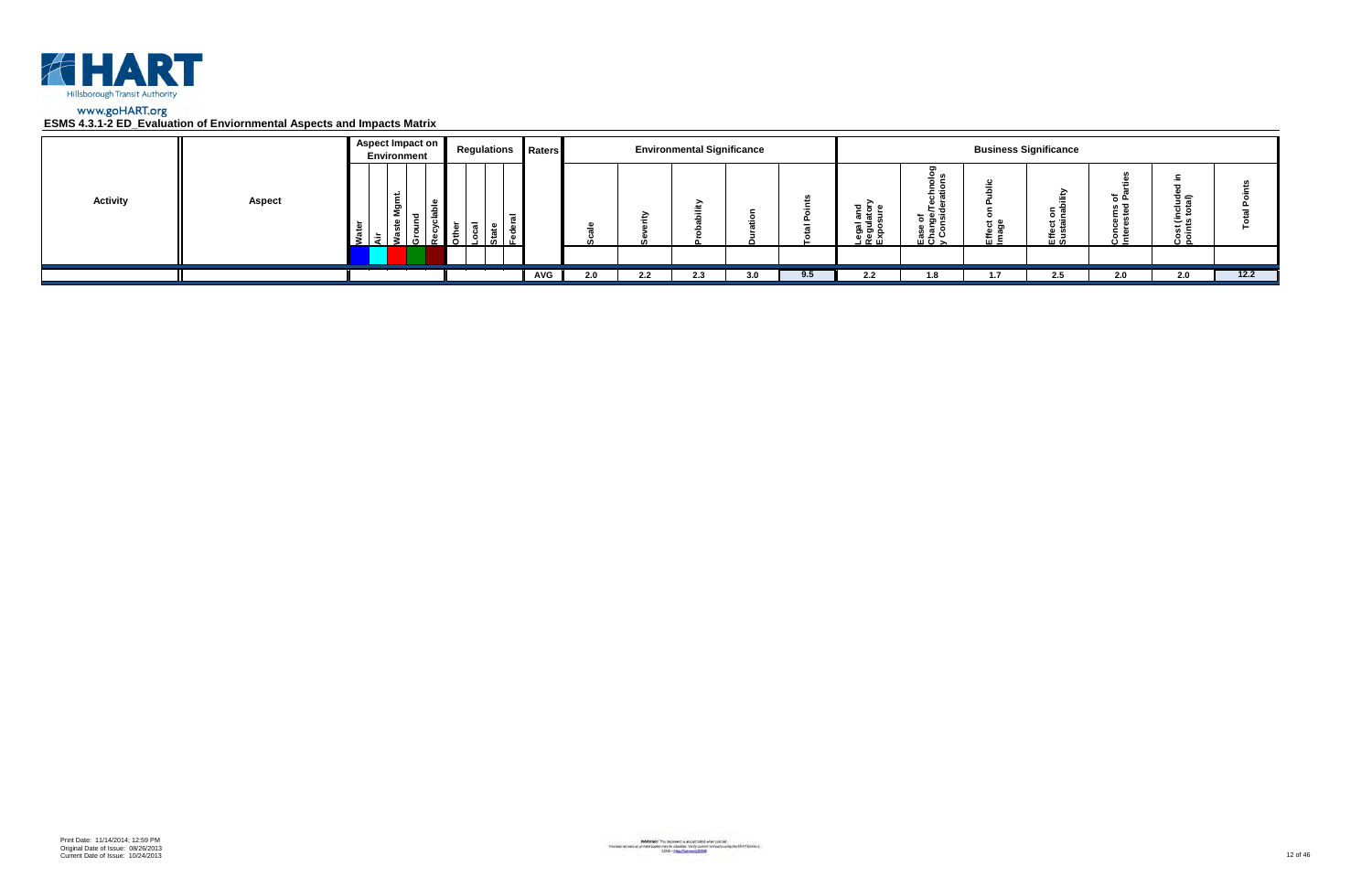

|                 |               | Aspect Impact on<br><b>Environment</b> | <b>Regulations Raters</b> |     |     |     | <b>Environmental Significance</b> |     |     |                                                                           |                                |      | <b>Business Significance</b> |     |                                |      |
|-----------------|---------------|----------------------------------------|---------------------------|-----|-----|-----|-----------------------------------|-----|-----|---------------------------------------------------------------------------|--------------------------------|------|------------------------------|-----|--------------------------------|------|
| <b>Activity</b> | <b>Aspect</b> | Ρğ<br>$\overline{\phantom{a}}$         | Ò.                        |     |     |     |                                   |     |     | $\frac{1}{6}$ $\frac{1}{6}$ $\frac{1}{2}$<br>ഗ<br>Legal<br>Regul<br>Expos | ಕ ಹಿ ತ<br>ease<br>Charo<br>メント | ப் = | э.<br>οĉ<br><u>은 몇</u>       |     | 흐슬<br>س ٿ<br>$\omega =$<br>ه ن |      |
|                 |               |                                        |                           |     |     |     |                                   |     |     |                                                                           |                                |      |                              |     |                                |      |
|                 |               |                                        |                           | AVG | 2.0 | 2.2 | 2.3                               | 3.0 | 9.5 | 2.2                                                                       | 1.8                            | 1.7  | 2.5                          | 2.0 | 2.0                            | 12.2 |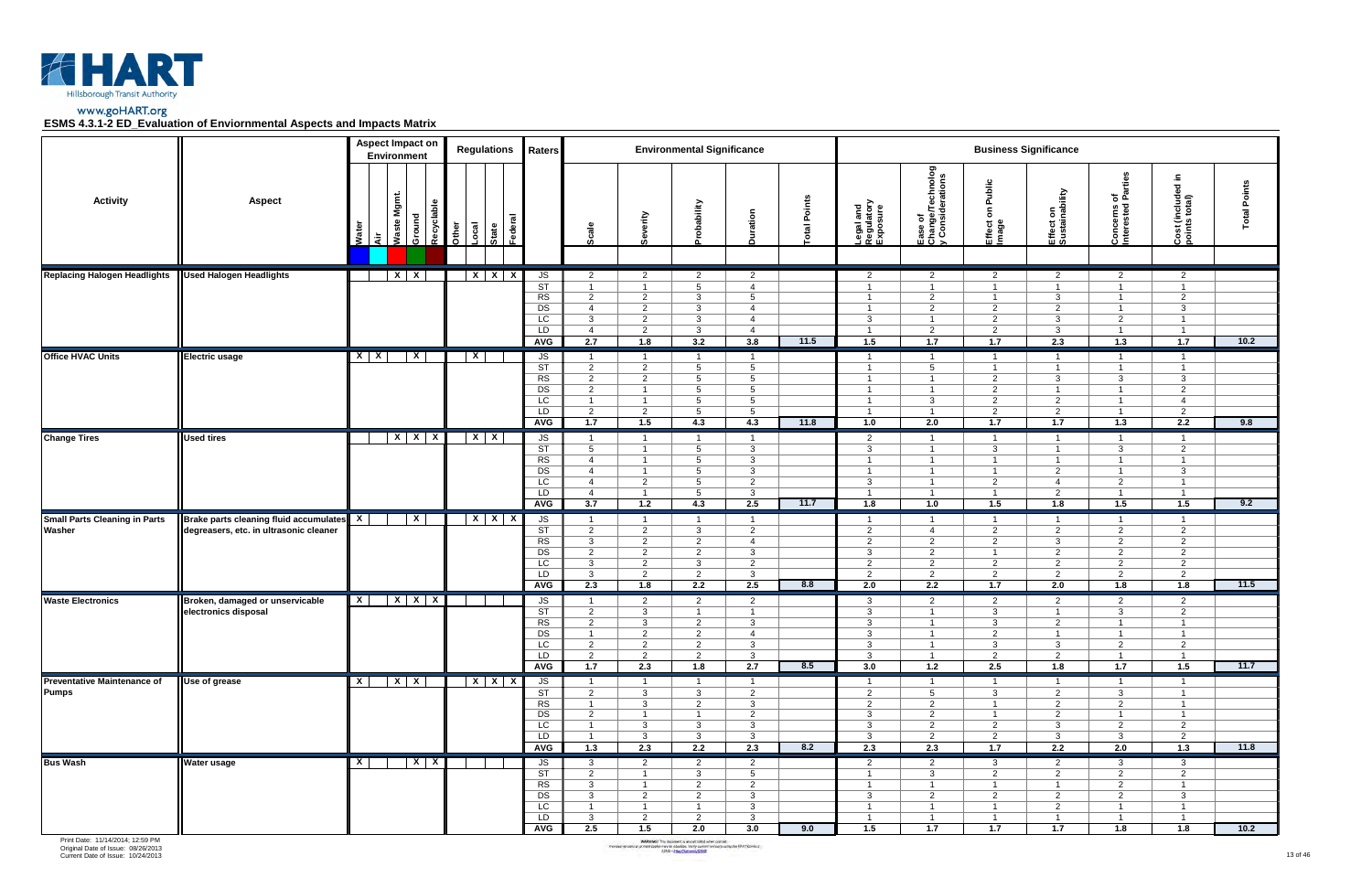

|                                                    |                                        |                 | <b>Aspect Impact on</b><br><b>Environment</b> |            |                | <b>Regulations</b> | Raters                                                       |                                                                                               |                                                                                               | <b>Environmental Significance</b>                                                          |                                                                                          |                |                                                                                           |                                                                                                |                                                                                               | <b>Business Significance</b>                                                                           |                                                                                               |                                                                                             |                        |
|----------------------------------------------------|----------------------------------------|-----------------|-----------------------------------------------|------------|----------------|--------------------|--------------------------------------------------------------|-----------------------------------------------------------------------------------------------|-----------------------------------------------------------------------------------------------|--------------------------------------------------------------------------------------------|------------------------------------------------------------------------------------------|----------------|-------------------------------------------------------------------------------------------|------------------------------------------------------------------------------------------------|-----------------------------------------------------------------------------------------------|--------------------------------------------------------------------------------------------------------|-----------------------------------------------------------------------------------------------|---------------------------------------------------------------------------------------------|------------------------|
| <b>Activity</b>                                    | <b>Aspect</b>                          | Ñ<br>Nat<br>ंदे | Waste Mgmt.<br>Ground                         | Recyclable | Other<br>-ocal | State<br>Federal   |                                                              | Scale                                                                                         | Severity                                                                                      | obability                                                                                  | Duration                                                                                 | Points<br> eta | Legal and<br>Regulatory<br>Exposure                                                       | Ease of<br>Change/Technolog<br>y Considerations                                                | Public<br>$\epsilon$<br>Effect<br>Image                                                       | Effect on<br>Sustainability                                                                            | arties<br>ᄒᄠ<br>Concerns o<br>Interested                                                      | Ξ.<br>Cost (included i<br>points total)                                                     | Points<br><b>lepo.</b> |
| <b>Replacing Halogen Headlights</b>                | <b>Used Halogen Headlights</b>         |                 | $X \mid X$                                    |            |                | $X$ $X$ $X$        | JS<br>$\overline{\text{ST}}$                                 | $\overline{2}$<br>$\overline{1}$                                                              | $\overline{2}$<br>$\overline{1}$                                                              | $\overline{2}$<br>$5\overline{5}$                                                          | $\overline{2}$<br>$\overline{4}$                                                         |                | $\overline{2}$<br>$\overline{1}$                                                          | $\overline{2}$<br>$\overline{1}$                                                               | $\overline{2}$<br>$\overline{1}$                                                              | $\overline{2}$<br>$\overline{1}$                                                                       | $\overline{2}$<br>$\overline{1}$                                                              | $\overline{2}$<br>$\overline{1}$                                                            |                        |
|                                                    |                                        |                 |                                               |            |                |                    | RS<br>$\overline{DS}$<br>LC<br>LD<br><b>AVG</b>              | $\overline{2}$<br>$\overline{4}$<br>3<br>$\overline{4}$<br>2.7                                | $\overline{2}$<br>$\overline{2}$<br>$\overline{2}$<br>$\overline{2}$<br>1.8                   | $\mathbf{3}$<br>3<br>3<br>3<br>3.2                                                         | $5\overline{)}$<br>$\overline{4}$<br>$\overline{4}$<br>$\overline{4}$<br>3.8             | 11.5           | $\overline{1}$<br>$\overline{1}$<br>3<br>$\overline{1}$<br>1.5                            | 2<br>2<br>$\overline{1}$<br>$\overline{2}$<br>1.7                                              | $\overline{1}$<br>$\overline{2}$<br>2<br>$\overline{2}$<br>1.7                                | $\mathbf{3}$<br>$\overline{2}$<br>3<br>$\mathbf{3}$<br>2.3                                             | $\overline{1}$<br>$\overline{1}$<br>$\overline{2}$<br>$\overline{1}$<br>1.3                   | 2<br>$\mathbf{3}$<br>$\overline{1}$<br>$\overline{1}$<br>1.7                                | 10.2                   |
| <b>Office HVAC Units</b>                           | <b>Electric usage</b>                  | $x \mid x$      | $\mathbf{x}$                                  |            | $\mathsf{x}$   |                    | JS<br>ST                                                     | $\overline{1}$<br>$\overline{2}$                                                              | $\overline{1}$<br>$\overline{2}$                                                              | $\overline{1}$<br>5                                                                        | $\overline{1}$<br>$5\overline{)}$                                                        |                | $\overline{1}$<br>$\overline{1}$                                                          | $\overline{1}$<br>5                                                                            | $\overline{1}$<br>$\overline{1}$                                                              | $\overline{1}$<br>$\overline{1}$                                                                       | $\overline{1}$<br>$\overline{1}$                                                              | $\overline{1}$<br>$\overline{1}$                                                            |                        |
|                                                    |                                        |                 |                                               |            |                |                    | RS<br>DS<br>LC<br>LD<br><b>AVG</b>                           | 2<br>$\overline{2}$<br>$\overline{1}$<br>2<br>1.7                                             | $\overline{2}$<br>$\overline{1}$<br>$\overline{1}$<br>$\overline{2}$<br>1.5                   | $5\overline{5}$<br>5<br>5<br>$5\overline{5}$<br>4.3                                        | 5 <sup>5</sup><br>$5\overline{)}$<br>5 <sup>5</sup><br>$5\overline{)}$<br>4.3            | 11.8           | $\overline{1}$<br>$\mathbf{1}$<br>$\overline{1}$<br>$\overline{1}$<br>1.0                 | $\overline{1}$<br>$\overline{1}$<br>3<br>$\overline{1}$<br>2.0                                 | $\overline{2}$<br>$\overline{2}$<br>$\overline{2}$<br>$\overline{2}$<br>1.7                   | $\mathbf{3}$<br>$\overline{1}$<br>2<br>2<br>$1.7$                                                      | $\mathbf{3}$<br>-1<br>$\overline{1}$<br>$\overline{1}$<br>1.3                                 | $\mathbf{3}$<br>$\overline{2}$<br>$\overline{4}$<br>2<br>2.2                                | 9.8                    |
| <b>Change Tires</b>                                | <b>Used tires</b>                      |                 | $X$ $X$ $X$                                   |            |                | $X$   $X$          | JS                                                           | $\overline{1}$                                                                                | $\overline{1}$                                                                                | $\overline{1}$                                                                             | $\overline{1}$                                                                           |                | $\overline{2}$                                                                            | $\overline{1}$                                                                                 | $\overline{1}$                                                                                | $\overline{1}$                                                                                         | $\overline{1}$                                                                                | $\mathbf{1}$                                                                                |                        |
|                                                    |                                        |                 |                                               |            |                |                    | $\overline{\text{ST}}$<br>RS<br>DS<br>LC<br>LD<br><b>AVG</b> | $5^{\circ}$<br>$\overline{4}$<br>$\overline{4}$<br>$\overline{4}$<br>$\overline{4}$<br>3.7    | $\overline{1}$<br>$\overline{1}$<br>$\overline{1}$<br>2<br>$\overline{1}$<br>1.2              | $5\overline{)}$<br>5<br>$5^{\circ}$<br>$5^{\circ}$<br>5<br>4.3                             | $\mathbf{3}$<br>$\mathbf{3}$<br>$\mathbf{3}$<br>$\overline{2}$<br>3<br>2.5               | 11.7           | $\mathbf{3}$<br>$\overline{1}$<br>$\overline{1}$<br>$\mathbf{3}$<br>$\overline{1}$<br>1.8 | $\overline{1}$<br>$\overline{1}$<br>$\overline{1}$<br>$\overline{1}$<br>$\overline{1}$<br>1.0  | $\mathbf{3}$<br>$\overline{1}$<br>$\overline{1}$<br>2<br>$\overline{1}$<br>1.5                | $\overline{1}$<br>$\overline{1}$<br>$\overline{2}$<br>$\overline{4}$<br>$\overline{2}$<br>1.8          | 3<br>$\overline{1}$<br>$\overline{1}$<br>2<br>$\overline{1}$<br>1.5                           | $\overline{2}$<br>$\overline{1}$<br>$\mathbf{3}$<br>$\overline{1}$<br>$\overline{1}$<br>1.5 | 9.2                    |
| <b>Small Parts Cleaning in Parts</b>               | Brake parts cleaning fluid accumulates | X               | $\mathbf{x}$                                  |            |                | $X$ $X$ $X$        | JS                                                           | $\overline{1}$                                                                                | $\overline{1}$                                                                                | $\overline{1}$                                                                             | $\mathbf{1}$                                                                             |                | $\overline{1}$                                                                            | $\overline{1}$                                                                                 | $\overline{1}$                                                                                | $\overline{\mathbf{1}}$                                                                                | $\overline{1}$                                                                                | $\overline{1}$                                                                              |                        |
| Washer                                             | degreasers, etc. in ultrasonic cleaner |                 |                                               |            |                |                    | $\overline{\text{ST}}$<br>RS<br>DS<br>LC<br>LD<br><b>AVG</b> | $\overline{2}$<br>$\mathbf{3}$<br>$\overline{2}$<br>$\mathbf{3}$<br>3<br>2.3                  | $\overline{2}$<br>$\overline{2}$<br>$\overline{2}$<br>$\overline{2}$<br>$\overline{2}$<br>1.8 | $\mathbf{3}$<br>$\overline{2}$<br>$\overline{2}$<br>$\mathbf{3}$<br>$\overline{2}$<br>2.2  | $\overline{2}$<br>$\overline{4}$<br>3<br>$\overline{2}$<br>3<br>2.5                      | 8.8            | $\overline{2}$<br>2<br>$\mathbf{3}$<br>$\overline{2}$<br>$\overline{2}$<br>2.0            | $\overline{4}$<br>$\overline{2}$<br>$\overline{2}$<br>$\overline{2}$<br>2<br>2.2               | $\overline{2}$<br>$\overline{2}$<br>$\overline{1}$<br>$\overline{2}$<br>$\overline{2}$<br>1.7 | $\overline{2}$<br>3<br>$\overline{2}$<br>$\overline{2}$<br>$\overline{2}$<br>2.0                       | $\overline{2}$<br>$\overline{2}$<br>$\overline{2}$<br>$\overline{2}$<br>$\overline{2}$<br>1.8 | $\overline{2}$<br>$\overline{2}$<br>$\overline{2}$<br>$\overline{2}$<br>2<br>1.8            | 11.5                   |
| <b>Waste Electronics</b>                           | Broken, damaged or unservicable        | $\mathsf{x}$    | $X$ $X$ $X$                                   |            |                |                    | JS                                                           | -1                                                                                            | $\overline{2}$                                                                                | $\overline{2}$                                                                             | $\overline{2}$                                                                           |                | $\mathbf{3}$                                                                              | 2                                                                                              | $\overline{2}$                                                                                | $\overline{2}$                                                                                         | $\overline{2}$                                                                                | $\overline{2}$                                                                              |                        |
|                                                    | electronics disposal                   |                 |                                               |            |                |                    | ST<br>RS<br>DS<br>$\overline{LC}$<br>LD.<br>AVG              | $\overline{2}$<br>$\overline{2}$<br>$\mathbf{1}$<br>$\overline{2}$<br>$\overline{2}$<br>1.7   | $\mathbf{3}$<br>$\mathbf{3}$<br>$\overline{2}$<br>$\overline{2}$<br>$\overline{2}$<br>2.3     | $\mathbf 1$<br>$\overline{2}$<br>$\overline{2}$<br>$\overline{2}$<br>$\overline{2}$<br>1.8 | $\mathbf{1}$<br>$\mathbf{3}$<br>$\overline{4}$<br>3<br>$\mathbf{3}$<br>2.7               | 8.5            | 3<br>3<br>$\mathbf{3}$<br>3<br>$\mathbf{3}$<br>3.0                                        | $\overline{1}$<br>$\overline{1}$<br>$\overline{1}$<br>$\overline{1}$<br>$\overline{1}$<br>1.2  | $\mathbf{3}$<br>3<br>$\overline{2}$<br>$\mathbf{3}$<br>$\overline{2}$<br>2.5                  | $\overline{1}$<br>$\overline{2}$<br>$\mathbf{1}$<br>$\mathbf{3}$<br>$\overline{2}$<br>$\overline{1.8}$ | 3<br>$\overline{1}$<br>$\overline{1}$<br>$\overline{2}$<br>$\overline{1}$<br>1.7              | 2<br>$\overline{1}$<br>$\overline{1}$<br>$\overline{2}$<br>$\overline{1}$<br>1.5            | 11.7                   |
| <b>Preventative Maintenance of</b><br><b>Pumps</b> | Use of grease                          | $\mathbf{x}$    | x                                             |            |                | $X$ $X$ $X$        | JS                                                           | $\overline{1}$                                                                                | $\overline{1}$                                                                                | $\overline{1}$                                                                             | $\overline{1}$                                                                           |                | $\overline{1}$                                                                            | $\overline{1}$                                                                                 | $\overline{1}$                                                                                | $\overline{1}$                                                                                         | $\overline{1}$                                                                                | $\overline{1}$                                                                              |                        |
|                                                    |                                        |                 |                                               |            |                |                    | $\overline{\text{ST}}$<br>RS<br>DS<br>LC<br>LD<br><b>AVG</b> | $\overline{2}$<br>$\overline{1}$<br>$\overline{2}$<br>$\overline{1}$<br>$\overline{1}$<br>1.3 | $\mathbf{3}$<br>$\mathbf{3}$<br>$\overline{1}$<br>$\mathbf{3}$<br>$\mathbf{3}$<br>2.3         | $\mathbf{3}$<br>$\overline{2}$<br>$\overline{1}$<br>$\mathbf{3}$<br>$\mathbf{3}$<br>2.2    | $\overline{2}$<br>$\mathbf{3}$<br>$2\overline{ }$<br>$\mathbf{3}$<br>$\mathbf{3}$<br>2.3 | 8.2            | $\overline{2}$<br>$\overline{2}$<br>$\mathbf{3}$<br>$\mathbf{3}$<br>$\mathbf{3}$<br>2.3   | $5\overline{5}$<br>$\overline{2}$<br>$\overline{2}$<br>$\overline{2}$<br>$\overline{2}$<br>2.3 | $\mathbf{3}$<br>$\overline{1}$<br>$\overline{1}$<br>$\overline{2}$<br>2<br>$\overline{1.7}$   | $\overline{2}$<br>2<br>$\overline{2}$<br>3<br>$\mathbf{3}$<br>2.2                                      | $\mathbf{3}$<br>$\overline{2}$<br>$\overline{1}$<br>$\overline{2}$<br>3<br>2.0                | $\overline{1}$<br>$\overline{1}$<br>$\overline{1}$<br>$\overline{2}$<br>2<br>1.3            | 11.8                   |
| <b>Bus Wash</b>                                    | <b>Water usage</b>                     | $\mathbf{x}$    |                                               | X X        |                |                    | JS                                                           | $\mathbf{3}$                                                                                  | $\overline{2}$                                                                                | $\overline{2}$                                                                             | $\overline{2}$                                                                           |                | $\overline{2}$                                                                            | $\overline{2}$                                                                                 | $\mathbf{3}$                                                                                  | $\overline{2}$                                                                                         | $\mathbf{3}$                                                                                  | $\mathbf{3}$                                                                                |                        |
|                                                    |                                        |                 |                                               |            |                |                    | ST<br>RS<br>DS<br>LC<br>LD<br>AVG                            | 2<br>$\mathbf{3}$<br>$\mathbf{3}$<br>$\overline{1}$<br>$\mathbf{3}$<br>2.5                    | $\overline{1}$<br>$\overline{1}$<br>$\overline{2}$<br>$\overline{1}$<br>$\overline{2}$<br>1.5 | $\mathbf{3}$<br>$\overline{2}$<br>$\overline{2}$<br>$\mathbf 1$<br>$\overline{2}$<br>2.0   | 5 <sup>5</sup><br>$\overline{2}$<br>$\mathbf{3}$<br>$\mathbf{3}$<br>$\mathbf{3}$<br>3.0  | 9.0            | $\overline{1}$<br>$\overline{1}$<br>3<br>$\overline{1}$<br>$\overline{1}$<br>1.5          | 3 <sup>1</sup><br>$\overline{1}$<br>$\overline{2}$<br>$\overline{1}$<br>$\overline{1}$<br>1.7  | $\overline{2}$<br>$\overline{1}$<br>$\overline{2}$<br>$\overline{1}$<br>$\overline{1}$<br>1.7 | $\overline{2}$<br>$\mathbf{1}$<br>$\overline{2}$<br>2<br>$\overline{1}$<br>$\overline{1.7}$            | $\overline{2}$<br>$\overline{2}$<br>$\overline{2}$<br>$\overline{1}$<br>$\overline{1}$<br>1.8 | $\overline{2}$<br>$\overline{1}$<br>$\mathbf{3}$<br>$\overline{1}$<br>$\overline{1}$<br>1.8 | 10.2                   |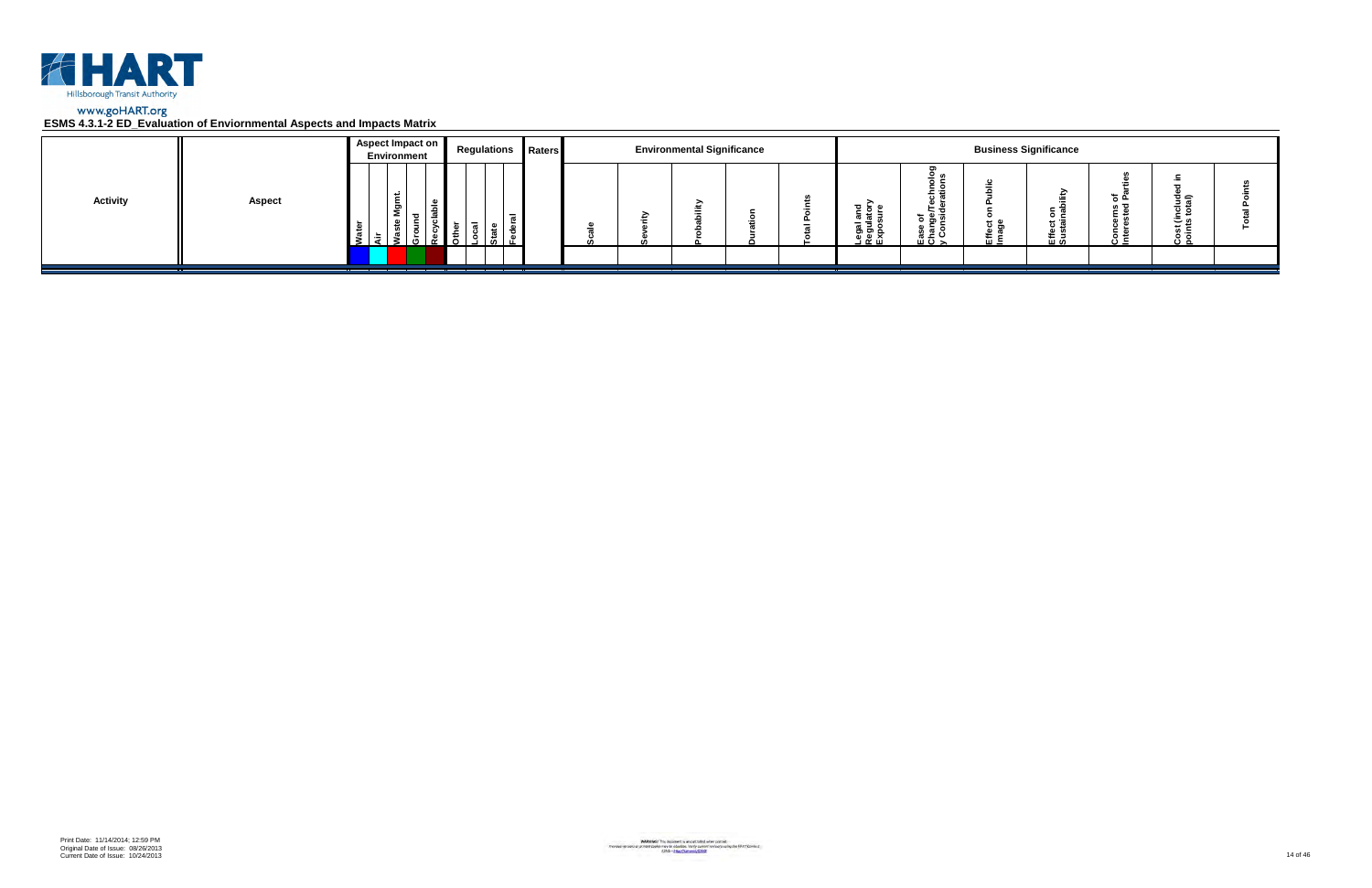

|                 |               | Aspect Impact on<br>Environment | <b>Regulations Raters</b> |  | <b>Environmental Significance</b> |  |                                                      |                                        |                      | <b>Business Significance</b> |                 |                         |  |
|-----------------|---------------|---------------------------------|---------------------------|--|-----------------------------------|--|------------------------------------------------------|----------------------------------------|----------------------|------------------------------|-----------------|-------------------------|--|
| <b>Activity</b> | <b>Aspect</b> | ۔ س<br>ទី<br>- 63               |                           |  |                                   |  | <u>ដូ ទ្ទី</u> ≦<br>క్లె క్లె క్ల<br><u>ា ចូ ក្ដ</u> | ಕ ಹಿ ತ<br><u>ہ ڇ</u> ۽<br>ن ≃ ؛<br>ᄪᅙᆾ | <del>ם</del> כ<br>๛゠ | $\circ$ $\circ$<br>로일        | ته <del>ہ</del> | ত্≘<br>، ت<br>×≂<br>ة ن |  |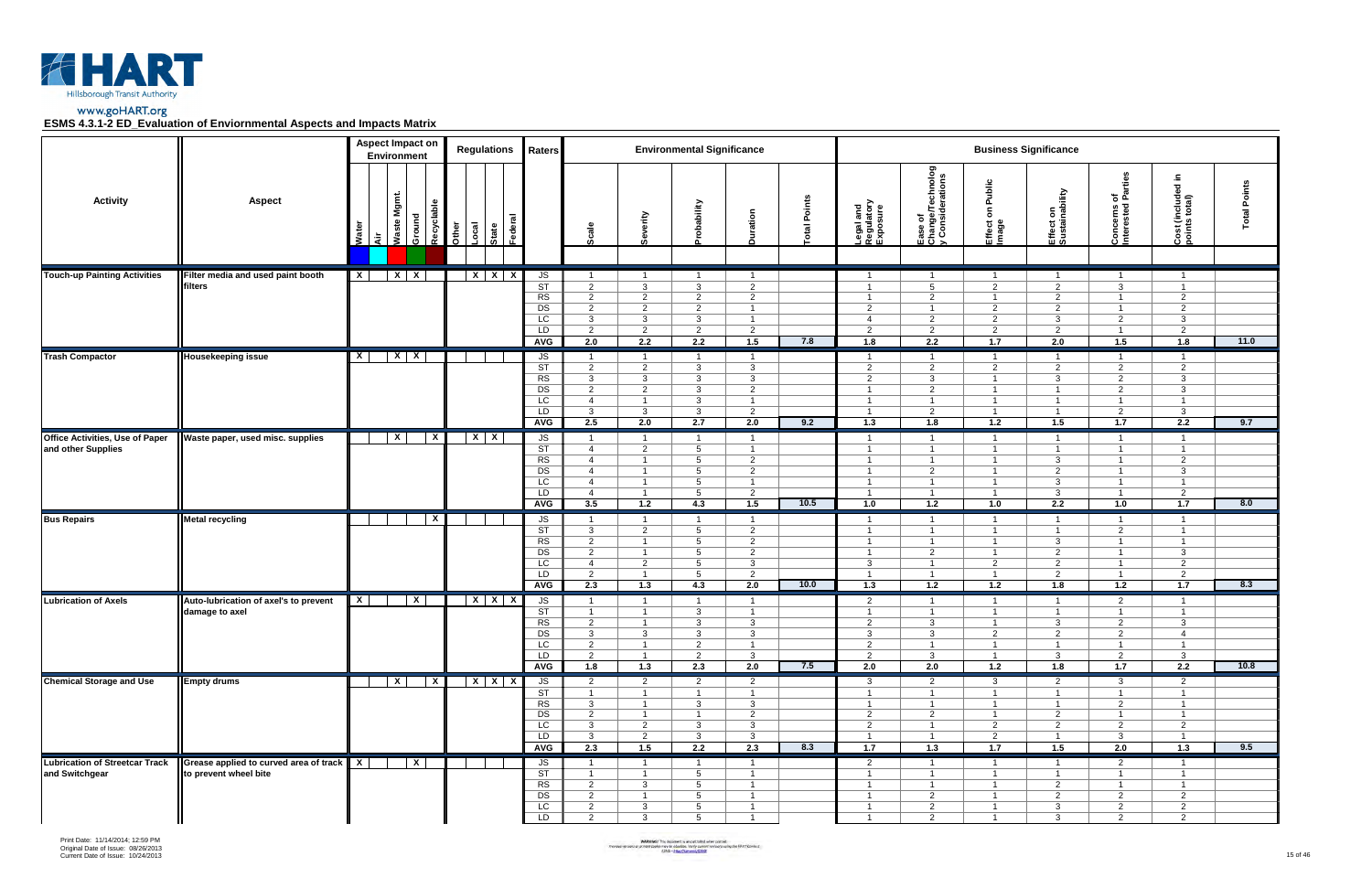



|                                                              |                                                                 |              | <b>Aspect Impact on</b><br>Environment |                         |       | <b>Regulations</b>        | <b>Raters</b>                                               |                                                                                                                            |                                                                                                                 | <b>Environmental Significance</b>                                                                             |                                                                                                               |                |                                                                                                               |                                                                                                                                   |                                                                                                                 | <b>Business Significance</b>                                                                       |                                                                                                                 |                                                                                                             |                     |
|--------------------------------------------------------------|-----------------------------------------------------------------|--------------|----------------------------------------|-------------------------|-------|---------------------------|-------------------------------------------------------------|----------------------------------------------------------------------------------------------------------------------------|-----------------------------------------------------------------------------------------------------------------|---------------------------------------------------------------------------------------------------------------|---------------------------------------------------------------------------------------------------------------|----------------|---------------------------------------------------------------------------------------------------------------|-----------------------------------------------------------------------------------------------------------------------------------|-----------------------------------------------------------------------------------------------------------------|----------------------------------------------------------------------------------------------------|-----------------------------------------------------------------------------------------------------------------|-------------------------------------------------------------------------------------------------------------|---------------------|
| <b>Activity</b>                                              | <b>Aspect</b>                                                   | Water<br>दे  | Waste Mgmt.                            | Recyclable<br>Ground    | Other | Federal<br>Local<br>State |                                                             | Scale                                                                                                                      | everity                                                                                                         | <b>villedo</b> .                                                                                              | ration                                                                                                        | Points<br>ispo | Legal and<br>Regulatory<br>Exposure                                                                           | Ease of<br>Change/Technolog<br>y Considerations                                                                                   | Public<br>$\epsilon$<br>Effect<br>Image                                                                         | Effect on<br>Sustainability                                                                        | of<br>Parties<br>Concerns of<br>Interested                                                                      | .드<br>$\overline{\mathbf{c}}$<br>Cost (include<br>points total)                                             | <b>Total Points</b> |
| <b>Touch-up Painting Activities</b>                          | Filter media and used paint booth<br>filters                    | $\mathbf{x}$ | $X \mid X$                             |                         |       | $X$ $X$ $X$               | JS<br>ST<br>RS<br>DS<br>LC<br>LD<br><b>AVG</b>              | $\overline{1}$<br>$\overline{2}$<br>$\overline{2}$<br>$\overline{2}$<br>$\mathbf{3}$<br>$\overline{2}$<br>2.0              | $\overline{1}$<br>$\mathbf{3}$<br>$\overline{2}$<br>$\overline{2}$<br>$\mathbf{3}$<br>$\overline{2}$<br>2.2     | $\overline{1}$<br>$\mathbf{3}$<br>$\overline{2}$<br>2<br>$\mathbf{3}$<br>$\overline{2}$<br>2.2                | $\overline{2}$<br>$\overline{2}$<br>$\overline{1}$<br>$\overline{1}$<br>$\overline{2}$<br>1.5                 | 7.8            | - 1<br>$\overline{1}$<br>$\overline{2}$<br>4<br>2<br>1.8                                                      | $\overline{1}$<br>5<br>$\overline{2}$<br>$\overline{1}$<br>$\overline{2}$<br>$\overline{2}$<br>2.2                                | $\overline{1}$<br>$\overline{2}$<br>$\overline{1}$<br>$\overline{2}$<br>$\overline{2}$<br>$\overline{2}$<br>1.7 | $\overline{1}$<br>2<br>$\overline{2}$<br>2<br>$\mathbf{3}$<br>2<br>2.0                             | $\overline{1}$<br>3<br>$\overline{1}$<br>$\overline{1}$<br>2<br>$\overline{1}$<br>1.5                           | $\overline{1}$<br>$\mathbf{1}$<br>$\overline{2}$<br>$\overline{2}$<br>$\mathbf{3}$<br>$\overline{2}$<br>1.8 | 11.0                |
| <b>Trash Compactor</b>                                       | <b>Housekeeping issue</b>                                       | $\mathsf{x}$ | $X \mid X$                             |                         |       |                           | JS<br>ST<br>RS<br>DS<br>LC<br>LD<br><b>AVG</b>              | $\overline{1}$<br>$\overline{2}$<br>$\mathbf{3}$<br>$\overline{2}$<br>$\overline{4}$<br>$\mathbf{3}$<br>2.5                | $\overline{1}$<br>$\overline{2}$<br>$\mathbf{3}$<br>$\overline{2}$<br>$\overline{1}$<br>$\mathbf{3}$<br>2.0     | $\overline{1}$<br>$\mathbf{3}$<br>$\mathbf{3}$<br>$\mathbf{3}$<br>$\mathbf{3}$<br>$\mathbf{3}$<br>2.7         | $\overline{\mathbf{1}}$<br>$\mathbf{3}$<br>$\mathbf{3}$<br>$\overline{2}$<br>$\overline{2}$<br>2.0            | 9.2            | 2<br>$\overline{2}$<br>$\mathbf 1$<br>-1<br>$\overline{1}$<br>1.3                                             | $\overline{\mathbf{1}}$<br>$\overline{2}$<br>$\mathbf{3}$<br>$\overline{2}$<br>$\overline{1}$<br>$\overline{2}$<br>1.8            | $\overline{1}$<br>$\overline{2}$<br>$\overline{1}$<br>$\overline{1}$<br>$\overline{1}$<br>$\overline{1}$<br>1.2 | -1<br>2<br>$\mathbf{3}$<br>$\overline{1}$<br>$\overline{\mathbf{1}}$<br>$\overline{1}$<br>1.5      | $\overline{1}$<br>$\overline{2}$<br>2<br>2<br>$\overline{1}$<br>$\overline{2}$<br>1.7                           | $\overline{1}$<br>$\overline{2}$<br>$\mathbf{3}$<br>3<br>$\overline{1}$<br>$\mathbf{3}$<br>2.2              | 9.7                 |
| <b>Office Activities, Use of Paper</b><br>and other Supplies | Waste paper, used misc. supplies                                |              | $\mathbf x$                            | $\overline{\mathbf{x}}$ |       | $X$   X                   | JS<br>ST<br>RS<br>DS<br><b>LC</b><br>LD<br>AVG              | $\mathbf{1}$<br>$\overline{4}$<br>$\overline{4}$<br>$\overline{4}$<br>$\overline{4}$<br>$\overline{4}$<br>3.5              | - 1<br>$\overline{2}$<br>$\overline{1}$<br>$\overline{1}$<br>$\overline{1}$<br>$\overline{1}$<br>1.2            | $5\overline{5}$<br>$5\overline{5}$<br>5<br>5<br>5<br>4.3                                                      | $\overline{2}$<br>$\overline{2}$<br>$\overline{2}$<br>1.5                                                     | 10.5           | $\overline{1}$<br>$\overline{1}$<br>$\mathbf{1}$<br>$\overline{1}$<br>1.0                                     | -1<br>$\overline{\mathbf{1}}$<br>$\overline{1}$<br>$\overline{2}$<br>-1<br>$\overline{1}$<br>1.2                                  | -1<br>$\overline{1}$<br>$\overline{1}$<br>$\overline{1}$<br>-1<br>$\overline{1}$<br>1.0                         | $\overline{1}$<br>$\mathbf{3}$<br>2<br>$\mathbf{3}$<br>$\mathbf{3}$<br>2.2                         | $\overline{1}$<br>$\overline{1}$<br>$\overline{1}$<br>$\overline{1}$<br>$\overline{1}$<br>$\overline{1}$<br>1.0 | -1<br>$\mathbf{1}$<br>2<br>3<br>$\overline{1}$<br>$\overline{2}$<br>1.7                                     | 8.0                 |
| <b>Bus Repairs</b>                                           | <b>Metal recycling</b>                                          |              |                                        | $\mathbf{x}$            |       |                           | JS<br>ST<br>RS<br>$\overline{DS}$<br>LC<br>LD<br>AVG        | $\overline{1}$<br>$\mathbf{3}$<br>$\overline{2}$<br>$\overline{2}$<br>$\overline{4}$<br>$\overline{2}$<br>$\overline{2.3}$ | $\overline{1}$<br>$\overline{2}$<br>$\overline{1}$<br>$\overline{1}$<br>$\overline{2}$<br>$\overline{1}$<br>1.3 | $\overline{1}$<br>5<br>5<br>5<br>5<br>5<br>4.3                                                                | $\overline{1}$<br>$\overline{2}$<br>$\overline{2}$<br>$\overline{2}$<br>$\mathbf{3}$<br>$\overline{2}$<br>2.0 | 10.0           | $\overline{1}$<br>$\mathbf 1$<br>$\overline{1}$<br>3<br>$\overline{1}$<br>1.3                                 | $\overline{1}$<br>$\overline{\mathbf{1}}$<br>$\overline{1}$<br>$\overline{2}$<br>$\overline{\mathbf{1}}$<br>$\overline{1}$<br>1.2 | $\overline{1}$<br>$\overline{1}$<br>$\overline{1}$<br>$\overline{1}$<br>$\overline{2}$<br>$\overline{1}$<br>1.2 | $\overline{1}$<br>$\overline{1}$<br>3<br>2<br>2<br>2<br>1.8                                        | $\overline{1}$<br>$\overline{2}$<br>$\overline{1}$<br>$\overline{1}$<br>$\overline{1}$<br>$\overline{1}$<br>1.2 | $\overline{1}$<br>$\mathbf{1}$<br>$\overline{1}$<br>$\mathbf{3}$<br>$\overline{2}$<br>2<br>$\overline{1.7}$ | 8.3                 |
| <b>Lubrication of Axels</b>                                  | Auto-lubrication of axel's to prevent<br>damage to axel         | $\mathbf{X}$ |                                        | $\mathbf{x}$            |       | $X$ $X$ $X$               | JS<br>ST<br>RS<br>DS<br>LC<br>LD<br><b>AVG</b>              | $\overline{1}$<br>$\overline{1}$<br>2<br>$\mathbf{3}$<br>2<br>$\overline{2}$<br>1.8                                        | $\overline{1}$<br>$\overline{1}$<br>3<br>$\overline{1}$<br>$\overline{1}$<br>1.3                                | $\overline{1}$<br>$\mathbf{3}$<br>$\mathbf{3}$<br>$\mathbf{3}$<br>2<br>$\overline{2}$<br>2.3                  | $\overline{\mathbf{1}}$<br>3<br>3<br>$\overline{1}$<br>$\mathbf{3}$<br>2.0                                    | 7.5            | $\overline{2}$<br>$\overline{1}$<br>$\overline{2}$<br>$\mathbf{3}$<br>$\overline{2}$<br>$\overline{2}$<br>2.0 | -1<br>$\overline{1}$<br>3<br>$\mathbf{3}$<br>$\overline{1}$<br>$\mathbf{3}$<br>2.0                                                | $\overline{1}$<br>$\overline{1}$<br>$\overline{2}$<br>$\overline{1}$<br>$\overline{1}$<br>1.2                   | -1<br>$\overline{1}$<br>$\mathbf{3}$<br>$\overline{2}$<br>$\overline{1}$<br>$\mathbf{3}$<br>1.8    | 2<br>$\overline{1}$<br>$\overline{2}$<br>$\overline{2}$<br>$\overline{1}$<br>$\overline{2}$<br>1.7              | $\overline{1}$<br>1<br>$\mathbf{3}$<br>4<br>$\overline{1}$<br>$\mathbf{3}$<br>2.2                           | 10.8                |
| <b>Chemical Storage and Use</b>                              | <b>Empty drums</b>                                              |              | $\mathbf{x}$                           | $\overline{X}$          |       | $X$ $X$ $X$               | JS<br>$\overline{\text{ST}}$<br>RS<br>DS<br>LC<br>LD<br>AVG | $\overline{2}$<br>$\overline{1}$<br>$\mathbf{3}$<br>$\overline{2}$<br>3 <sup>1</sup><br>$\mathbf{3}$<br>2.3                | $\overline{2}$<br>$\overline{1}$<br>$\overline{1}$<br>$\overline{1}$<br>$\overline{2}$<br>$\overline{2}$<br>1.5 | $\overline{2}$<br>$\overline{1}$<br>$\mathbf{3}$<br>$\overline{1}$<br>$\mathbf{3}$<br>$\mathbf{3}$<br>2.2     | $\overline{2}$<br>$\mathbf{3}$<br>$\overline{2}$<br>$\mathbf{3}$<br>$\mathbf{3}$<br>2.3                       | 8.3            | $\mathbf{3}$<br>$\overline{1}$<br>$\overline{1}$<br>$\overline{2}$<br>$\overline{2}$<br>$\overline{1}$<br>1.7 | $\overline{2}$<br>$\overline{1}$<br>$\overline{1}$<br>2<br>$\overline{1}$<br>$\overline{1}$<br>1.3                                | $\mathbf{3}$<br>$\overline{1}$<br>$\overline{1}$<br>$\overline{1}$<br>$\overline{2}$<br>$\overline{2}$<br>1.7   | $\overline{2}$<br>$\overline{1}$<br>$\overline{1}$<br>2<br>$\overline{2}$<br>$\overline{1}$<br>1.5 | 3 <sup>3</sup><br>$\overline{1}$<br>$\overline{2}$<br>$\overline{1}$<br>$\overline{2}$<br>$\mathbf{3}$<br>2.0   | $\overline{2}$<br>$\mathbf{1}$<br>$\mathbf{1}$<br>$\overline{1}$<br>$\overline{2}$<br>$\overline{1}$<br>1.3 | 9.5                 |
| <b>Lubrication of Streetcar Track</b><br>and Switchgear      | Grease applied to curved area of track<br>to prevent wheel bite | $\mathbf{x}$ |                                        | $\overline{x}$          |       |                           | JS<br>ST<br>RS<br>DS<br>LC<br>LD                            | $\overline{1}$<br>$\overline{1}$<br>$\overline{2}$<br>2<br>$\overline{2}$<br>$\overline{2}$                                | $\overline{1}$<br>$\overline{1}$<br>$\mathbf{3}$<br>$\overline{1}$<br>$\overline{\mathbf{3}}$<br>$\mathbf{3}$   | $\overline{1}$<br>$5\overline{)}$<br>$5\phantom{.0}$<br>$5\overline{)}$<br>$5\overline{)}$<br>$5\overline{)}$ | $\overline{1}$<br>$\overline{1}$<br>$\overline{1}$<br>$\overline{1}$<br>$\overline{1}$<br>$\overline{1}$      |                | $\overline{2}$<br>$\overline{1}$<br>$\overline{1}$<br>$\overline{1}$<br>$\overline{1}$<br>$\overline{1}$      | $\overline{1}$<br>$\overline{1}$<br>$\overline{1}$<br>2<br>$\overline{2}$<br>$\overline{2}$                                       | $\overline{1}$<br>$\overline{1}$<br>$\overline{1}$<br>$\overline{1}$<br>$\overline{1}$<br>$\overline{1}$        | $\overline{1}$<br>$\overline{1}$<br>$\overline{2}$<br>2<br>$\mathbf{3}$<br>$\mathbf{3}$            | $\overline{2}$<br>$\overline{1}$<br>$\overline{1}$<br>$\overline{2}$<br>$\overline{2}$<br>$\overline{2}$        | $\overline{1}$<br>$\overline{1}$<br>$\overline{1}$<br>$\overline{2}$<br>$\overline{2}$<br>$2^{\circ}$       |                     |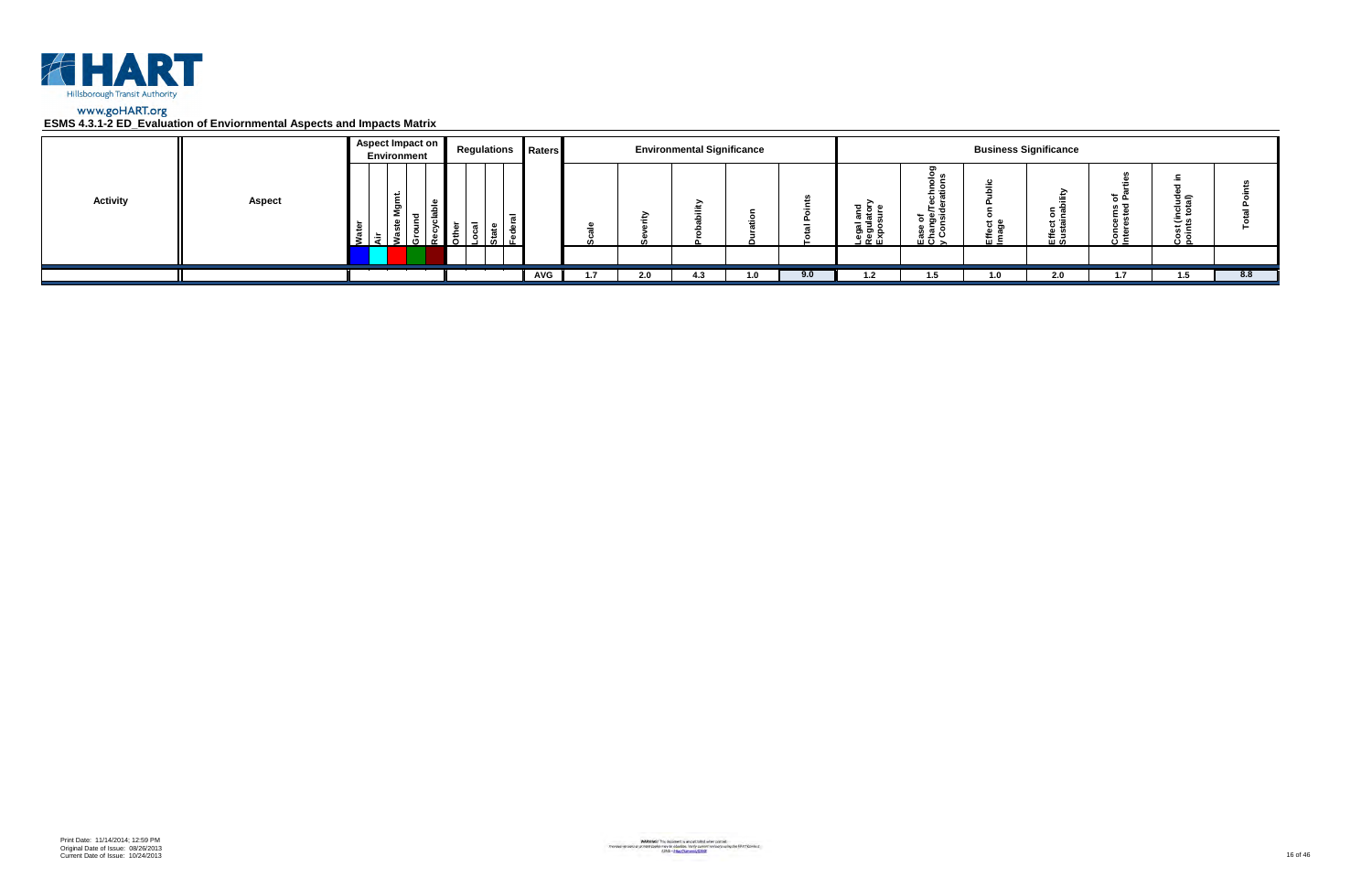

|                 |               | Aspect Impact on<br>Environment | <b>Regulations Raters</b> |            |     | <b>Environmental Significance</b> |     |     |                                                   |                                                                                  |           | <b>Business Significance</b> |            |                                     |     |
|-----------------|---------------|---------------------------------|---------------------------|------------|-----|-----------------------------------|-----|-----|---------------------------------------------------|----------------------------------------------------------------------------------|-----------|------------------------------|------------|-------------------------------------|-----|
| <b>Activity</b> | <b>Aspect</b> | Ĕ<br>ξŌ<br>ء<br>ீ<br>5.         | $\overline{a}$            |            |     |                                   |     |     | ត្ត ខ្ព <sub>ំ</sub><br>اـegal<br>الاقعال<br>Expo | ⊻ ທ<br>ិ ទី ១<br><u> ខ្ញុំ ទី</u><br>$\overline{u}$ $\overline{v}$ $\rightarrow$ | ະ ອ<br>๛゠ | ⊼ ⊃<br>0 C<br>ដូ ចូ<br>巴일    | ء ڄ<br>د ن | ੌਤ ਛ<br>ة ن<br>م ٿ<br>Cost<br>point |     |
|                 |               |                                 |                           |            |     |                                   |     |     |                                                   |                                                                                  |           |                              |            |                                     |     |
|                 |               |                                 |                           | <b>AVG</b> | 2.0 | -4.3                              | 1.0 | 9.0 | 1.2                                               | 1.5                                                                              | 1.0       | 2.0                          | 1.7        | 1.5                                 | 8.8 |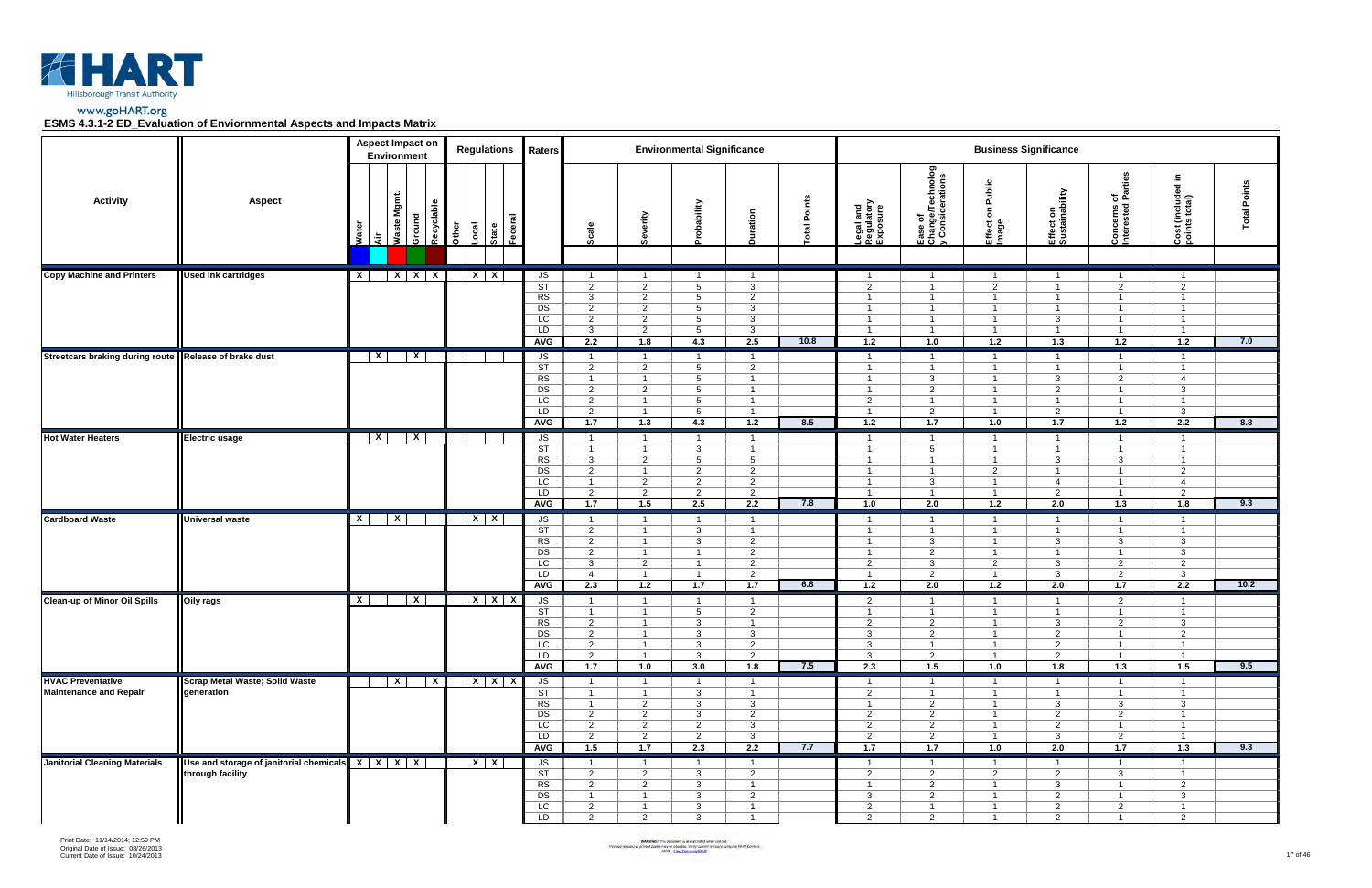

|                                                         |                                                                                         |              | <b>Aspect Impact on</b><br><b>Environment</b> | <b>Regulations</b>                               | Raters                                                                    |                                                                                               |                                                                                                 | <b>Environmental Significance</b>                                                       |                                                                                               |                |                                                                                               |                                                                                                            |                                                                                               | <b>Business Significance</b>                                                                             |                                                                                               |                                                                                               |                        |
|---------------------------------------------------------|-----------------------------------------------------------------------------------------|--------------|-----------------------------------------------|--------------------------------------------------|---------------------------------------------------------------------------|-----------------------------------------------------------------------------------------------|-------------------------------------------------------------------------------------------------|-----------------------------------------------------------------------------------------|-----------------------------------------------------------------------------------------------|----------------|-----------------------------------------------------------------------------------------------|------------------------------------------------------------------------------------------------------------|-----------------------------------------------------------------------------------------------|----------------------------------------------------------------------------------------------------------|-----------------------------------------------------------------------------------------------|-----------------------------------------------------------------------------------------------|------------------------|
| <b>Activity</b>                                         | <b>Aspect</b>                                                                           | š<br>ਂ ਕੋ    | Waste Mgmt.<br>Ground                         | Recyclable<br>State<br>Federal<br>-ocal<br>Other |                                                                           | Scale                                                                                         | Severity                                                                                        | obability                                                                               | Duration                                                                                      | Points<br> eta | Legal and<br>Regulatory<br>Exposure                                                           | Ease of<br>Change/Technolog<br>y Considerations                                                            | ublic<br>௳<br>δ<br>Effect<br>Image                                                            | Effect on<br>Sustainability                                                                              | rties<br>ᅙᄠ<br>Concerns o<br>Interested                                                       | Ξ.<br>Cost (included i<br>points total)                                                       | Points<br><b>lepo.</b> |
| <b>Copy Machine and Printers</b>                        | <b>Used ink cartridges</b>                                                              | $\mathsf{x}$ | $X$ $X$ $X$                                   | $X \mid X$                                       | JS                                                                        | $\overline{1}$                                                                                | $\overline{1}$                                                                                  | $\overline{1}$                                                                          | $\mathbf{1}$                                                                                  |                | $\mathbf{1}$                                                                                  | $\overline{1}$                                                                                             | $\mathbf{1}$                                                                                  | $\overline{1}$                                                                                           | $\overline{1}$                                                                                | $\overline{1}$                                                                                |                        |
|                                                         |                                                                                         |              |                                               |                                                  | $\overline{\text{ST}}$<br>RS<br>$\overline{DS}$<br>LC<br>LD<br><b>AVG</b> | $\overline{2}$<br>$\mathbf{3}$<br>$\overline{2}$<br>$\overline{2}$<br>$\mathbf{3}$<br>2.2     | $\overline{2}$<br>$\overline{2}$<br>$\overline{2}$<br>$\overline{2}$<br>$\overline{2}$<br>1.8   | $5\overline{5}$<br>$5\overline{5}$<br>5<br>$5\overline{)}$<br>$5\overline{)}$<br>4.3    | $\mathbf{3}$<br>$\overline{2}$<br>3<br>3<br>3<br>2.5                                          | 10.8           | $\overline{2}$<br>$\overline{1}$<br>$\overline{1}$<br>$\mathbf{1}$<br>$\overline{1}$<br>1.2   | $\overline{1}$<br>$\overline{1}$<br>$\overline{1}$<br>$\overline{1}$<br>$\overline{1}$<br>1.0              | 2<br>$\overline{1}$<br>$\overline{1}$<br>$\overline{1}$<br>$\overline{1}$<br>1.2              | $\overline{1}$<br>$\overline{1}$<br>$\overline{1}$<br>3<br>$\overline{1}$<br>$1.3$                       | $\overline{2}$<br>$\overline{1}$<br>$\overline{1}$<br>$\overline{1}$<br>$\overline{1}$<br>1.2 | $\overline{2}$<br>$\overline{1}$<br>$\overline{1}$<br>$\overline{1}$<br>$\overline{1}$<br>1.2 | 7.0                    |
| Streetcars braking during route   Release of brake dust |                                                                                         | $\mathsf{x}$ | $\mathbf{x}$                                  |                                                  | JS                                                                        | $\overline{1}$                                                                                | $\overline{1}$                                                                                  | $\overline{1}$                                                                          | $\overline{1}$                                                                                |                | $\overline{1}$                                                                                | $\overline{1}$                                                                                             | $\overline{1}$                                                                                | $\overline{1}$                                                                                           | $\overline{1}$                                                                                | $\overline{1}$                                                                                |                        |
|                                                         |                                                                                         |              |                                               |                                                  | ST<br>RS<br>DS<br>LC<br>LD<br><b>AVG</b>                                  | $\overline{2}$<br>$\overline{1}$<br>$\overline{2}$<br>$\overline{2}$<br>2<br>1.7              | $\overline{2}$<br>$\overline{1}$<br>$\overline{2}$<br>$\overline{1}$<br>$\overline{1}$<br>$1.3$ | 5<br>5<br>5<br>5<br>$5\overline{5}$<br>4.3                                              | $\overline{2}$<br>$\overline{1}$<br>$\mathbf{1}$<br>$\mathbf{1}$<br>$\overline{1}$<br>1.2     | 8.5            | $\overline{1}$<br>$\overline{1}$<br>$\mathbf{1}$<br>$\overline{2}$<br>$\overline{1}$<br>1.2   | $\overline{1}$<br>$\mathbf{3}$<br>2<br>$\overline{1}$<br>2<br>1.7                                          | $\overline{1}$<br>$\overline{1}$<br>$\mathbf{1}$<br>$\overline{1}$<br>$\overline{1}$<br>1.0   | $\overline{1}$<br>$\mathbf{3}$<br>$\overline{2}$<br>$\overline{1}$<br>2<br>$1.7$                         | $\overline{1}$<br>$\overline{2}$<br>-1<br>$\overline{1}$<br>$\overline{1}$<br>1.2             | $\overline{1}$<br>$\overline{4}$<br>$\mathbf{3}$<br>$\overline{1}$<br>$\mathbf{3}$<br>2.2     | 8.8                    |
| <b>Hot Water Heaters</b>                                | <b>Electric usage</b>                                                                   | $\mathbf{x}$ | $\mathbf{x}$                                  |                                                  | JS                                                                        | $\overline{1}$                                                                                | $\overline{1}$                                                                                  | $\overline{1}$                                                                          | $\overline{1}$                                                                                |                | $\overline{1}$                                                                                | $\overline{1}$                                                                                             | $\overline{1}$                                                                                | $\overline{1}$                                                                                           | $\overline{1}$                                                                                | $\overline{1}$                                                                                |                        |
|                                                         |                                                                                         |              |                                               |                                                  | $\overline{\text{ST}}$<br>RS<br>DS<br>LC<br>LD<br>AVG                     | $\overline{1}$<br>$\mathbf{3}$<br>$\overline{2}$<br>$\overline{1}$<br>$\overline{2}$<br>1.7   | $\overline{1}$<br>2<br>$\overline{1}$<br>2<br>$\overline{2}$<br>1.5                             | $\mathbf{3}$<br>5<br>$\overline{2}$<br>$\overline{2}$<br>$\overline{2}$<br>2.5          | $\overline{1}$<br>5 <sup>5</sup><br>$\overline{2}$<br>$\overline{2}$<br>$\overline{2}$<br>2.2 | 7.8            | $\overline{1}$<br>$\overline{1}$<br>$\overline{1}$<br>$\overline{1}$<br>$\overline{1}$<br>1.0 | 5<br>$\overline{1}$<br>$\mathbf{3}$<br>$\overline{1}$<br>2.0                                               | $\overline{1}$<br>$\overline{1}$<br>$\overline{2}$<br>$\overline{1}$<br>$\overline{1}$<br>1.2 | $\overline{1}$<br>3<br>$\overline{1}$<br>$\overline{4}$<br>$\overline{2}$<br>2.0                         | $\overline{1}$<br>$\mathbf{3}$<br>$\overline{1}$<br>$\overline{1}$<br>$\overline{1}$<br>1.3   | $\overline{1}$<br>$\overline{1}$<br>$\overline{2}$<br>$\overline{4}$<br>2<br>1.8              | 9.3                    |
| <b>Cardboard Waste</b>                                  | Universal waste                                                                         | X            | $\mathbf{x}$                                  | $X$ $X$                                          | JS                                                                        | $\overline{1}$                                                                                | $\overline{1}$                                                                                  | $\overline{1}$                                                                          | $\mathbf{1}$                                                                                  |                | $\overline{1}$                                                                                | $\overline{1}$                                                                                             | $\overline{1}$                                                                                | $\overline{1}$                                                                                           | $\overline{1}$                                                                                | $\overline{1}$                                                                                |                        |
|                                                         |                                                                                         |              |                                               |                                                  | $\overline{\text{ST}}$<br>RS<br>DS<br>LC<br>LD<br><b>AVG</b>              | $\overline{2}$<br>$\overline{2}$<br>$\overline{2}$<br>$\mathbf{3}$<br>$\overline{4}$<br>2.3   | $\overline{1}$<br>$\mathbf{1}$<br>$\overline{1}$<br>$\overline{2}$<br>$\overline{1}$<br>1.2     | $\mathbf{3}$<br>3<br>$\overline{1}$<br>$\overline{1}$<br>1.7                            | $\mathbf{1}$<br>$\overline{2}$<br>$\overline{2}$<br>$\overline{2}$<br>$\overline{2}$<br>1.7   | 6.8            | $\overline{1}$<br>$\mathbf{1}$<br>$\overline{1}$<br>2<br>$\overline{1}$<br>1.2                | $\overline{1}$<br>3<br>$\overline{2}$<br>$\mathbf{3}$<br>2<br>2.0                                          | $\overline{1}$<br>$\overline{1}$<br>$\overline{1}$<br>$\overline{2}$<br>$\overline{1}$<br>1.2 | $\overline{1}$<br>3<br>$\overline{1}$<br>$\mathbf{3}$<br>3<br>2.0                                        | $\overline{1}$<br>3<br>$\overline{1}$<br>$\overline{2}$<br>$\overline{2}$<br>$1.7$            | $\mathbf{1}$<br>$\mathbf{3}$<br>$\mathbf{3}$<br>2<br>$\mathbf{3}$<br>2.2                      | 10.2                   |
| <b>Clean-up of Minor Oil Spills</b>                     | <b>Oily rags</b>                                                                        | X            | $\mathbf{x}$                                  | $X$ $X$ $X$                                      | $\sqrt{S}$                                                                | $\mathbf 1$                                                                                   | $\overline{1}$                                                                                  | - 1                                                                                     | $\overline{1}$                                                                                |                | 2                                                                                             | $\overline{1}$                                                                                             | $\overline{1}$                                                                                | - 1                                                                                                      | $\overline{2}$                                                                                | $\overline{1}$                                                                                |                        |
|                                                         |                                                                                         |              |                                               |                                                  | <b>ST</b><br>RS<br>DS<br>$\overline{LC}$<br>LD<br>AVG                     | $\overline{1}$<br>$\overline{2}$<br>$\overline{2}$<br>$\overline{2}$<br>$\overline{2}$<br>1.7 | $\overline{1}$<br>$\overline{1}$<br>$\overline{1}$<br>$\overline{1}$<br>$\overline{1}$<br>1.0   | $5\overline{)}$<br>3<br>$\mathbf{3}$<br>3<br>$\mathbf{3}$<br>3.0                        | $\overline{2}$<br>$\overline{1}$<br>3 <sup>1</sup><br>$\overline{2}$<br>$2^{\circ}$<br>1.8    | 7.5            | $\mathbf{1}$<br>$\overline{2}$<br>$\mathbf{3}$<br>3<br>$\mathbf{3}$<br>2.3                    | $\overline{1}$<br>$\overline{2}$<br>$\overline{2}$<br>$\overline{2}$<br>1.5                                | $\overline{1}$<br>$\overline{1}$<br>$\overline{1}$<br>$\overline{1}$<br>$\overline{1}$<br>1.0 | $\overline{1}$<br>$\mathbf{3}$<br>$\overline{2}$<br>$\overline{2}$<br>$\overline{2}$<br>$\overline{1.8}$ | $\overline{1}$<br>$\overline{2}$<br>$\overline{1}$<br>$\overline{1}$<br>- 1<br>1.3            | $\overline{1}$<br>$\mathbf{3}$<br>$\overline{2}$<br>$\overline{1}$<br>1.5                     | 9.5                    |
| <b>HVAC Preventative</b>                                | Scrap Metal Waste; Solid Waste                                                          |              | $\mathbf{x}$                                  | $X$ $X$ $X$<br>$\vert x \vert$                   | JS                                                                        | $\overline{1}$                                                                                | $\overline{1}$                                                                                  | $\overline{1}$                                                                          | $\overline{1}$                                                                                |                | $\overline{1}$                                                                                | $\overline{1}$                                                                                             | $\overline{1}$                                                                                | $\overline{1}$                                                                                           | $\overline{1}$                                                                                | $\overline{1}$                                                                                |                        |
| <b>Maintenance and Repair</b>                           | generation                                                                              |              |                                               |                                                  | $\overline{\text{ST}}$<br>RS<br>DS<br>LC<br>LD<br>AVG                     | $\overline{1}$<br>$\overline{1}$<br>$\overline{2}$<br>$\overline{2}$<br>2<br>1.5              | $\overline{1}$<br>$\overline{2}$<br>$\overline{2}$<br>$\overline{2}$<br>$\overline{2}$<br>1.7   | $\mathbf{3}$<br>$\mathbf{3}$<br>$\mathbf{3}$<br>$\overline{2}$<br>$\overline{2}$<br>2.3 | $\mathbf{1}$<br>$\mathbf{3}$<br>$\overline{2}$<br>$\mathbf{3}$<br>$\mathbf{3}$<br>2.2         | 7.7            | $\overline{2}$<br>$\overline{1}$<br>$\overline{2}$<br>$\overline{2}$<br>$\overline{2}$<br>1.7 | $\overline{1}$<br>$\overline{2}$<br>$\overline{2}$<br>$\overline{2}$<br>$\overline{2}$<br>$\overline{1.7}$ | $\overline{1}$<br>$\overline{1}$<br>$\overline{1}$<br>$\overline{1}$<br>$\overline{1}$<br>1.0 | $\overline{1}$<br>$\mathbf{3}$<br>$\overline{2}$<br>2<br>$\mathbf{3}$<br>2.0                             | $\overline{1}$<br>$\mathbf{3}$<br>$\overline{2}$<br>$\overline{1}$<br>$\overline{2}$<br>$1.7$ | $\overline{1}$<br>$\mathbf{3}$<br>$\overline{1}$<br>$\overline{1}$<br>$\mathbf{1}$<br>1.3     | 9.3                    |
| <b>Janitorial Cleaning Materials</b>                    | $\vert$ Use and storage of janitorial chemicals $\vert x \vert x \vert x \vert x \vert$ |              |                                               | $X$   $X$                                        | JS                                                                        | $\overline{1}$                                                                                | $\overline{1}$                                                                                  | $\overline{1}$                                                                          | $\overline{1}$                                                                                |                | $\mathbf{1}$                                                                                  | $\overline{1}$                                                                                             | $\overline{1}$                                                                                | $\overline{1}$                                                                                           | $\overline{1}$                                                                                | $\overline{1}$                                                                                |                        |
|                                                         | through facility                                                                        |              |                                               |                                                  | $\overline{\text{ST}}$<br>RS<br>DS<br>$\overline{LC}$<br>LD               | $\overline{2}$<br>$\overline{2}$<br>$\overline{1}$<br>$\overline{2}$<br>2                     | $\overline{2}$<br>$\overline{2}$<br>$\overline{1}$<br>$\overline{1}$<br>2                       | $\mathbf{3}$<br>$\mathbf{3}$<br>$\mathbf{3}$<br>$\mathbf{3}$<br>$\mathbf{3}$            | $\overline{2}$<br>$\mathbf{1}$<br>$\overline{2}$<br>$\mathbf{1}$<br>$\mathbf{1}$              |                | $\overline{2}$<br>$\overline{1}$<br>3<br>$\overline{2}$<br>2                                  | $\overline{2}$<br>$\overline{2}$<br>$\overline{2}$<br>$\overline{1}$<br>2                                  | 2<br>$\overline{1}$<br>$\overline{1}$<br>$\overline{1}$<br>$\overline{1}$                     | $\overline{2}$<br>$\mathbf{3}$<br>$\overline{2}$<br>$\overline{2}$<br>2                                  | $\mathbf{3}$<br>$\overline{1}$<br>$\overline{1}$<br>$\overline{2}$<br>$\overline{1}$          | $\overline{1}$<br>$\overline{2}$<br>$\mathbf{3}$<br>$\mathbf{1}$<br>2                         |                        |

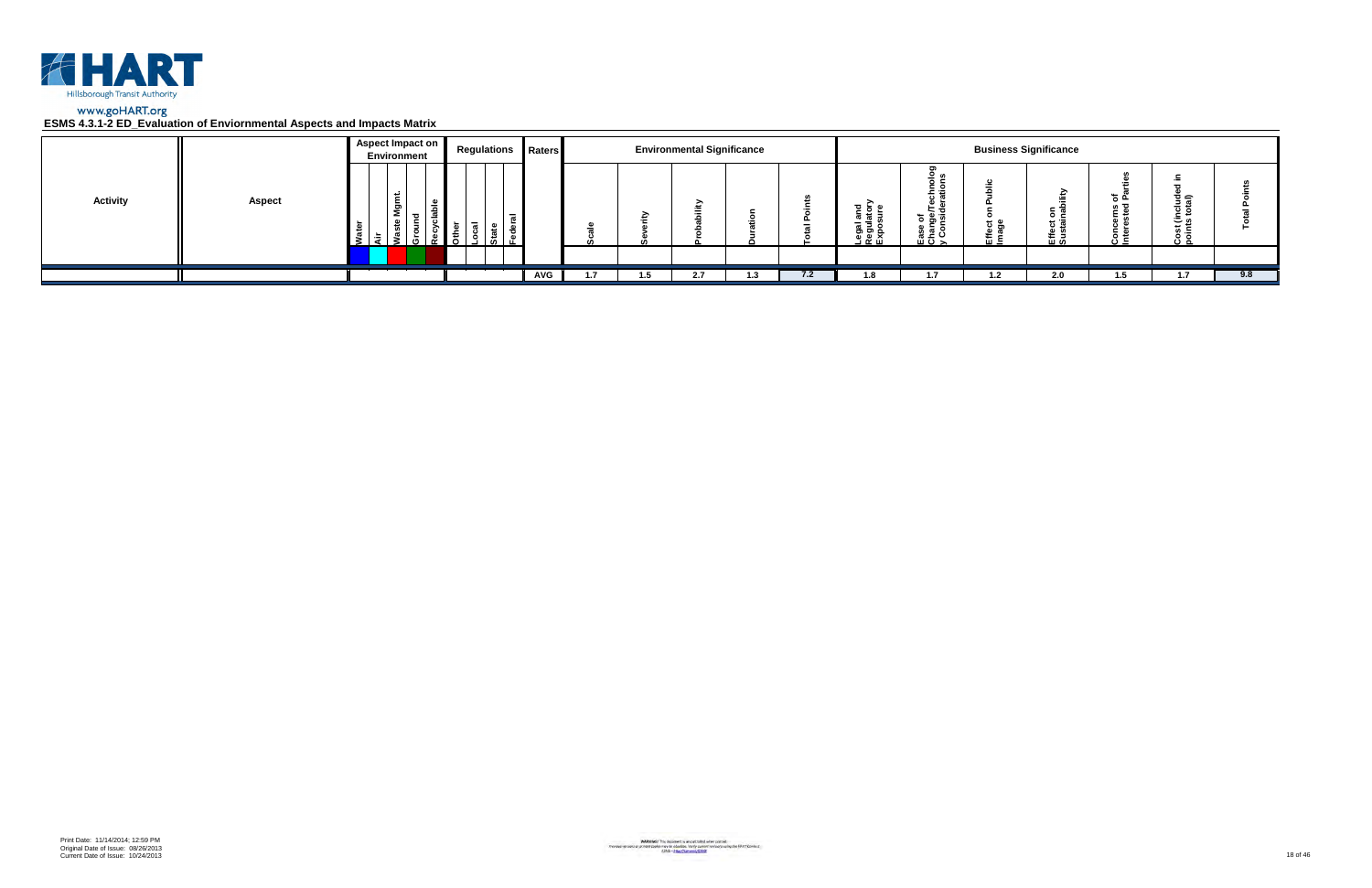

|                 |               | Aspect Impact on<br>Environment | <b>Regulations Raters</b> |            |     | <b>Environmental Significance</b> |     |     |                                                   |                                                                                  |           | <b>Business Significance</b> |            |                                     |     |
|-----------------|---------------|---------------------------------|---------------------------|------------|-----|-----------------------------------|-----|-----|---------------------------------------------------|----------------------------------------------------------------------------------|-----------|------------------------------|------------|-------------------------------------|-----|
| <b>Activity</b> | <b>Aspect</b> | Ĕ<br>ξŌ<br>ء<br>ீ<br>5.         | $\overline{a}$            |            |     |                                   |     |     | ត្ត ខ្ព <sub>ំ</sub><br>اـegal<br>الاقعال<br>Expo | ⊻ ທ<br>ិ ទី ១<br><u> ខ្ញុំ ទី</u><br>$\overline{u}$ $\overline{v}$ $\rightarrow$ | ະ ອ<br>๛゠ | ⊼ ⊃<br>0 C<br>ដូ ចូ<br>巴일    | ء ڄ<br>د ن | ੌਤ ਛ<br>ة ن<br>م ٿ<br>Cost<br>point |     |
|                 |               |                                 |                           |            |     |                                   |     |     |                                                   |                                                                                  |           |                              |            |                                     |     |
|                 |               |                                 |                           | <b>AVG</b> | 1.5 | -2.7                              | 1.3 | 7.2 | 1.8                                               | 1.7                                                                              | 1.2       | 2.0                          | -1.5       | 1.7                                 | 9.8 |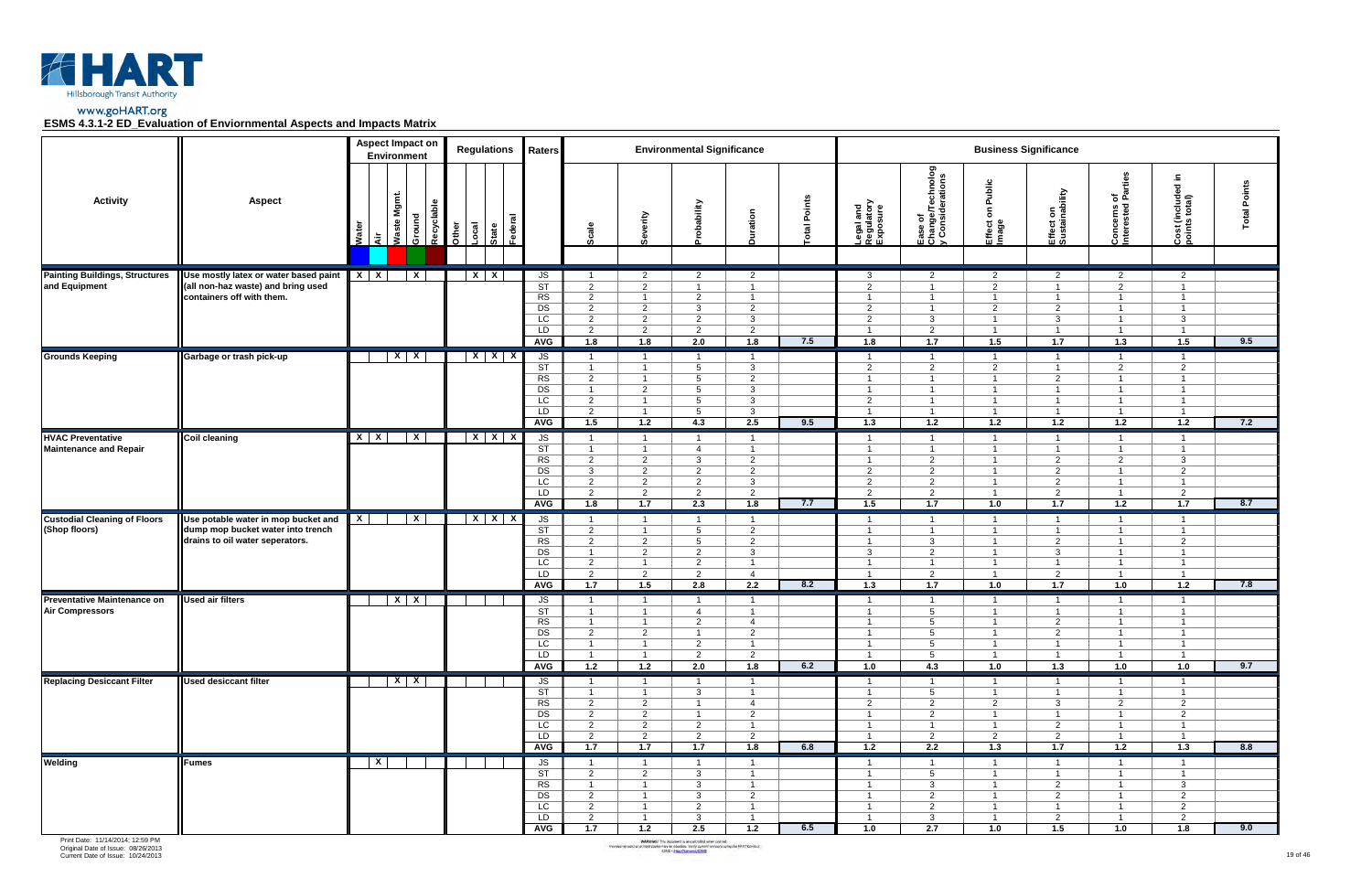

|                                                           |                                                                                                             |                | <b>Aspect Impact on</b><br>Environment |       | <b>Regulations</b>                   | Raters                                                                   |                                                                                                                 |                                                                                                                 | <b>Environmental Significance</b>                                                                               |                                                                                                                 |             |                                                                                                                 |                                                                                                                   |                                                                                                                          | <b>Business Significance</b>                                                                                             |                                                                                                                   |                                                                                                                 |                 |
|-----------------------------------------------------------|-------------------------------------------------------------------------------------------------------------|----------------|----------------------------------------|-------|--------------------------------------|--------------------------------------------------------------------------|-----------------------------------------------------------------------------------------------------------------|-----------------------------------------------------------------------------------------------------------------|-----------------------------------------------------------------------------------------------------------------|-----------------------------------------------------------------------------------------------------------------|-------------|-----------------------------------------------------------------------------------------------------------------|-------------------------------------------------------------------------------------------------------------------|--------------------------------------------------------------------------------------------------------------------------|--------------------------------------------------------------------------------------------------------------------------|-------------------------------------------------------------------------------------------------------------------|-----------------------------------------------------------------------------------------------------------------|-----------------|
| <b>Activity</b>                                           | <b>Aspect</b>                                                                                               | Water<br>दे    | Waste Mgmt<br>Recyclable<br>Ground     | Other | ಕ<br>Local<br>Federa<br><b>State</b> |                                                                          | Scale                                                                                                           | Severity                                                                                                        | vilidedo                                                                                                        | Duration                                                                                                        | otal Points | Legal and<br>Regulatory<br>Exposure                                                                             | Ease of<br>Change/Technolog<br>y Considerations                                                                   | Public<br>$\mathbf s$<br>Effect<br>Image                                                                                 | Effect on<br>Sustainability                                                                                              | of<br>Parties<br>Concerns c<br>Interested F                                                                       | £.<br>$\overline{\phantom{a}}$<br>Cost (included<br>points total)                                               | Points<br>Total |
| <b>Painting Buildings, Structures</b><br>and Equipment    | Use mostly latex or water based paint<br>(all non-haz waste) and bring used<br>containers off with them.    | $X$ $X$        | $\overline{\mathbf{x}}$                |       | $X$   $X$                            | JS<br>$\overline{\text{ST}}$<br>RS<br>DS<br>LC<br>LD<br><b>AVG</b>       | $\overline{1}$<br>$\overline{2}$<br>$\overline{2}$<br>$\overline{2}$<br>$\overline{2}$<br>$\overline{2}$<br>1.8 | $\overline{2}$<br>$\overline{2}$<br>$\overline{1}$<br>$\overline{2}$<br>$\overline{2}$<br>2<br>1.8              | $\overline{2}$<br>$\overline{1}$<br>$\overline{2}$<br>3<br>$\overline{2}$<br>$\overline{2}$<br>2.0              | $\overline{2}$<br>$\overline{1}$<br>$\overline{1}$<br>$\overline{2}$<br>$\mathbf{3}$<br>$\overline{2}$<br>1.8   | 7.5         | 3<br>$\overline{2}$<br>$\overline{1}$<br>$\overline{2}$<br>2<br>$\overline{1}$<br>1.8                           | $\overline{2}$<br>$\overline{1}$<br>$\overline{1}$<br>$\overline{1}$<br>3<br>2<br>$\overline{1.7}$                | $\overline{2}$<br>$\overline{2}$<br>$\overline{1}$<br>2<br>$\overline{1}$<br>$\overline{1}$<br>1.5                       | $\overline{2}$<br>$\overline{1}$<br>$\overline{1}$<br>$\overline{2}$<br>3<br>$\overline{1}$<br>1.7                       | $\overline{2}$<br>$\overline{2}$<br>$\overline{1}$<br>$\overline{1}$<br>$\overline{1}$<br>$\overline{1}$<br>1.3   | $\overline{2}$<br>$\overline{1}$<br>$\overline{1}$<br>$\mathbf{3}$<br>$\mathbf{1}$<br>1.5                       | 9.5             |
| <b>Grounds Keeping</b>                                    | Garbage or trash pick-up                                                                                    |                | $X$ $X$                                |       | $X$ $X$ $X$                          | JS<br>$\overline{\text{ST}}$<br>RS<br>DS<br>LC<br>LD<br><b>AVG</b>       | $\overline{1}$<br>$\overline{1}$<br>$\overline{2}$<br>$\overline{1}$<br>$\overline{2}$<br>2<br>1.5              | $\overline{1}$<br>$\overline{1}$<br>$\overline{1}$<br>$\overline{2}$<br>$\overline{1}$<br>$\overline{1}$<br>1.2 | $\overline{1}$<br>$5^{\circ}$<br>$5^{\circ}$<br>5<br>$5^{\circ}$<br>5<br>4.3                                    | $\overline{1}$<br>$\mathbf{3}$<br>$\overline{2}$<br>$\mathbf{3}$<br>$\mathbf{3}$<br>$\mathbf{3}$<br>2.5         | 9.5         | $\overline{1}$<br>$\overline{2}$<br>$\overline{1}$<br>$\mathbf{1}$<br>2<br>$\overline{1}$<br>1.3                | $\overline{1}$<br>$\overline{2}$<br>$\overline{1}$<br>$\overline{1}$<br>$\overline{1}$<br>$\overline{1}$<br>$1.2$ | $\overline{1}$<br>$\overline{2}$<br>$\overline{1}$<br>$\overline{1}$<br>$\overline{1}$<br>$\overline{1}$<br>$1.2$        | $\overline{1}$<br>$\overline{1}$<br>2<br>$\overline{1}$<br>$\overline{1}$<br>$\overline{1}$<br>1.2                       | $\overline{1}$<br>$\overline{2}$<br>$\overline{1}$<br>$\overline{1}$<br>$\overline{1}$<br>$\overline{1}$<br>$1.2$ | $\mathbf{1}$<br>$\overline{2}$<br>$\overline{1}$<br>$\overline{1}$<br>$\overline{1}$<br>$\overline{1}$<br>1.2   | 7.2             |
| <b>HVAC Preventative</b><br><b>Maintenance and Repair</b> | <b>Coil cleaning</b>                                                                                        | $X$ $X$        | $\mathbf{x}$                           |       | $X$ $X$ $X$                          | JS<br>$\overline{\text{ST}}$<br>RS<br>DS<br>$\overline{LC}$<br>LD<br>AVG | $\overline{1}$<br>$\mathbf{1}$<br>$\overline{2}$<br>$\mathbf{3}$<br>$\overline{2}$<br>$\overline{2}$<br>1.8     | $\overline{1}$<br>$\overline{1}$<br>$\overline{2}$<br>$\overline{2}$<br>$\overline{2}$<br>$\overline{2}$<br>1.7 | $\overline{1}$<br>$\overline{4}$<br>3<br>$\overline{2}$<br>$\overline{2}$<br>$\overline{2}$<br>2.3              | $\overline{1}$<br>$\overline{1}$<br>$\overline{2}$<br>$\overline{2}$<br>$\mathbf{3}$<br>$\overline{2}$<br>1.8   | 7.7         | $\overline{1}$<br>$\mathbf{1}$<br>$\overline{2}$<br>2<br>2<br>1.5                                               | $\overline{1}$<br>$\overline{1}$<br>$\overline{2}$<br>$\overline{2}$<br>$\overline{2}$<br>2<br>1.7                | $\overline{1}$<br>$\overline{1}$<br>$\overline{\mathbf{1}}$<br>$\overline{1}$<br>$\overline{1}$<br>$\overline{1}$<br>1.0 | $\overline{1}$<br>$\overline{1}$<br>2<br>$\overline{2}$<br>2<br>2<br>1.7                                                 | $\overline{1}$<br>$\overline{1}$<br>$\overline{2}$<br>$\overline{1}$<br>$\overline{1}$<br>$\overline{1}$<br>1.2   | $\overline{1}$<br>$\overline{1}$<br>3<br>$\overline{2}$<br>$\overline{1}$<br>2<br>1.7                           | 8.7             |
| <b>Custodial Cleaning of Floors</b><br>(Shop floors)      | Use potable water in mop bucket and<br>dump mop bucket water into trench<br>drains to oil water seperators. | $\overline{X}$ | $\mathbf{x}$                           |       | $X$ $X$ $X$                          | JS<br>ST<br>RS<br>DS<br>LC<br>LD<br><b>AVG</b>                           | $\overline{1}$<br>$\overline{2}$<br>$\overline{2}$<br>$\overline{1}$<br>$\overline{2}$<br>$\overline{2}$<br>1.7 | $\overline{1}$<br>$\overline{1}$<br>$\overline{2}$<br>$\overline{2}$<br>$\overline{1}$<br>$\overline{2}$<br>1.5 | $\overline{1}$<br>$5\overline{)}$<br>$5^{\circ}$<br>$\overline{2}$<br>$\overline{2}$<br>$\overline{2}$<br>2.8   | $\overline{1}$<br>$\overline{2}$<br>$\overline{2}$<br>$\mathbf{3}$<br>$\overline{1}$<br>$\overline{4}$<br>2.2   | 8.2         | $\overline{1}$<br>$\overline{1}$<br>$\overline{1}$<br>$\mathbf{3}$<br>$\overline{1}$<br>-1<br>1.3               | $\overline{1}$<br>$\overline{1}$<br>$\mathbf{3}$<br>2<br>$\overline{1}$<br>$\overline{2}$<br>1.7                  | $\overline{1}$<br>$\overline{1}$<br>$\overline{1}$<br>$\overline{1}$<br>$\overline{1}$<br>$\overline{\mathbf{1}}$<br>1.0 | $\overline{1}$<br>$\overline{1}$<br>$\overline{2}$<br>$\mathbf{3}$<br>$\overline{1}$<br>$\overline{2}$<br>1.7            | $\overline{1}$<br>$\overline{1}$<br>$\overline{1}$<br>$\overline{1}$<br>$\overline{1}$<br>$\overline{1}$<br>1.0   | $\overline{1}$<br>2<br>$\overline{1}$<br>$\overline{1}$<br>1.2                                                  | 7.8             |
| Preventative Maintenance on<br><b>Air Compressors</b>     | <b>Used air filters</b>                                                                                     |                | $X \mid X$                             |       |                                      | JS<br><b>ST</b><br>RS<br>DS<br>$\overline{LC}$<br>LD<br>AVG              | $\mathbf{1}$<br>$\mathbf{1}$<br>$\mathbf{1}$<br>$\overline{2}$<br>$\mathbf{1}$<br>-1<br>1.2                     | $\overline{1}$<br>$\overline{1}$<br>$\overline{1}$<br>$\overline{2}$<br>$\overline{1}$<br>$\overline{1}$<br>1.2 | $\overline{1}$<br>$\overline{4}$<br>$\overline{2}$<br>$\overline{1}$<br>$\overline{2}$<br>$\overline{2}$<br>2.0 | - 1<br>$\overline{1}$<br>$\overline{4}$<br>$\overline{2}$<br>$\overline{1}$<br>$2^{\circ}$<br>1.8               | 6.2         | $\overline{1}$<br>$\overline{1}$<br>$\overline{1}$<br>$\overline{1}$<br>$\overline{1}$<br>$\overline{1}$<br>1.0 | $\blacksquare$<br>5<br>5<br>$5\overline{5}$<br>5<br>$5\overline{)}$<br>4.3                                        | - 1<br>$\overline{1}$<br>$\overline{1}$<br>$\overline{1}$<br>$\overline{1}$<br>- 1<br>1.0                                | $\overline{\mathbf{1}}$<br>$\overline{1}$<br>$\overline{2}$<br>$\overline{2}$<br>$\overline{1}$<br>$\overline{1}$<br>1.3 | $\overline{1}$<br>$\overline{1}$<br>$\overline{1}$<br>$\overline{1}$<br>$\overline{1}$<br>$\overline{1}$<br>1.0   | $\mathbf 1$<br>$\overline{1}$<br>$\overline{1}$<br>$\overline{1}$<br>$\overline{1}$<br>1.0                      | 9.7             |
| <b>Replacing Desiccant Filter</b>                         | <b>Used desiccant filter</b>                                                                                |                | $X$ $X$                                |       |                                      | JS<br>$\overline{\text{ST}}$<br>RS<br>DS<br>LC<br>LD<br>AVG              | $\overline{1}$<br>$\overline{1}$<br>$\overline{2}$<br>$\overline{2}$<br>$\overline{2}$<br>$\overline{2}$<br>1.7 | $\overline{1}$<br>$\overline{1}$<br>$\overline{2}$<br>$\overline{2}$<br>$\overline{2}$<br>$\overline{2}$<br>1.7 | $\overline{1}$<br>$\mathbf{3}$<br>$\overline{1}$<br>$\overline{1}$<br>$\overline{2}$<br>$\overline{2}$<br>1.7   | $\overline{1}$<br>$\overline{1}$<br>$\overline{4}$<br>$\overline{2}$<br>$\mathbf{1}$<br>$\overline{2}$<br>1.8   | 6.8         | $\overline{1}$<br>$\overline{1}$<br>$\overline{2}$<br>$\overline{1}$<br>$\mathbf{1}$<br>$\overline{1}$<br>1.2   | $\overline{1}$<br>$5\overline{)}$<br>$\overline{2}$<br>$\overline{2}$<br>$\overline{1}$<br>$\overline{2}$<br>2.2  | $\overline{1}$<br>$\overline{1}$<br>$\overline{2}$<br>$\overline{1}$<br>$\overline{1}$<br>$\overline{2}$<br>1.3          | $\overline{1}$<br>$\overline{1}$<br>$\mathbf{3}$<br>$\overline{1}$<br>$\overline{2}$<br>$\overline{2}$<br>1.7            | $\overline{1}$<br>$\overline{1}$<br>$\overline{2}$<br>$\overline{1}$<br>$\overline{1}$<br>$\overline{1}$<br>1.2   | $\mathbf{1}$<br>$\overline{1}$<br>$\overline{2}$<br>$\overline{2}$<br>$\mathbf{1}$<br>$\overline{1}$<br>1.3     | 8.8             |
| Welding                                                   | <b>Fumes</b>                                                                                                | $\overline{X}$ |                                        |       |                                      | JS<br>ST<br>RS<br>DS<br>LC<br>LD<br><b>AVG</b>                           | $\overline{1}$<br>2<br>$\overline{1}$<br>$\overline{2}$<br>$\overline{2}$<br>$\overline{2}$<br>1.7              | $\overline{1}$<br>$\overline{2}$<br>$\overline{1}$<br>$\overline{1}$<br>$\overline{1}$<br>$\overline{1}$<br>1.2 | $\overline{1}$<br>$\mathbf{3}$<br>$\mathbf{3}$<br>$\mathbf{3}$<br>$2^{\circ}$<br>$\mathbf{3}$<br>2.5            | $\overline{1}$<br>$\overline{1}$<br>$\overline{1}$<br>$\overline{2}$<br>$\overline{1}$<br>$\overline{1}$<br>1.2 | 6.5         | $\mathbf{1}$<br>$\overline{1}$<br>$\overline{1}$<br>$\overline{1}$<br>$\overline{1}$<br>$\overline{1}$<br>1.0   | $\overline{1}$<br>5 <sup>5</sup><br>$\mathbf{3}$<br>$\overline{2}$<br>$\overline{2}$<br>$\mathbf{3}$<br>2.7       | $\overline{1}$<br>$\overline{1}$<br>$\overline{1}$<br>$\overline{1}$<br>$\overline{1}$<br>$\overline{1}$<br>1.0          | $\overline{1}$<br>$\overline{1}$<br>$\overline{2}$<br>$\overline{2}$<br>$\overline{1}$<br>$\overline{2}$<br>1.5          | $\overline{1}$<br>$\overline{1}$<br>$\overline{1}$<br>$\overline{1}$<br>$\overline{1}$<br>$\overline{1}$<br>1.0   | $\overline{1}$<br>$\overline{1}$<br>3 <sup>1</sup><br>$\overline{2}$<br>$\overline{2}$<br>$\overline{2}$<br>1.8 | 9.0             |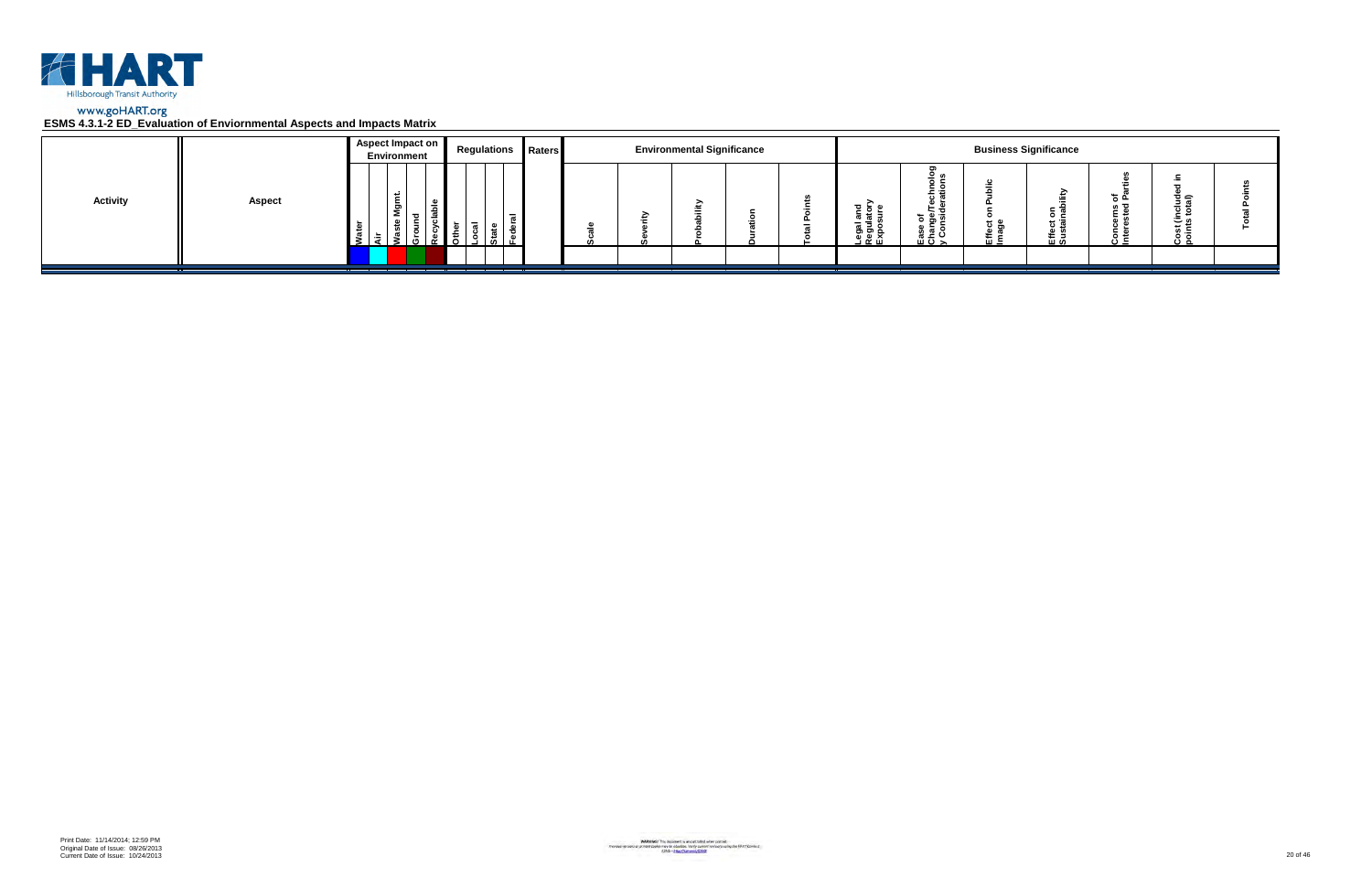

|                 |               | Aspect Impact on<br>Environment | <b>Regulations Raters</b> |  | <b>Environmental Significance</b> |  |                                                      |                                        |                      | <b>Business Significance</b> |                 |                         |  |
|-----------------|---------------|---------------------------------|---------------------------|--|-----------------------------------|--|------------------------------------------------------|----------------------------------------|----------------------|------------------------------|-----------------|-------------------------|--|
| <b>Activity</b> | <b>Aspect</b> | ۔ س<br>ទី<br>- 63               |                           |  |                                   |  | <u>ដូ ទ្ទី</u> ≦<br>క్లె క్లె క్ల<br><u>ា ចូ ក្ដ</u> | ಕ ಹಿ ತ<br><u>ہ ڇ</u> ۽<br>ن ≃ ؛<br>ᄪᅙᆾ | <del>ם</del> כ<br>๛゠ | $\circ$ $\circ$<br>로일        | ته <del>ہ</del> | ত্≘<br>، ت<br>×≂<br>ة ن |  |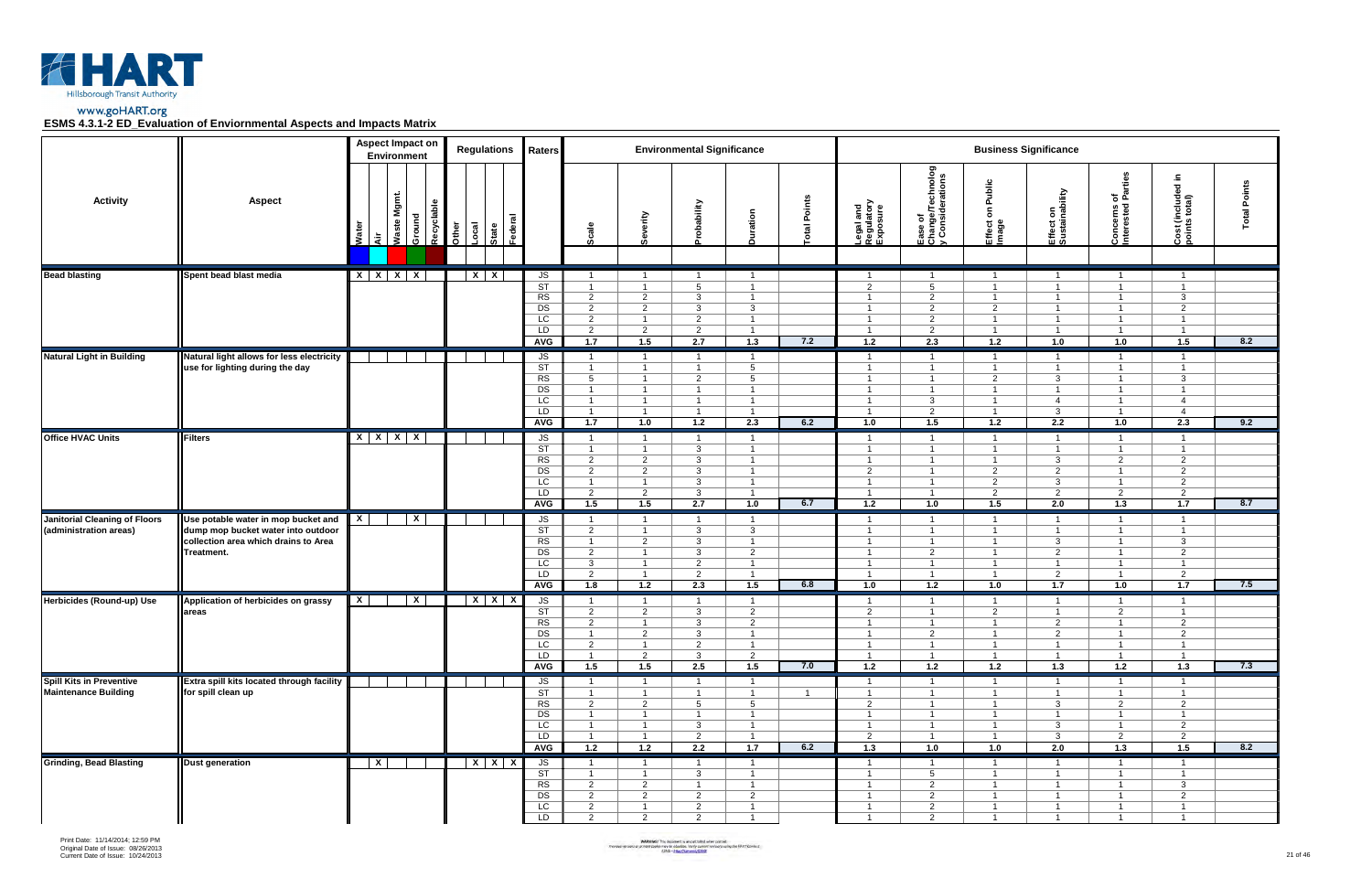



|                                      |                                                                                          | <b>Aspect Impact on</b><br>Environment |                               |       | <b>Regulations</b>                   | Raters                                                             |                                                                                               |                                                                                               | <b>Environmental Significance</b>                                                            |                                                                                                |                       |                                                                                               |                                                                                               |                                                                                                 | <b>Business Significance</b>                                                                             |                                                                                               |                                                                                               |                 |
|--------------------------------------|------------------------------------------------------------------------------------------|----------------------------------------|-------------------------------|-------|--------------------------------------|--------------------------------------------------------------------|-----------------------------------------------------------------------------------------------|-----------------------------------------------------------------------------------------------|----------------------------------------------------------------------------------------------|------------------------------------------------------------------------------------------------|-----------------------|-----------------------------------------------------------------------------------------------|-----------------------------------------------------------------------------------------------|-------------------------------------------------------------------------------------------------|----------------------------------------------------------------------------------------------------------|-----------------------------------------------------------------------------------------------|-----------------------------------------------------------------------------------------------|-----------------|
| <b>Activity</b>                      | <b>Aspect</b>                                                                            | <b>Waste</b><br>Wate<br>ਕੋ             | Mgmt.<br>Recyclable<br>Ground | Other | ಕ<br>Local<br>Federa<br><b>State</b> |                                                                    | Scale                                                                                         | Severity                                                                                      | obability                                                                                    | Duration                                                                                       | otal Points           | Legal and<br>Regulatory<br>Exposure                                                           | Ease of<br>Change/Technolog<br>y Considerations                                               | Public<br>$\mathbf s$<br>Effect<br>Image                                                        | Effect on<br>Sustainability                                                                              | of<br>Parties<br>Concerns c<br>Interested I                                                   | £.<br>$\overline{\phantom{a}}$<br>Cost (included<br>points total)                             | Points<br>Total |
| <b>Bead blasting</b>                 | Spent bead blast media                                                                   | $X$ $X$ $X$ $X$                        |                               |       | $X$   $X$                            | JS                                                                 | $\overline{1}$                                                                                | $\overline{1}$                                                                                | $\overline{1}$                                                                               | $\overline{1}$                                                                                 |                       | $\overline{1}$                                                                                | $\overline{1}$                                                                                | $\overline{1}$                                                                                  | $\overline{1}$                                                                                           | $\overline{1}$                                                                                | $\overline{1}$                                                                                |                 |
|                                      |                                                                                          |                                        |                               |       |                                      | $\overline{\text{ST}}$<br>RS<br>DS<br>LC<br>LD<br><b>AVG</b>       | $\overline{1}$<br>$\overline{2}$<br>$\overline{2}$<br>$\overline{2}$<br>$\overline{2}$<br>1.7 | $\overline{1}$<br>$\overline{2}$<br>$\overline{2}$<br>$\overline{1}$<br>2<br>1.5              | $5\overline{)}$<br>$\mathbf{3}$<br>3<br>$\overline{2}$<br>$\overline{2}$<br>2.7              | $\overline{1}$<br>$\overline{1}$<br>$\mathbf{3}$<br>$\overline{1}$<br>$\overline{1}$<br>1.3    | 7.2                   | $\overline{2}$<br>$\overline{1}$<br>$\overline{1}$<br>$\overline{1}$<br>$\overline{1}$<br>1.2 | $5\overline{5}$<br>$\overline{2}$<br>$\overline{2}$<br>$\overline{2}$<br>2<br>2.3             | $\overline{1}$<br>$\overline{1}$<br>$\overline{2}$<br>$\overline{1}$<br>$\overline{1}$<br>1.2   | $\overline{1}$<br>$\overline{1}$<br>$\overline{1}$<br>$\overline{1}$<br>$\overline{1}$<br>1.0            | $\overline{1}$<br>$\overline{1}$<br>$\overline{1}$<br>$\overline{1}$<br>$\overline{1}$<br>1.0 | $\overline{1}$<br>$\mathbf{3}$<br>$\overline{2}$<br>$\overline{1}$<br>$\mathbf{1}$<br>1.5     | 8.2             |
| <b>Natural Light in Building</b>     | Natural light allows for less electricity                                                |                                        |                               |       |                                      | JS                                                                 | $\overline{1}$                                                                                | $\overline{1}$                                                                                | $\overline{1}$                                                                               | $\overline{1}$                                                                                 |                       | $\overline{1}$                                                                                | $\overline{1}$                                                                                | $\overline{1}$                                                                                  | $\overline{1}$                                                                                           | $\overline{1}$                                                                                | $\mathbf{1}$                                                                                  |                 |
|                                      | use for lighting during the day                                                          |                                        |                               |       |                                      | ST<br>RS<br>DS<br>LC<br>LD<br><b>AVG</b>                           | $\overline{1}$<br>5 <sup>5</sup><br>$\overline{1}$<br>$\overline{1}$<br>$\overline{1}$<br>1.7 | $\overline{1}$<br>$\overline{1}$<br>$\overline{1}$<br>$\overline{1}$<br>$\overline{1}$<br>1.0 | $\overline{1}$<br>2<br>$\overline{1}$<br>$\overline{1}$<br>$\overline{1}$<br>1.2             | $5\overline{5}$<br>5 <sup>5</sup><br>$\overline{1}$<br>$\overline{1}$<br>$\overline{1}$<br>2.3 | 6.2                   | $\overline{1}$<br>$\overline{1}$<br>$\mathbf{1}$<br>$\overline{1}$<br>$\overline{1}$<br>1.0   | $\overline{1}$<br>$\overline{1}$<br>$\overline{1}$<br>$\mathbf{3}$<br>2<br>1.5                | $\overline{1}$<br>$\overline{2}$<br>$\overline{1}$<br>$\overline{1}$<br>$\overline{1}$<br>$1.2$ | $\overline{1}$<br>$\mathbf{3}$<br>$\overline{1}$<br>$\overline{4}$<br>$\mathbf{3}$<br>$2.2$              | $\overline{1}$<br>$\overline{1}$<br>$\overline{1}$<br>$\overline{1}$<br>$\overline{1}$<br>1.0 | $\overline{1}$<br>$\mathbf{3}$<br>$\overline{1}$<br>$\overline{4}$<br>$\overline{4}$<br>2.3   | 9.2             |
| <b>Office HVAC Units</b>             | <b>Filters</b>                                                                           | $X$ $X$ $X$ $X$                        |                               |       |                                      | JS                                                                 | $\mathbf{1}$                                                                                  | $\overline{1}$                                                                                | $\overline{1}$                                                                               | $\overline{1}$                                                                                 |                       | $\overline{1}$                                                                                | $\overline{1}$                                                                                | $\overline{1}$                                                                                  | $\overline{1}$                                                                                           | $\overline{1}$                                                                                | $\overline{1}$                                                                                |                 |
|                                      |                                                                                          |                                        |                               |       |                                      | $\overline{\text{ST}}$<br>RS<br>DS<br>LC<br>LD<br>AVG              | $\mathbf{1}$<br>$\overline{2}$<br>$\overline{2}$<br>$\overline{1}$<br>$\overline{2}$<br>1.5   | $\overline{1}$<br>$\overline{2}$<br>$\overline{2}$<br>$\overline{1}$<br>$\overline{2}$<br>1.5 | $\mathbf{3}$<br>$\mathbf{3}$<br>$\mathbf{3}$<br>$\mathbf{3}$<br>$\mathbf{3}$<br>2.7          | $\overline{1}$<br>$\overline{1}$<br>$\overline{1}$<br>$\overline{1}$<br>$\overline{1}$<br>1.0  | 6.7                   | $\overline{1}$<br>$\mathbf 1$<br>2<br>$\overline{1}$<br>$\overline{1}$<br>1.2                 | $\overline{1}$<br>- 1<br>$\overline{1}$<br>$\overline{1}$<br>$\overline{\mathbf{1}}$<br>1.0   | $\overline{1}$<br>$\overline{1}$<br>$\overline{2}$<br>$\overline{2}$<br>$\overline{2}$<br>1.5   | $\overline{1}$<br>$\mathbf{3}$<br>$\overline{2}$<br>3<br>$\overline{2}$<br>2.0                           | $\overline{1}$<br>$\overline{2}$<br>$\overline{1}$<br>$\overline{1}$<br>$\overline{2}$<br>1.3 | $\overline{1}$<br>2<br>2<br>2<br>2<br>1.7                                                     | 8.7             |
| <b>Janitorial Cleaning of Floors</b> | Use potable water in mop bucket and                                                      | $\mathbf{X}$                           | $\mathbf{x}$                  |       |                                      | $\sqrt{S}$                                                         | $\overline{1}$                                                                                | $\overline{1}$                                                                                | $\overline{1}$                                                                               | $\overline{1}$                                                                                 |                       | $\overline{1}$                                                                                | $\overline{1}$                                                                                | $\overline{1}$                                                                                  | $\overline{1}$                                                                                           | $\overline{1}$                                                                                | $\overline{1}$                                                                                |                 |
| (administration areas)               | dump mop bucket water into outdoor<br>collection area which drains to Area<br>Treatment. |                                        |                               |       |                                      | <b>ST</b><br>RS<br>DS<br>$\overline{LC}$<br>LD<br>AVG              | $\overline{2}$<br>$\overline{1}$<br>$\overline{2}$<br>$\mathbf{3}$<br>$\overline{2}$<br>1.8   | $\overline{1}$<br>$\overline{2}$<br>$\overline{1}$<br>$\overline{1}$<br>$\overline{1}$<br>1.2 | 3<br>$\mathbf{3}$<br>$\mathbf{3}$<br>$\overline{2}$<br>2<br>2.3                              | $\mathbf{3}$<br>$\overline{1}$<br>$\overline{2}$<br>$\mathbf{1}$<br>$\overline{1}$<br>1.5      | 6.8                   | $\overline{1}$<br>$\overline{1}$<br>$\overline{1}$<br>$\mathbf{1}$<br>-1<br>1.0               | $\overline{1}$<br>$\overline{1}$<br>2<br>$\overline{1}$<br>1.2                                | $\overline{1}$<br>$\overline{1}$<br>$\overline{1}$<br>$\overline{1}$<br>$\overline{1}$<br>1.0   | $\overline{1}$<br>$\mathbf{3}$<br>$\overline{2}$<br>$\overline{1}$<br>$\overline{2}$<br>$\overline{1.7}$ | $\overline{1}$<br>$\overline{1}$<br>$\overline{1}$<br>$\overline{1}$<br>$\overline{1}$<br>1.0 | $\mathbf{3}$<br>2<br>$\overline{1}$<br>$\overline{2}$<br>1.7                                  | 7.5             |
| Herbicides (Round-up) Use            | Application of herbicides on grassy                                                      | $\boldsymbol{\mathsf{X}}$              | $\mathbf{x}$                  |       | $X$ $X$ $X$                          | JS                                                                 |                                                                                               | - 1                                                                                           | - 1                                                                                          | -1                                                                                             |                       |                                                                                               |                                                                                               | - 1                                                                                             | -1                                                                                                       |                                                                                               |                                                                                               |                 |
|                                      | areas                                                                                    |                                        |                               |       |                                      | <b>ST</b><br><b>RS</b><br>DS<br>$\overline{LC}$<br>LD<br>AVG       | $\overline{2}$<br>2<br>$\mathbf{1}$<br>$\overline{2}$<br>$\overline{1}$<br>1.5                | $\overline{2}$<br>$\overline{1}$<br>$\overline{2}$<br>$\overline{1}$<br>$\overline{2}$<br>1.5 | $\mathbf{3}$<br>3<br>3<br>2<br>$\mathbf{3}$<br>2.5                                           | $\overline{2}$<br>$\overline{2}$<br>$\mathbf{1}$<br>$\overline{1}$<br>$\overline{2}$<br>1.5    | 7.0                   | 2<br>$\mathbf{1}$<br>$\overline{1}$<br>$\overline{1}$<br>$\overline{1}$<br>1.2                | $\overline{1}$<br>$\overline{1}$<br>$\overline{2}$<br>$\overline{1}$<br>1.2                   | 2<br>$\overline{1}$<br>$\overline{1}$<br>$\overline{1}$<br>$\overline{1}$<br>1.2                | $\overline{1}$<br>2<br>$\overline{2}$<br>$\overline{1}$<br>$\overline{1}$<br>1.3                         | $\overline{2}$<br>$\overline{1}$<br>$\overline{1}$<br>$\overline{1}$<br>$\overline{1}$<br>1.2 | $\overline{1}$<br>$\overline{2}$<br>$\overline{2}$<br>$\mathbf{1}$<br>1.3                     | 7.3             |
| <b>Spill Kits in Preventive</b>      | Extra spill kits located through facility                                                |                                        |                               |       |                                      | JS                                                                 | $\overline{1}$                                                                                | $\overline{1}$                                                                                | $\overline{1}$                                                                               | $\overline{1}$                                                                                 |                       |                                                                                               | - 1                                                                                           | -1                                                                                              | $\overline{1}$                                                                                           | $\mathbf{1}$                                                                                  |                                                                                               |                 |
| Maintenance Building                 | for spill clean up                                                                       |                                        |                               |       |                                      | $\overline{\text{ST}}$<br>RS<br>DS<br>LC<br>LD<br>AVG              | $\overline{1}$<br>$\overline{2}$<br>$\overline{1}$<br>$\overline{1}$<br>$\overline{1}$<br>1.2 | $\overline{1}$<br>$\overline{2}$<br>$\overline{1}$<br>$\overline{1}$<br>$\overline{1}$<br>1.2 | $\overline{1}$<br>$5\overline{)}$<br>$\overline{1}$<br>$\mathbf{3}$<br>$\overline{2}$<br>2.2 | $\overline{1}$<br>5 <sup>5</sup><br>$\overline{1}$<br>$\overline{1}$<br>$\overline{1}$<br>1.7  | $\overline{1}$<br>6.2 | $\overline{1}$<br>$\overline{2}$<br>$\overline{1}$<br>$\mathbf{1}$<br>$\overline{2}$<br>1.3   | $\overline{1}$<br>$\overline{1}$<br>$\overline{1}$<br>$\overline{1}$<br>$\overline{1}$<br>1.0 | $\overline{1}$<br>$\overline{1}$<br>$\overline{1}$<br>$\overline{1}$<br>$\overline{1}$<br>1.0   | $\overline{1}$<br>$\mathbf{3}$<br>$\overline{1}$<br>$\mathbf{3}$<br>$\mathbf{3}$<br>2.0                  | $\overline{1}$<br>$\overline{2}$<br>$\overline{1}$<br>$\overline{1}$<br>$\overline{2}$<br>1.3 | $\overline{1}$<br>$\overline{2}$<br>$\overline{1}$<br>$\overline{2}$<br>$\overline{2}$<br>1.5 | 8.2             |
| <b>Grinding, Bead Blasting</b>       | <b>Dust generation</b>                                                                   | $\overline{X}$                         |                               |       | $X$ $X$ $X$                          | JS                                                                 | $\overline{1}$                                                                                | $\overline{1}$                                                                                | $\overline{1}$                                                                               | $\overline{1}$                                                                                 |                       | $\mathbf{1}$                                                                                  | $\overline{1}$                                                                                | $\overline{1}$                                                                                  | $\overline{1}$                                                                                           | $\overline{1}$                                                                                | $\overline{1}$                                                                                |                 |
|                                      |                                                                                          |                                        |                               |       |                                      | $\overline{\text{ST}}$<br>$\overline{\text{RS}}$<br>DS<br>LC<br>LD | $\overline{1}$<br>$\overline{2}$<br>$\overline{2}$<br>$\overline{2}$<br>2                     | $\overline{1}$<br>$\overline{2}$<br>$\overline{2}$<br>$\overline{1}$<br>$\overline{2}$        | $\mathbf{3}$<br>$\overline{1}$<br>$\overline{2}$<br>$\overline{2}$<br>2                      | $\overline{1}$<br>$\overline{1}$<br>$\overline{2}$<br>$\overline{1}$<br>$\overline{1}$         |                       | $\overline{1}$<br>$\overline{1}$<br>$\overline{1}$<br>$\overline{1}$<br>$\mathbf{1}$          | $5\overline{)}$<br>$\overline{2}$<br>$\overline{2}$<br>$\overline{2}$<br>2                    | $\overline{1}$<br>$\overline{1}$<br>$\overline{1}$<br>$\overline{1}$<br>$\overline{1}$          | $\overline{1}$<br>$\overline{1}$<br>$\overline{1}$<br>$\overline{1}$<br>$\overline{1}$                   | $\overline{1}$<br>$\overline{1}$<br>$\overline{1}$<br>$\overline{1}$<br>$\overline{1}$        | $\overline{1}$<br>$\mathbf{3}$<br>$\overline{2}$<br>$\overline{1}$<br>$\mathbf{1}$            |                 |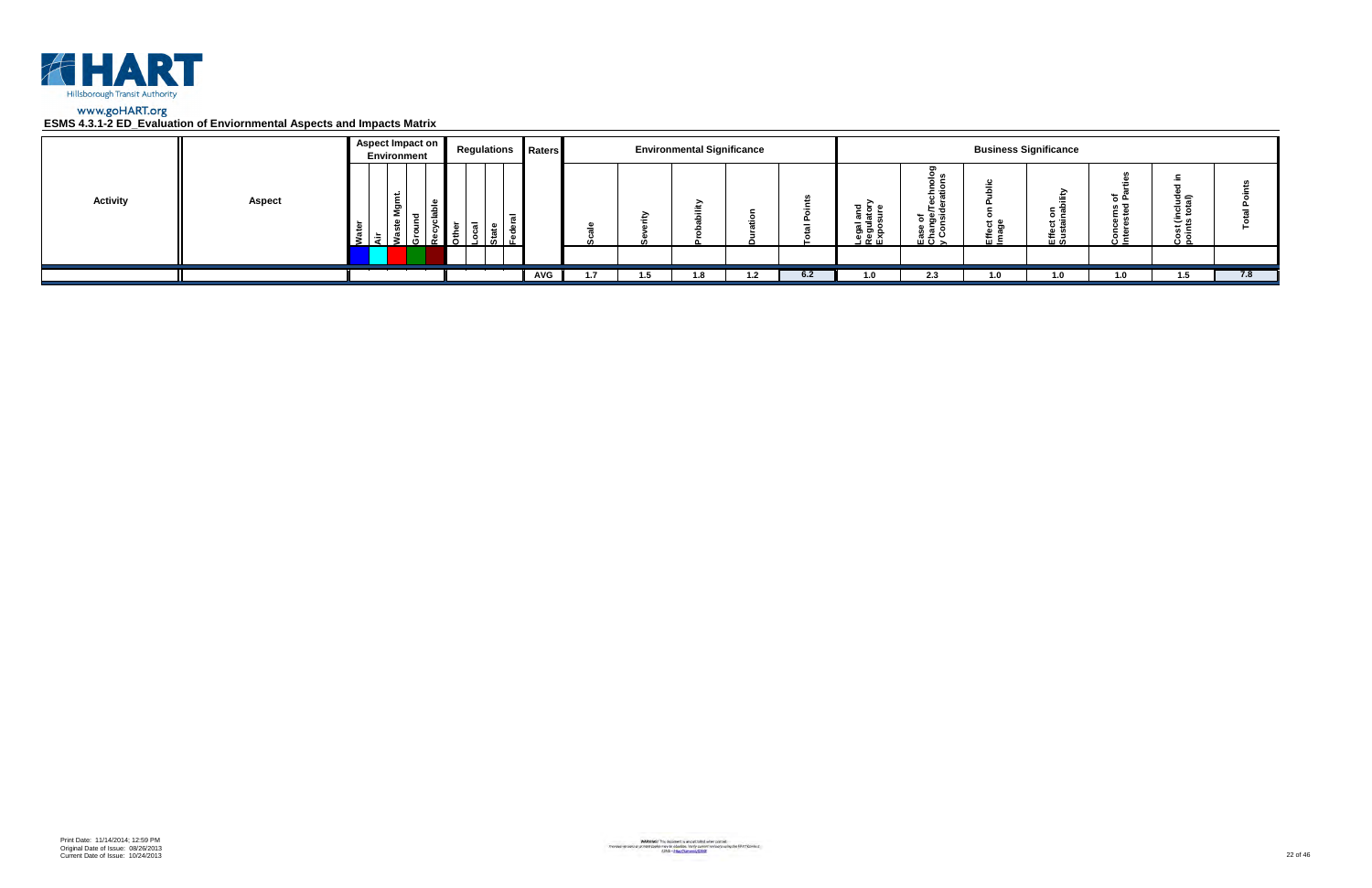

|                 |               | Aspect Impact on<br>Environment | <b>Regulations Raters</b> |            |     | <b>Environmental Significance</b> |     |     |                                                   |                                                                                  |           | <b>Business Significance</b> |            |                                     |     |
|-----------------|---------------|---------------------------------|---------------------------|------------|-----|-----------------------------------|-----|-----|---------------------------------------------------|----------------------------------------------------------------------------------|-----------|------------------------------|------------|-------------------------------------|-----|
| <b>Activity</b> | <b>Aspect</b> | Ĕ<br>ξŌ<br>ء<br>ீ<br>5.         | $\overline{a}$            |            |     |                                   |     |     | ត្ត ខ្ព <sub>ំ</sub><br>اـegal<br>الاووبا<br>Expo | ⊻ ທ<br>ិ ទី ១<br><u> ខ្ញុំ ទី</u><br>$\overline{u}$ $\overline{v}$ $\rightarrow$ | ະ ອ<br>๛゠ | ⊼ ⊃<br>0 C<br>ដូ ចូ<br>巴일    | ء ڄ<br>د ن | ੌਤ ਛ<br>ة ن<br>م ٿ<br>Cost<br>point |     |
|                 |               |                                 |                           |            |     |                                   |     |     |                                                   |                                                                                  |           |                              |            |                                     |     |
|                 |               |                                 |                           | <b>AVG</b> | 1.5 | 1.8                               | 1.2 | 6.2 | 1.0                                               | 2.3                                                                              | 1.0       | 1.0                          | 1.0        | 1.5                                 | 7.8 |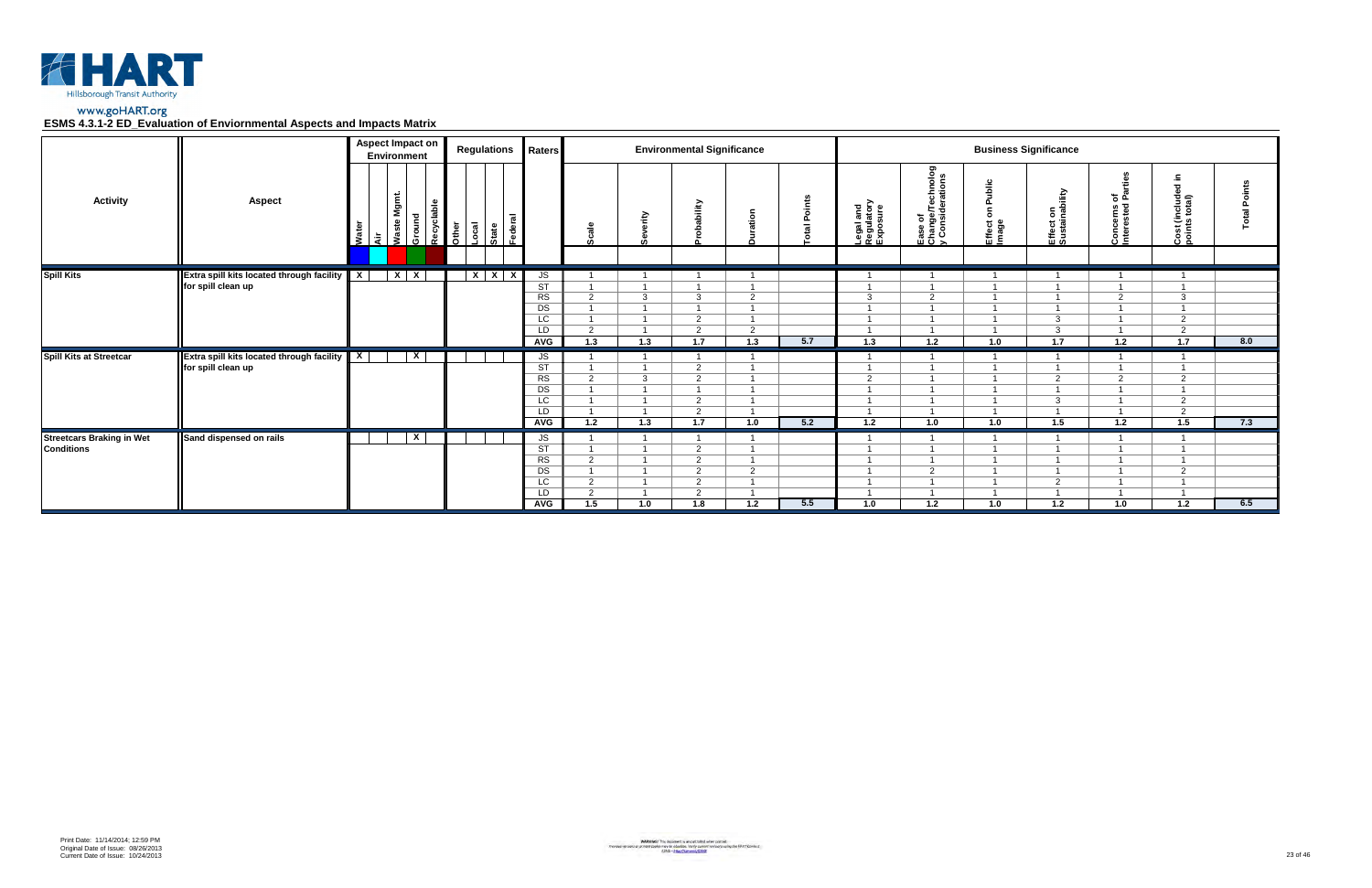

|                                                       | LUMU 4.0.1-4 LD_LVGIGGUUN UN LINVIUNINGIRGI ASPOUS GNU IMPOUS MGUIA          |                  |                                        |            |       |                           |                                                                                                     |                                              |                     |                                                   |               |       |                                     |                                                 |                              |                             |                                   |                                              |     |
|-------------------------------------------------------|------------------------------------------------------------------------------|------------------|----------------------------------------|------------|-------|---------------------------|-----------------------------------------------------------------------------------------------------|----------------------------------------------|---------------------|---------------------------------------------------|---------------|-------|-------------------------------------|-------------------------------------------------|------------------------------|-----------------------------|-----------------------------------|----------------------------------------------|-----|
|                                                       |                                                                              |                  | <b>Aspect Impact on</b><br>Environment |            |       | <b>Regulations</b>        | Raters                                                                                              |                                              |                     | <b>Environmental Significance</b>                 |               |       |                                     |                                                 | <b>Business Significance</b> |                             |                                   |                                              |     |
| <b>Activity</b>                                       | <b>Aspect</b>                                                                | Water<br>√ॉट<br> | Waste Mgmt.<br>Ground                  | Recyclable | Other | Local<br>State<br>Federal |                                                                                                     | $cal$ e<br>сñ                                | ≧                   | <b>bility</b>                                     | ÷             | oints | Legal and<br>Regulatory<br>Exposure | Ease of<br>Change/Technolog<br>y Considerations | Effect<br>Image              | Effect on<br>Sustainability | ته ی<br>Concerns of<br>Interested | Cost (include<br>points total)               |     |
| <b>Spill Kits</b>                                     | <b>Extra spill kits located through facility</b>   X  <br>for spill clean up |                  | $X$ $X$                                |            |       | $X$ $X$ $X$               | JS<br>$\overline{\text{ST}}$<br>$\overline{\text{RS}}$<br>$\overline{DS}$<br>LC<br>LD<br><b>AVG</b> | 2<br>2<br>1.3                                | $\mathbf{3}$<br>1.3 | $\mathbf{3}$<br>2<br>2<br>1.7                     | 2<br>2<br>1.3 | 5.7   | $\overline{A}$<br>3<br>$1.3$        | $\overline{2}$<br>1.2                           | 1.0                          | 3<br>$\mathbf{3}$<br>$1.7$  | 2<br>1.2                          | 3<br>$\overline{2}$<br>$\overline{2}$<br>1.7 | 8.0 |
| Spill Kits at Streetcar                               | <b>Extra spill kits located through facility</b><br>for spill clean up       | $\mathbf{x}$     | $\overline{\mathbf{x}}$                |            |       |                           | JS<br><b>ST</b><br>$\overline{\text{RS}}$<br>$\overline{DS}$<br>$\overline{LC}$<br>LD<br>AVG        | 2<br>$\overline{1.2}$                        | $\mathbf{3}$<br>1.3 | $\overline{2}$<br>$\overline{2}$<br>2<br>ົ<br>1.7 | 1.0           | 5.2   | 2<br>$1.2$                          | 1.0                                             | 1.0                          | 2<br>$\mathbf{3}$<br>1.5    | $\overline{2}$<br>1.2             | 2<br>$\overline{2}$<br>2<br>1.5              | 7.3 |
| <b>Streetcars Braking in Wet</b><br><b>Conditions</b> | Sand dispensed on rails                                                      |                  | $\overline{\mathbf{x}}$                |            |       |                           | JS<br>$\overline{\text{ST}}$<br>RS<br>DS<br>$\overline{LC}$<br>LD.<br>AVG                           | 2<br>$\overline{2}$<br>2<br>$\overline{1.5}$ | 1.0                 | 2<br>2<br>2<br>2<br>2<br>1.8                      | 2<br>1.2      | 5.5   | 1.0                                 | $\overline{2}$<br>1.2                           | 1.0                          | 2<br>$\overline{1.2}$       | 1.0                               | 2<br>1.2                                     | 6.5 |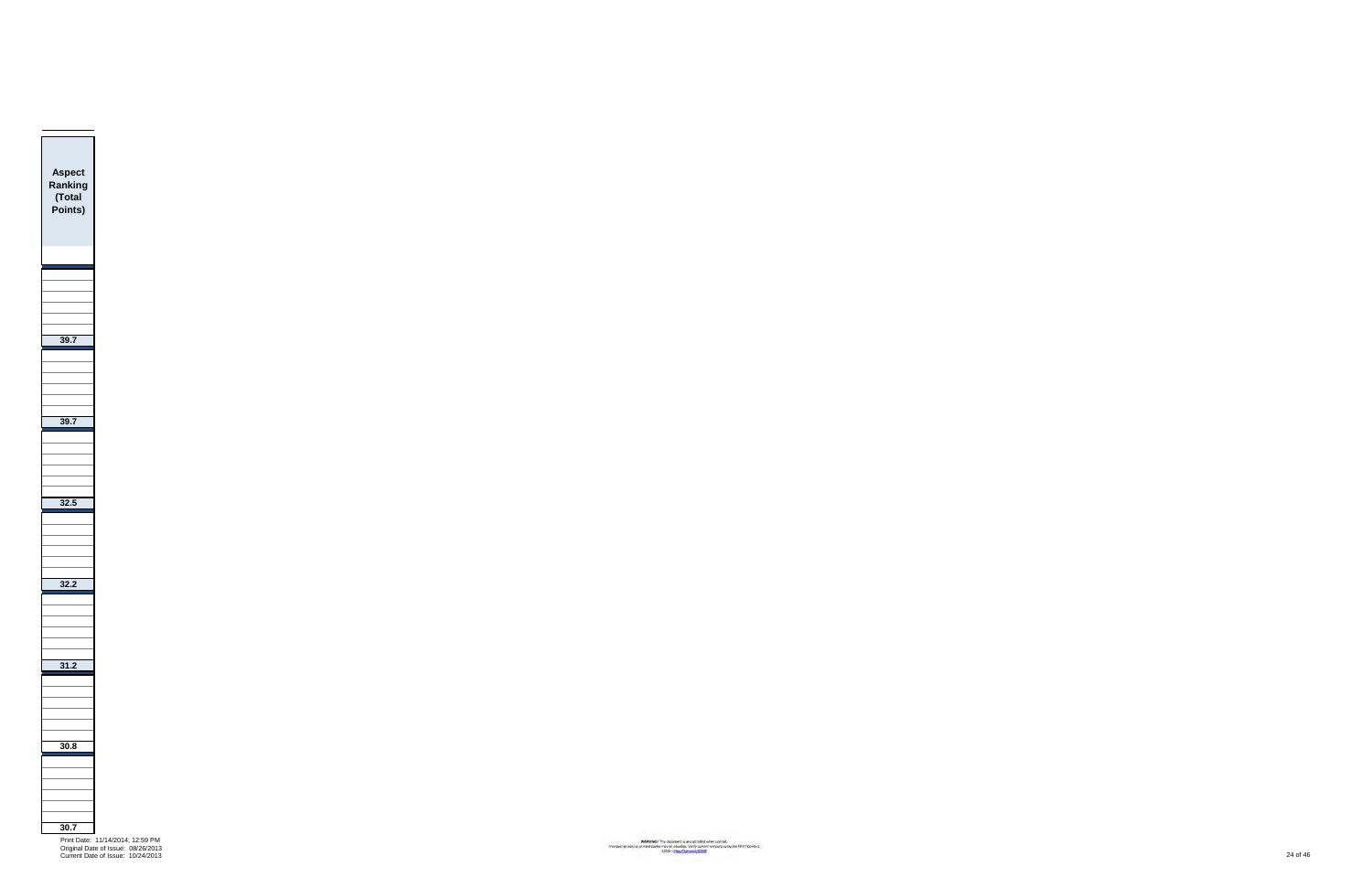

Print Date: 11/14/2014; 12:59 PM Original Date of Issue: 08/26/2013 Current Date of Issue: 10/24/2013 24 of 46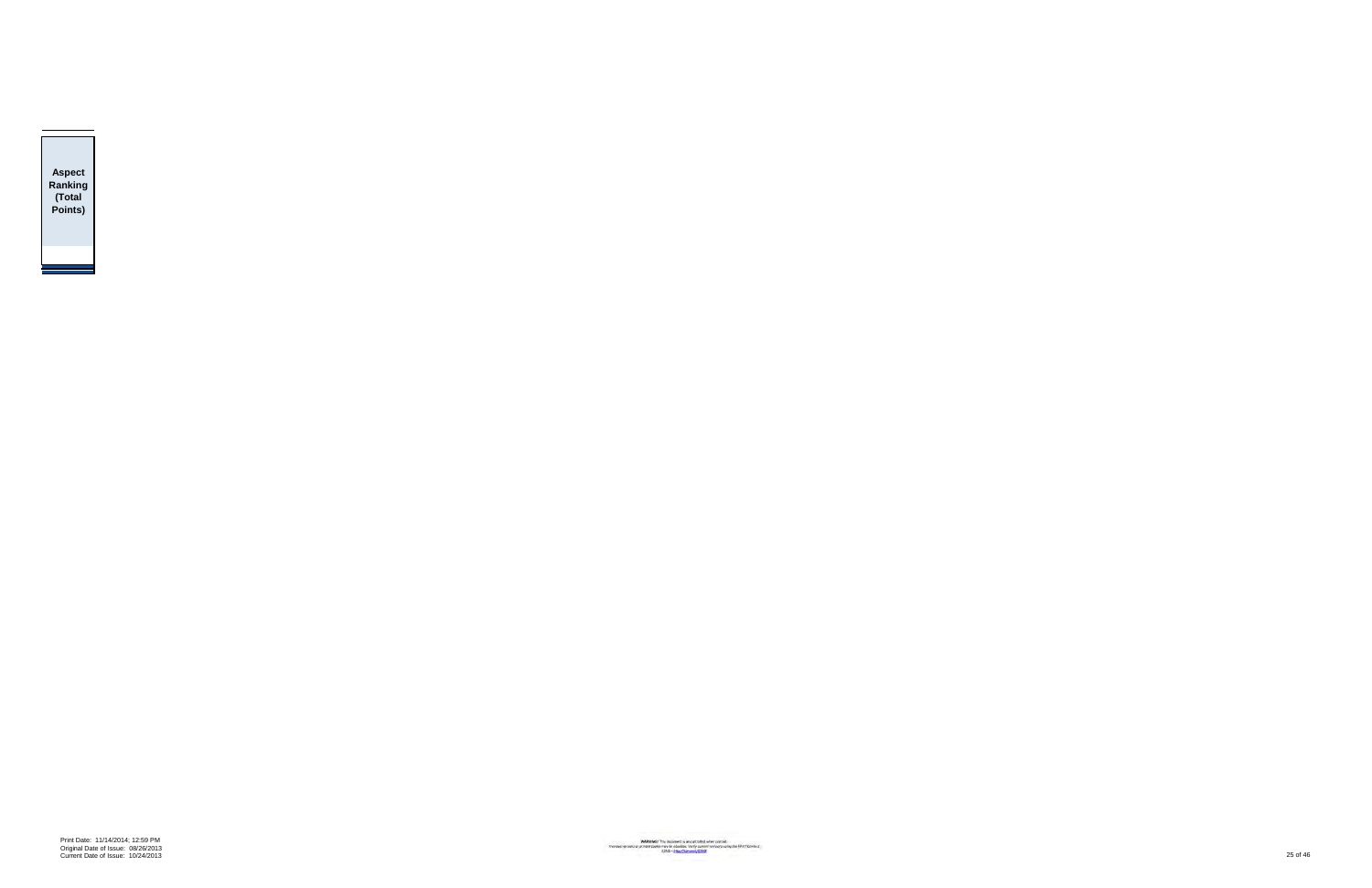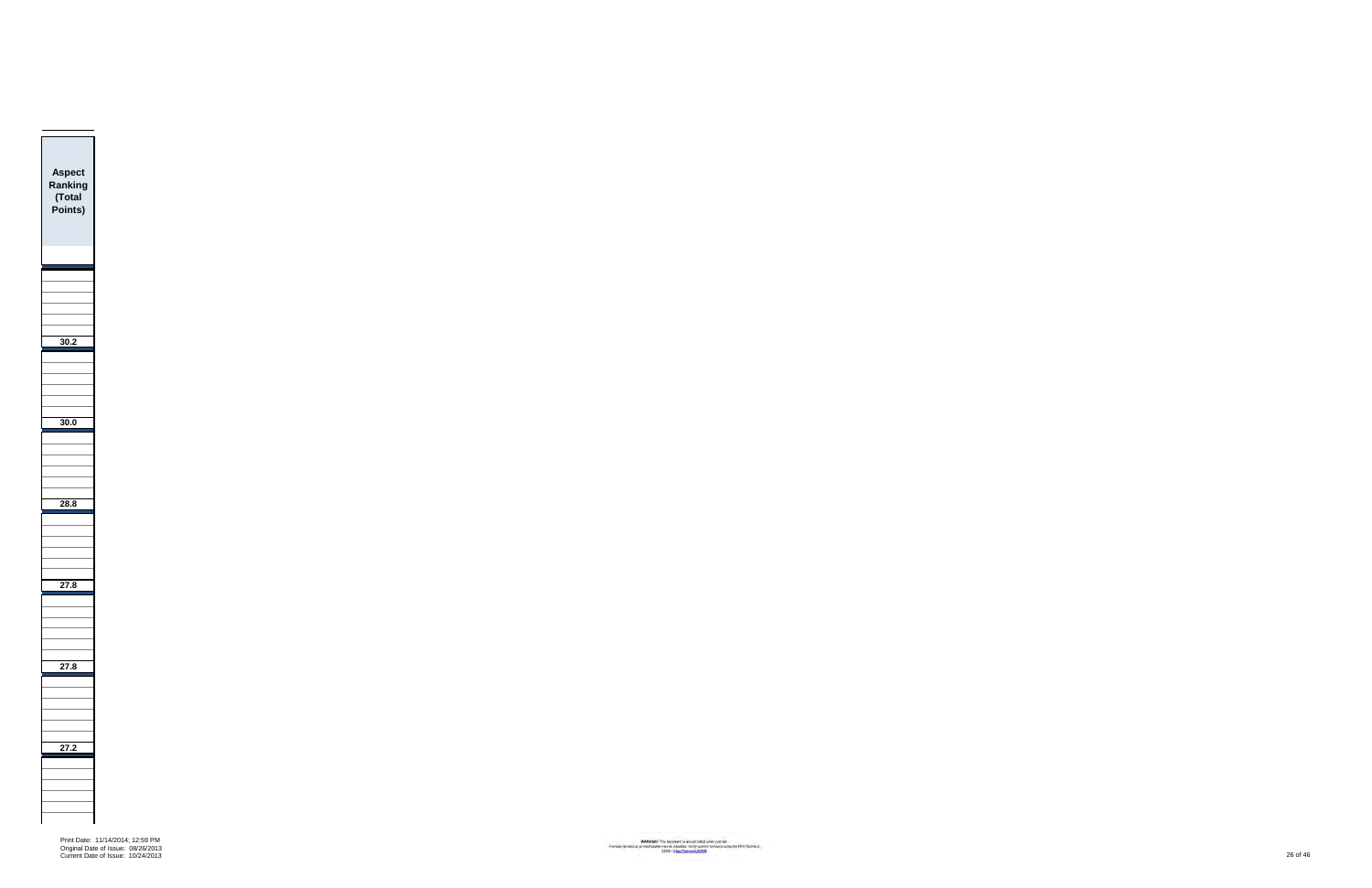Print Date: 11/14/2014; 12:59 PM Original Date of Issue: 08/26/2013 Current Date of Issue: 10/24/2013 26 of 46

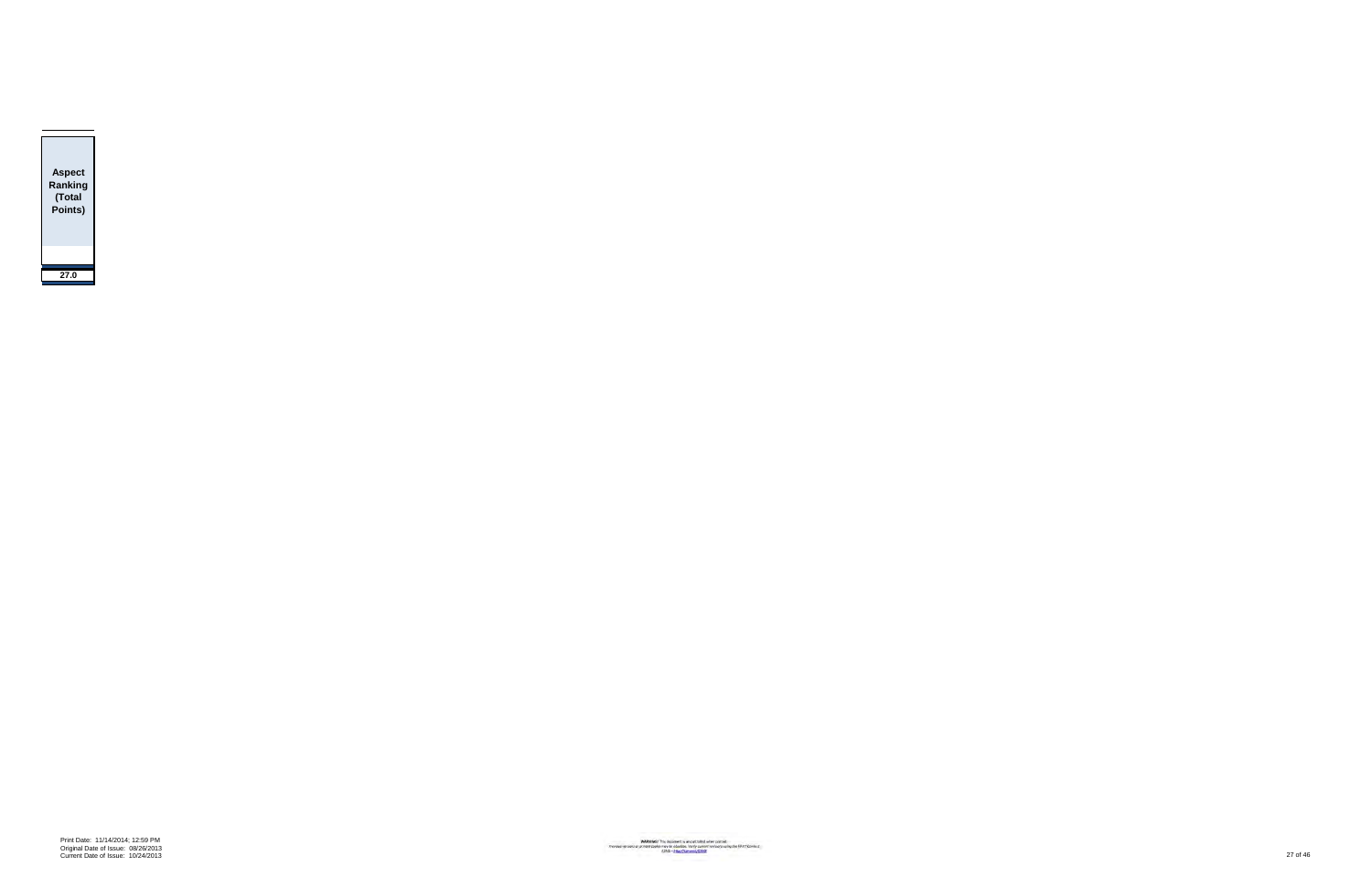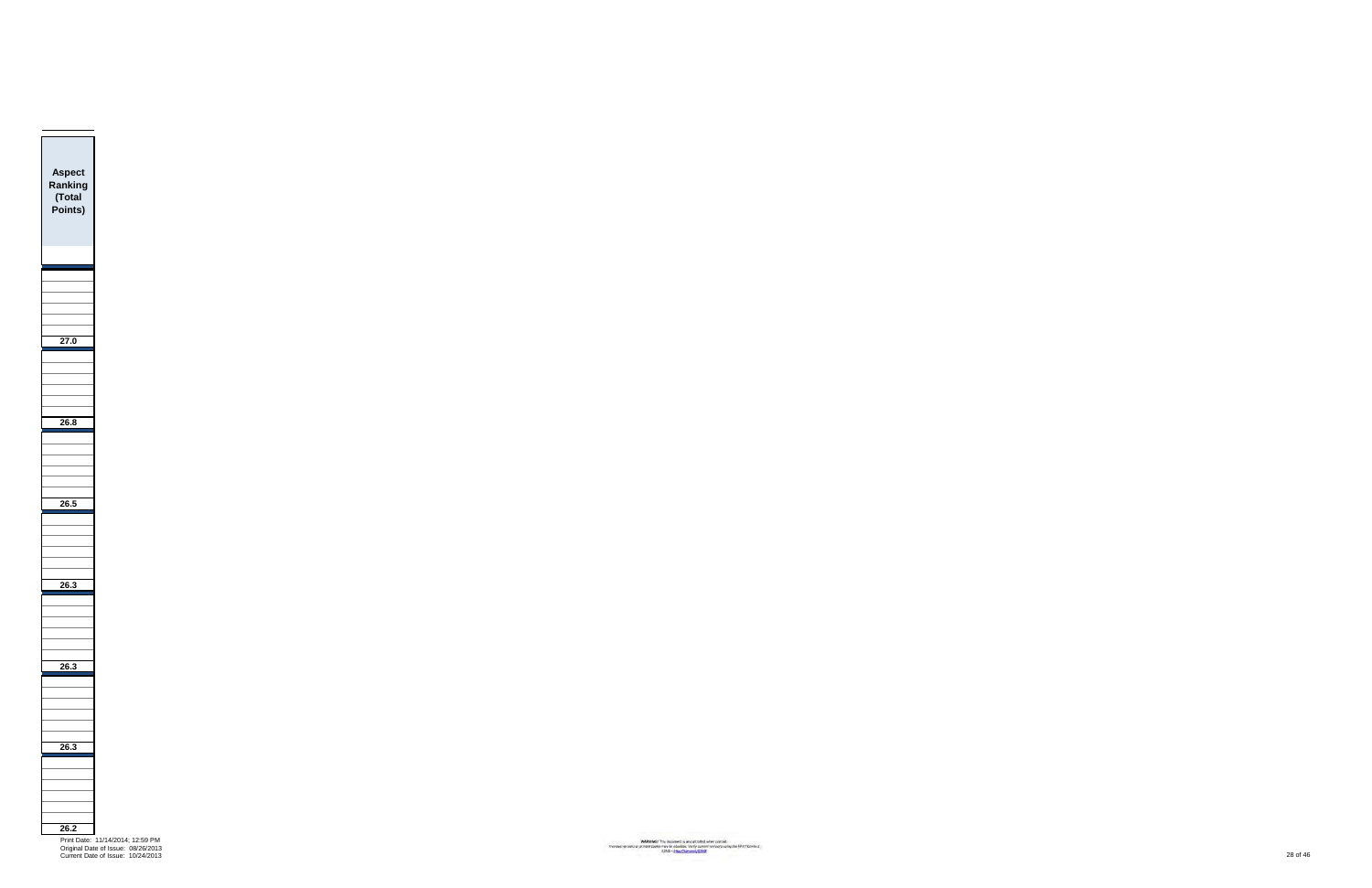Current Date of Issue: 10/24/2013 28 of 46

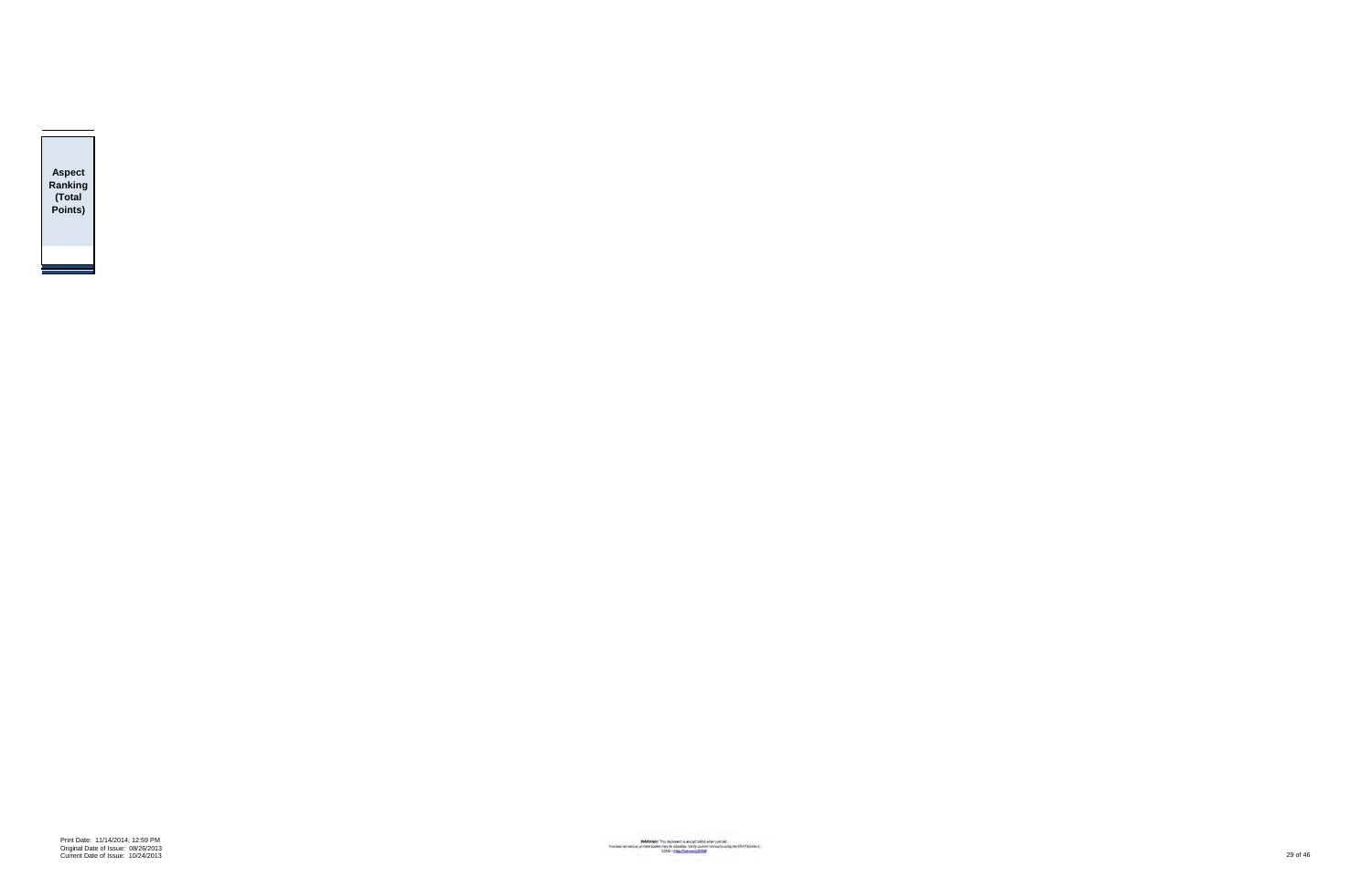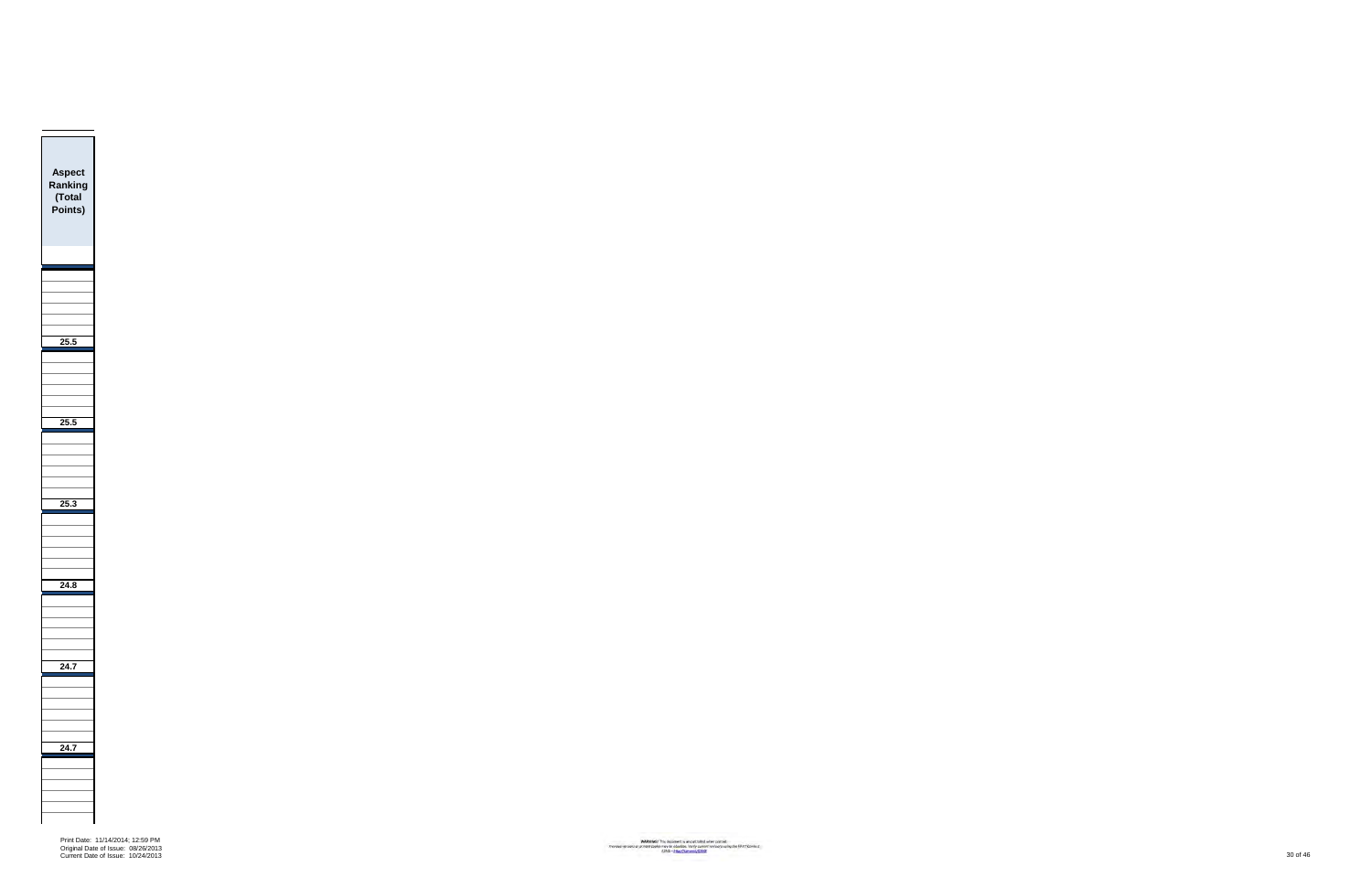

Print Date: 11/14/2014; 12:59 PM Original Date of Issue: 08/26/2013 Current Date of Issue: 10/24/2013 30 of 46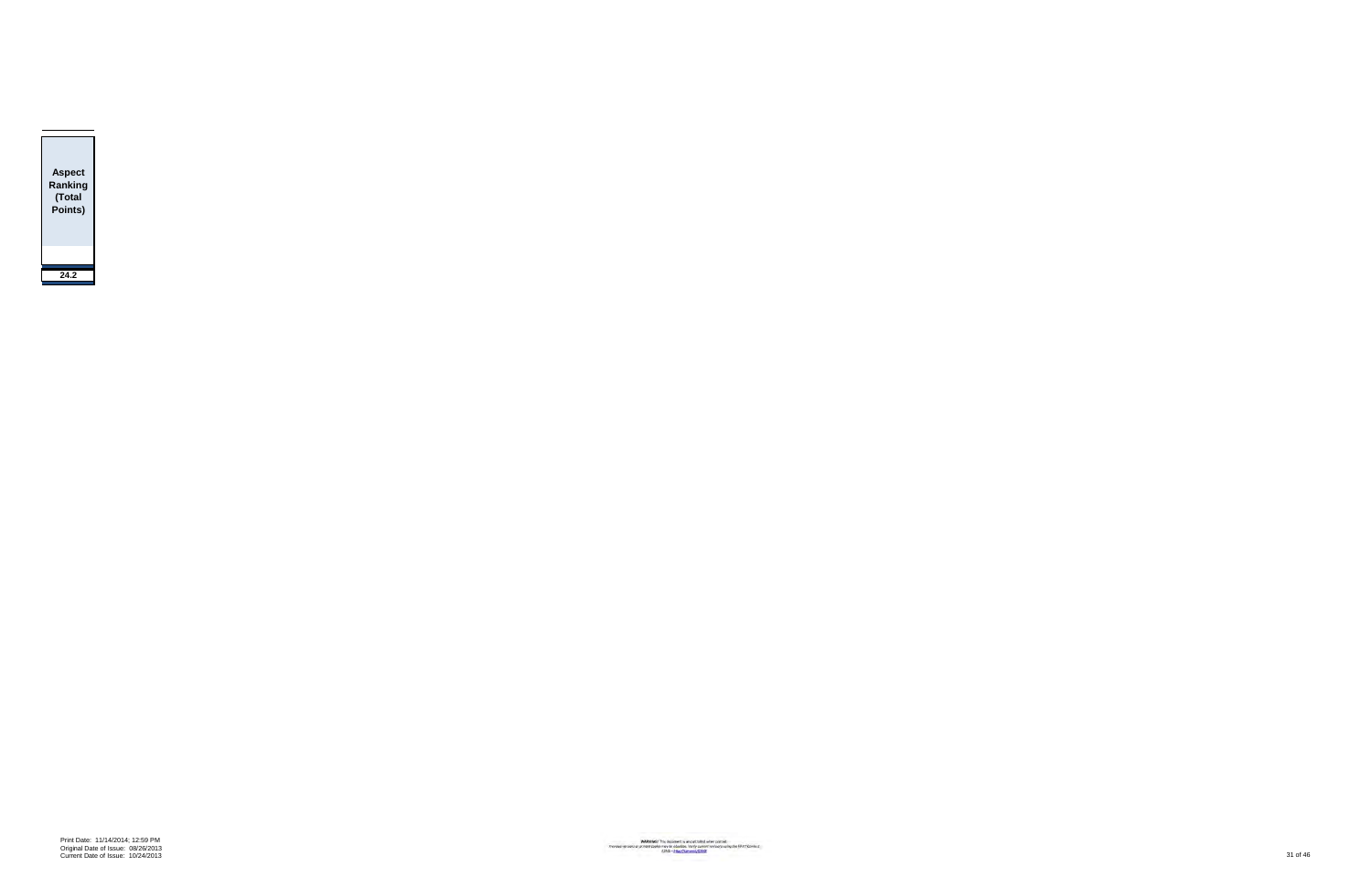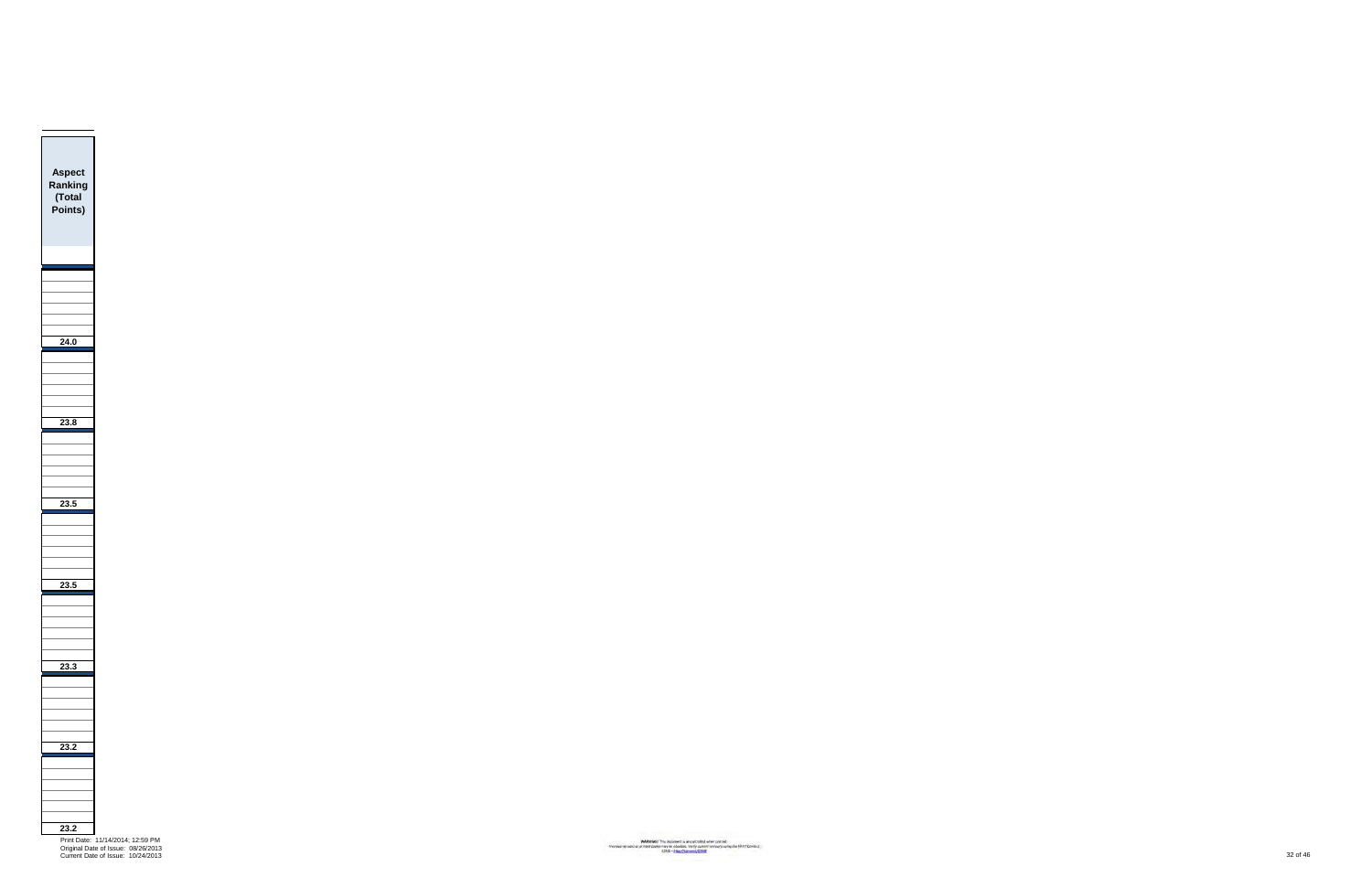Print Date: 11/14/2014; 12:59 PM Original Date of Issue: 08/26/2013 Current Date of Issue: 10/24/2013 32 of 46

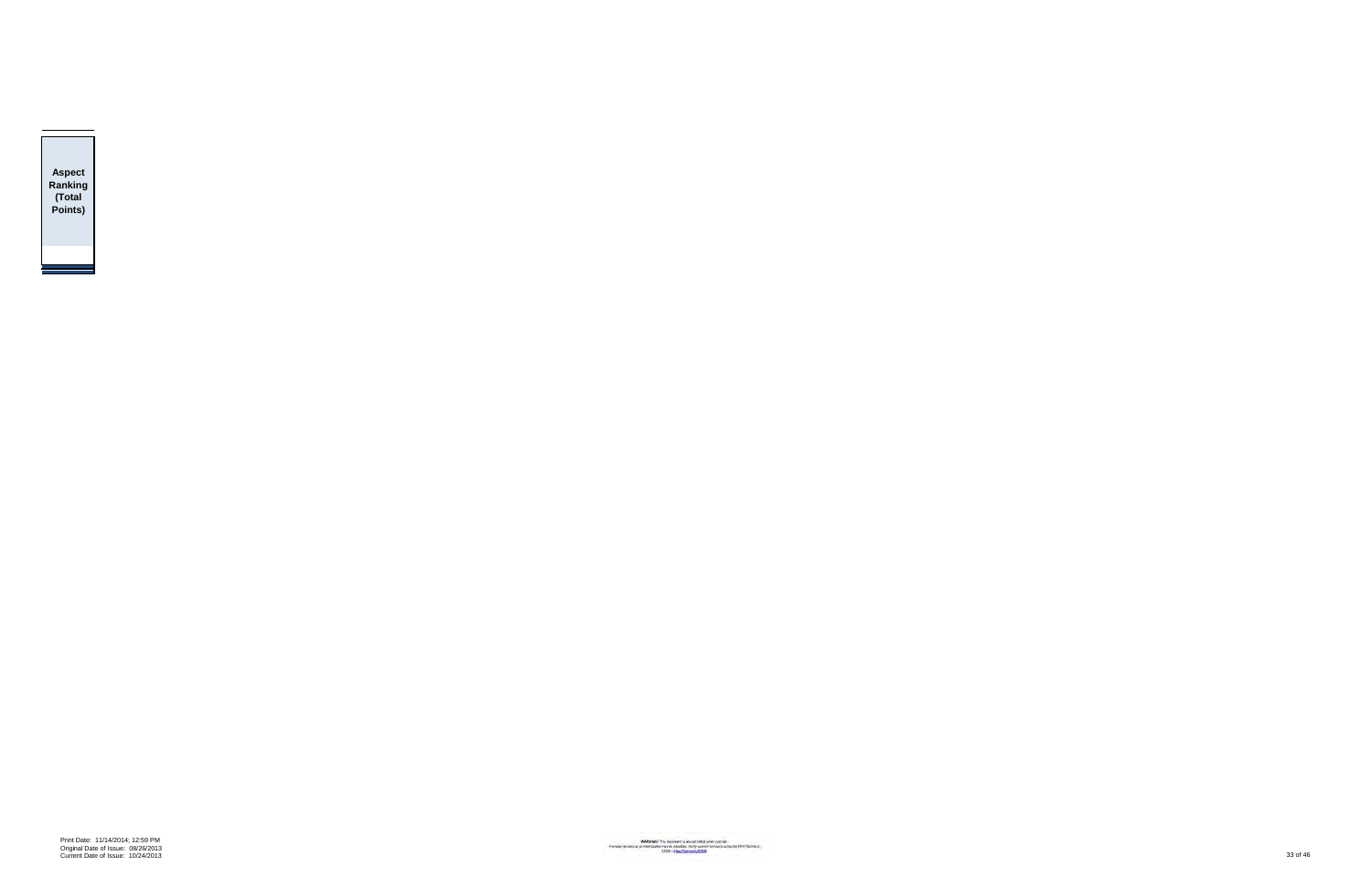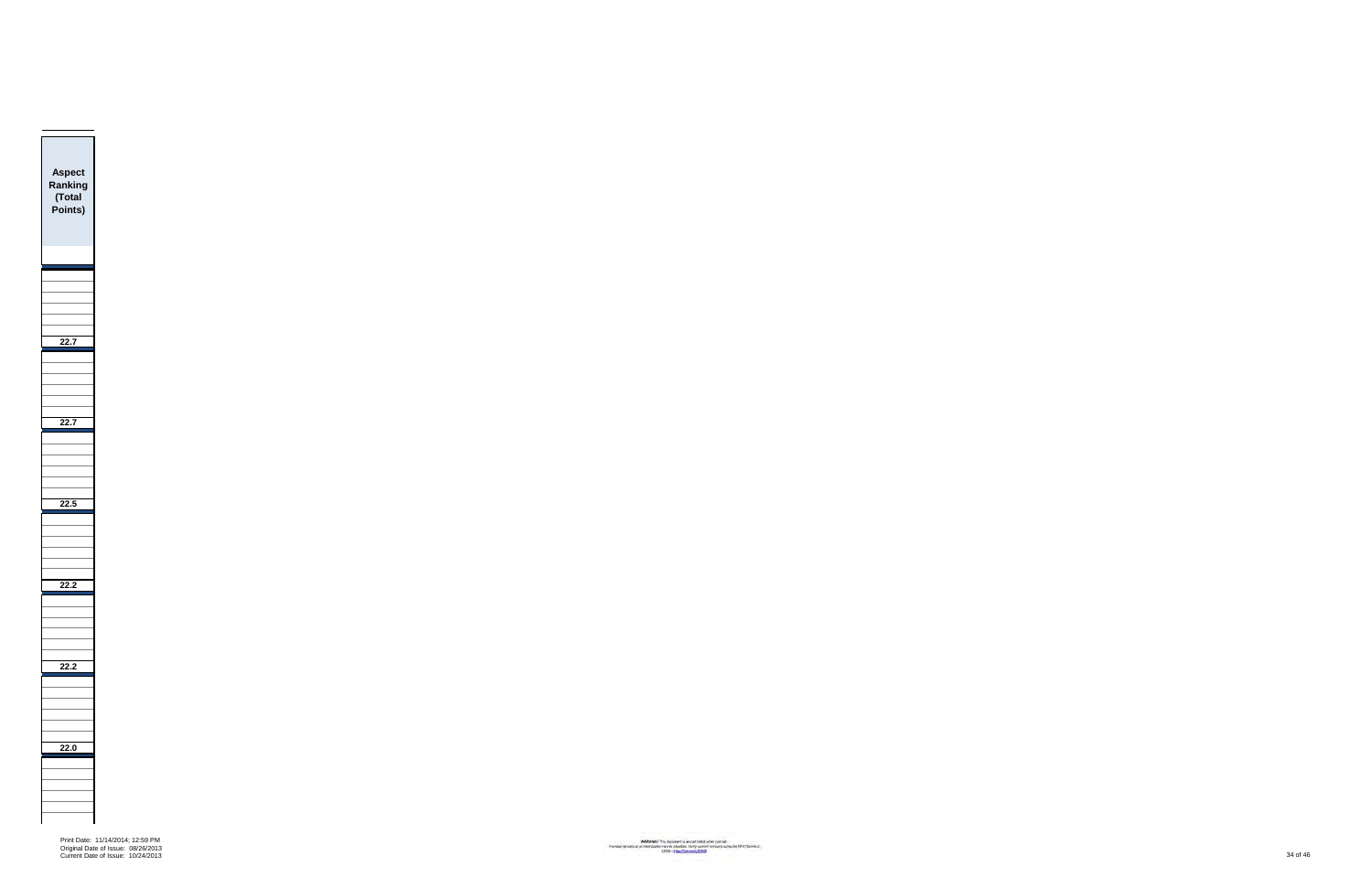

Print Date: 11/14/2014; 12:59 PM Original Date of Issue: 08/26/2013 Current Date of Issue: 10/24/2013 34 of 46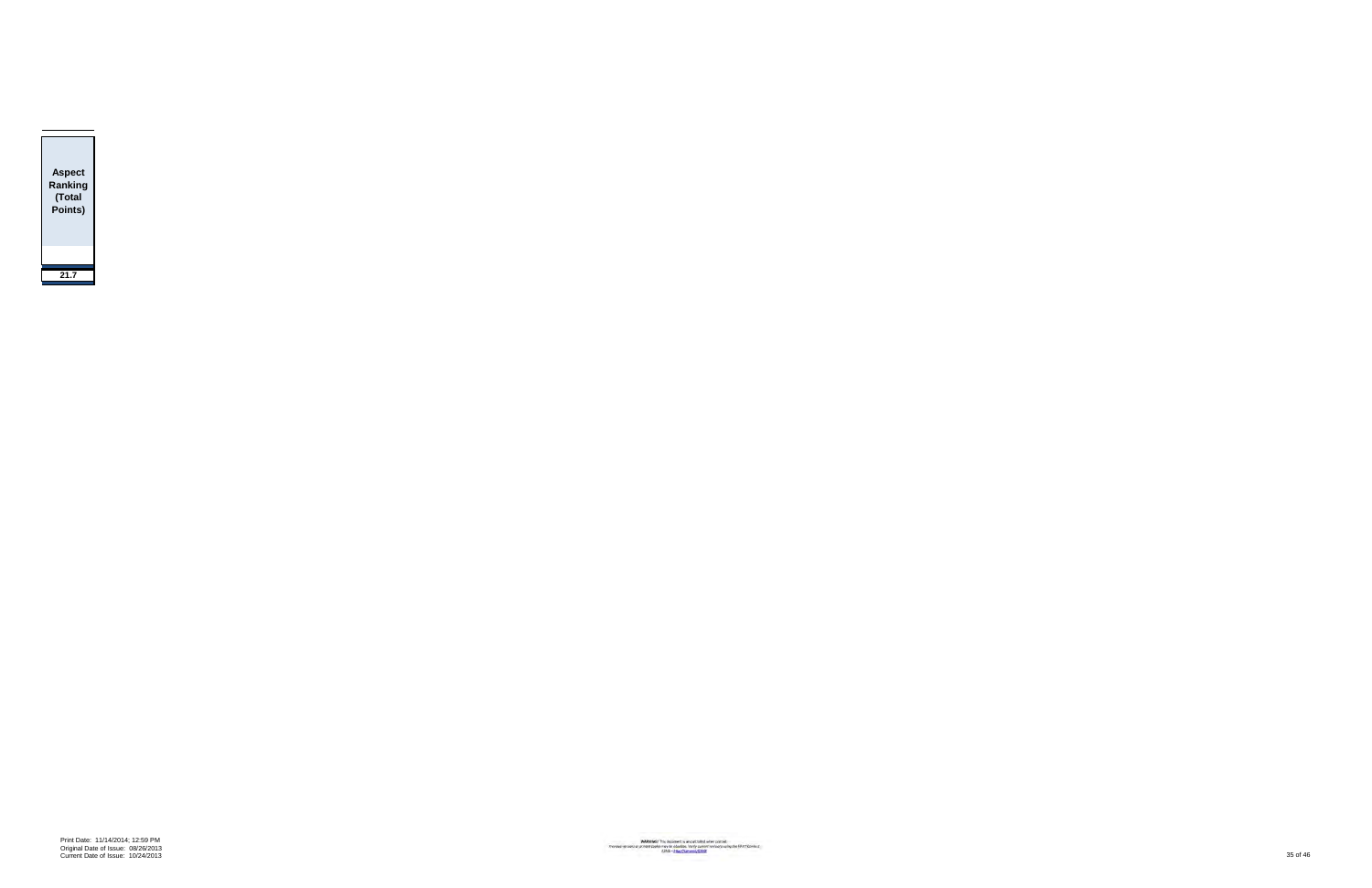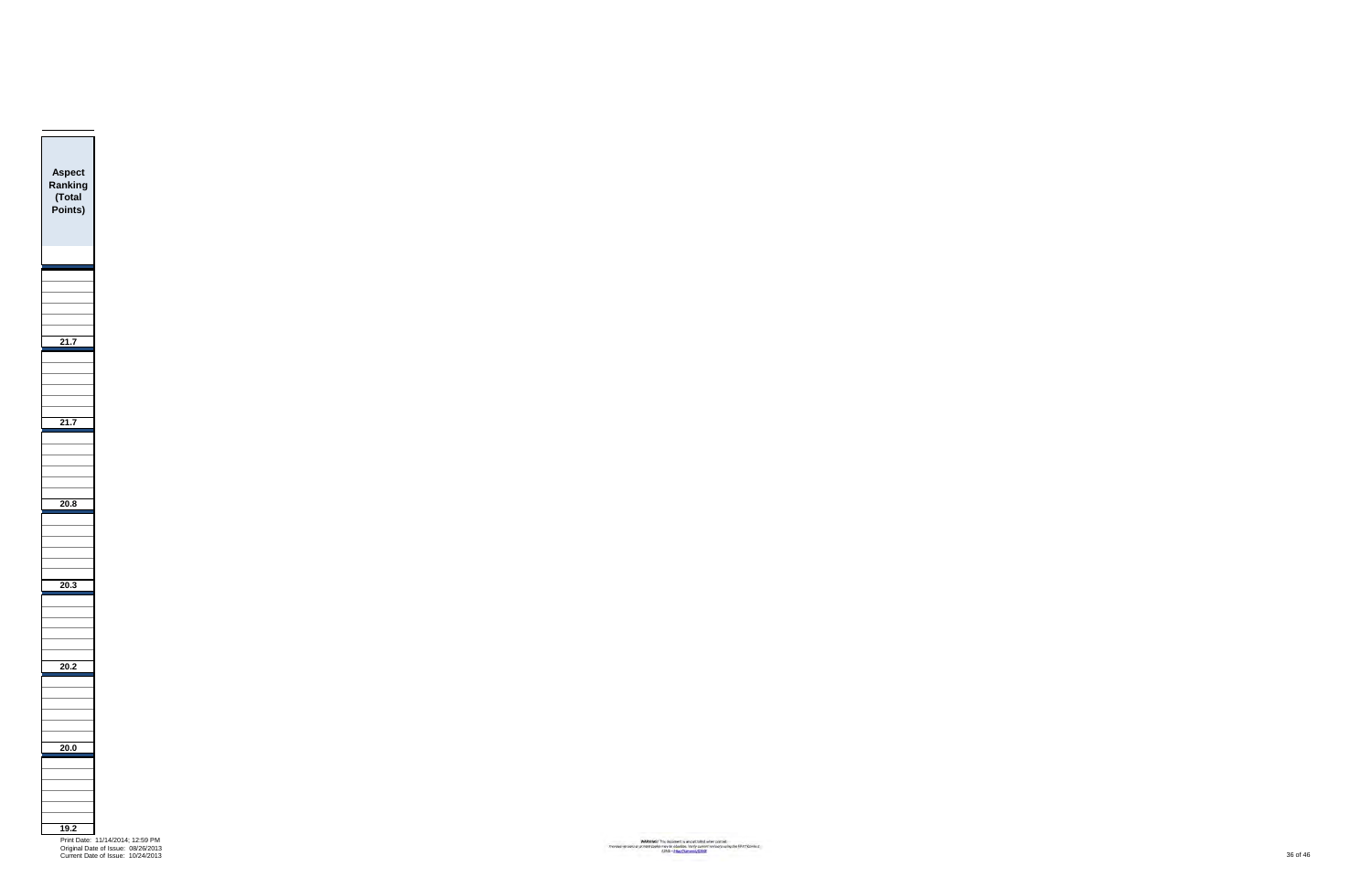

Current Date of Issue: 10/24/2013 36 of 46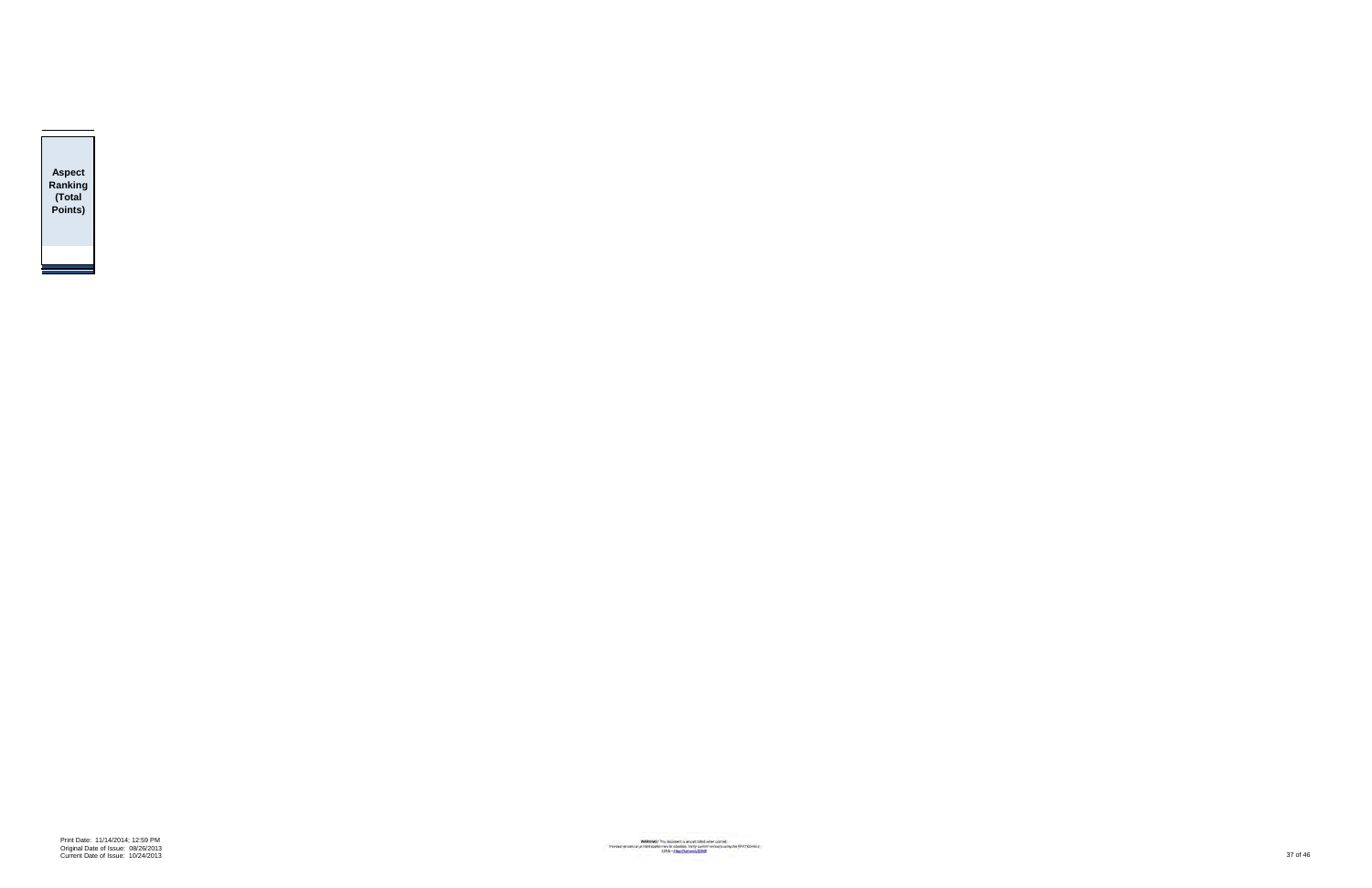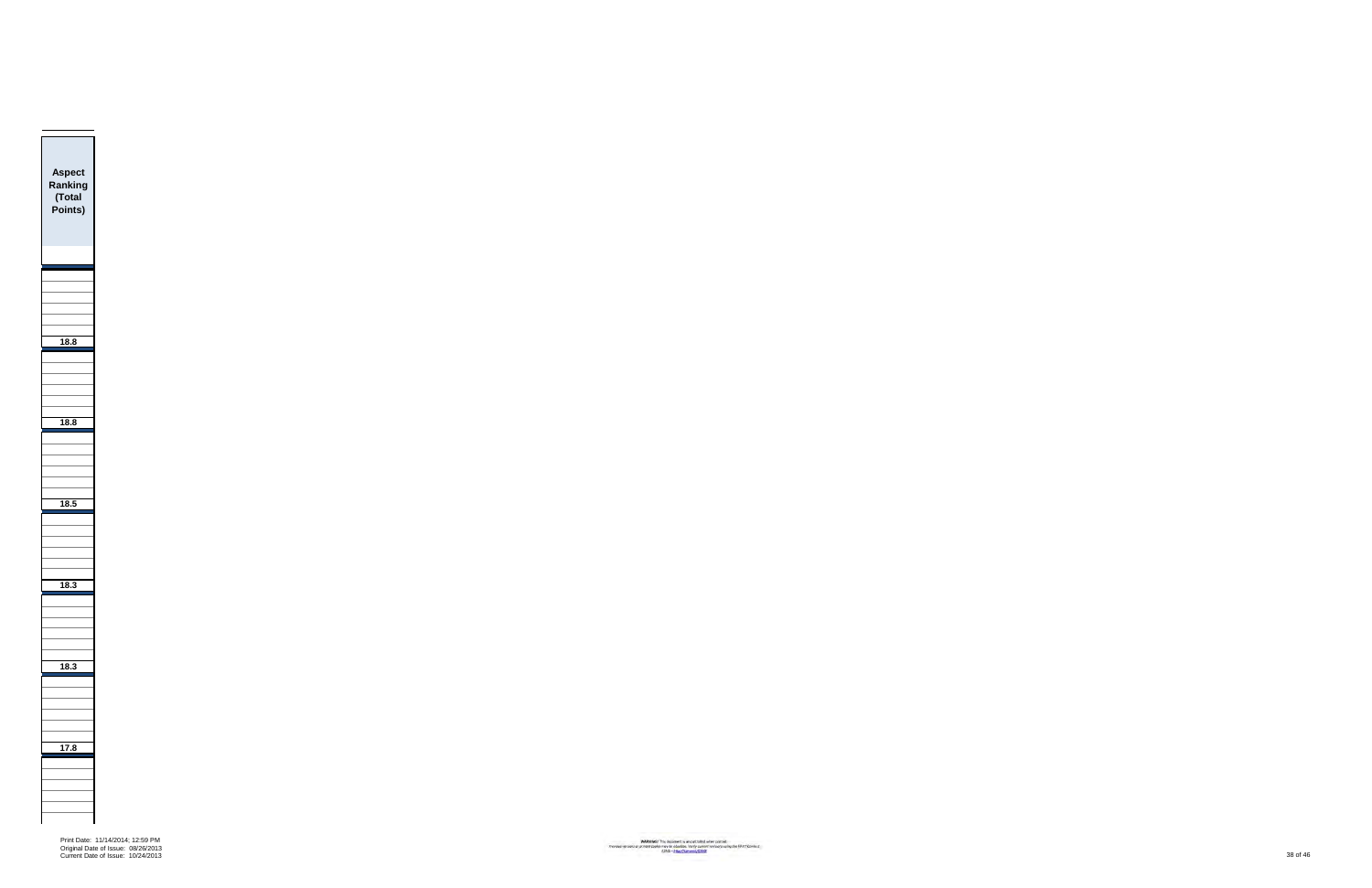

Print Date: 11/14/2014; 12:59 PM Original Date of Issue: 08/26/2013 Current Date of Issue: 10/24/2013 38 of 46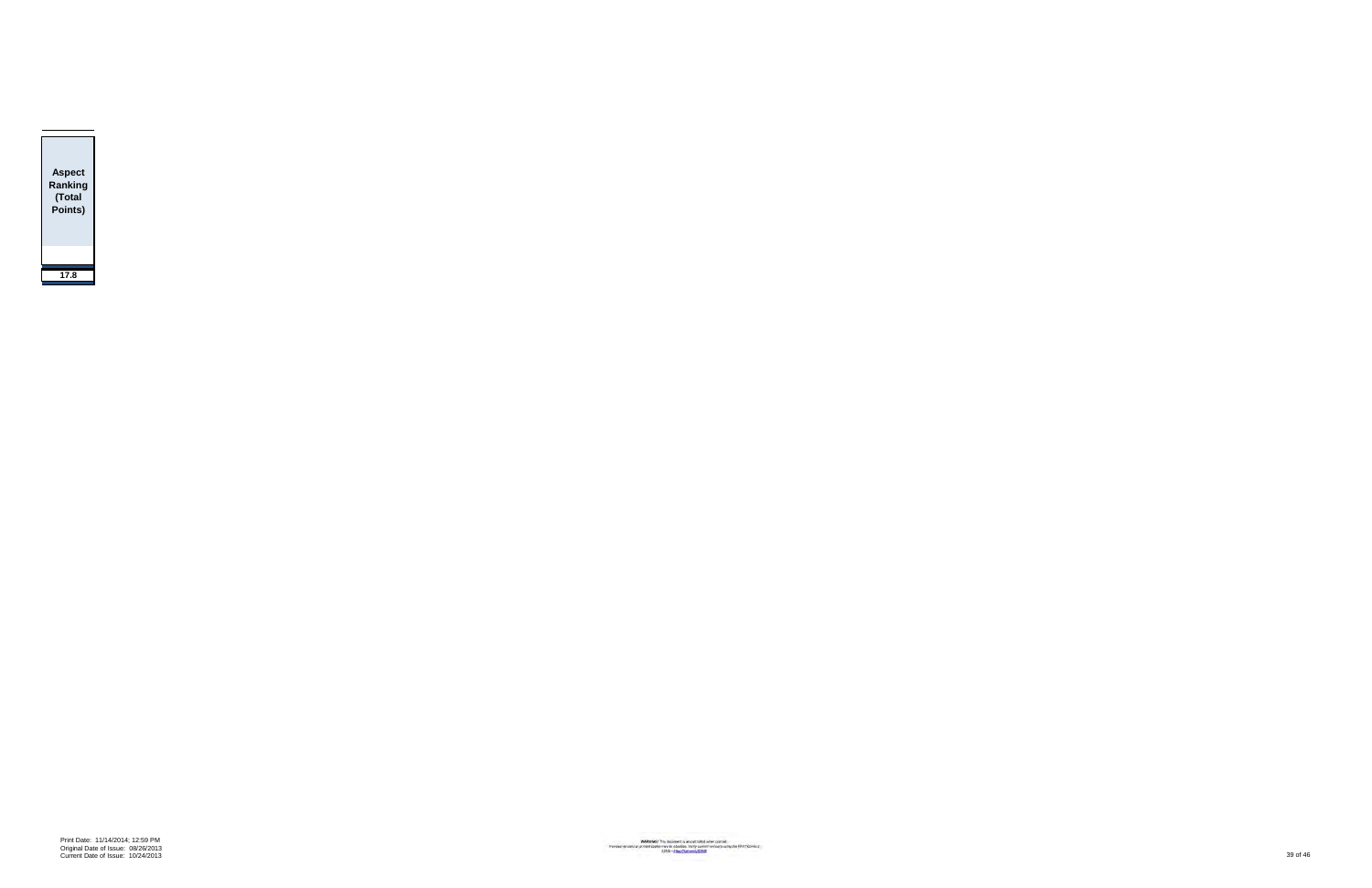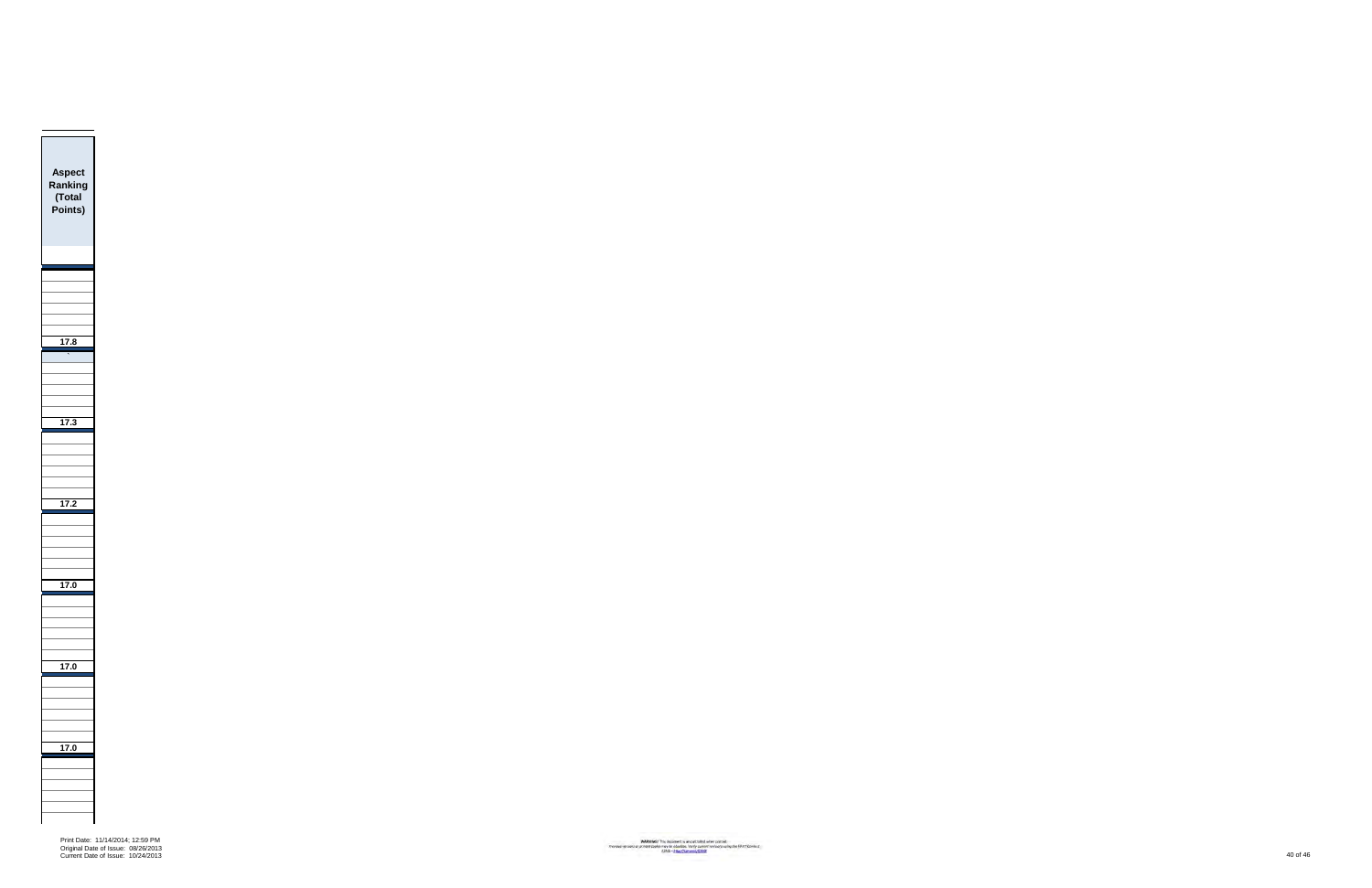Print Date: 11/14/2014; 12:59 PM Original Date of Issue: 08/26/2013 Current Date of Issue: 10/24/2013 40 of 46

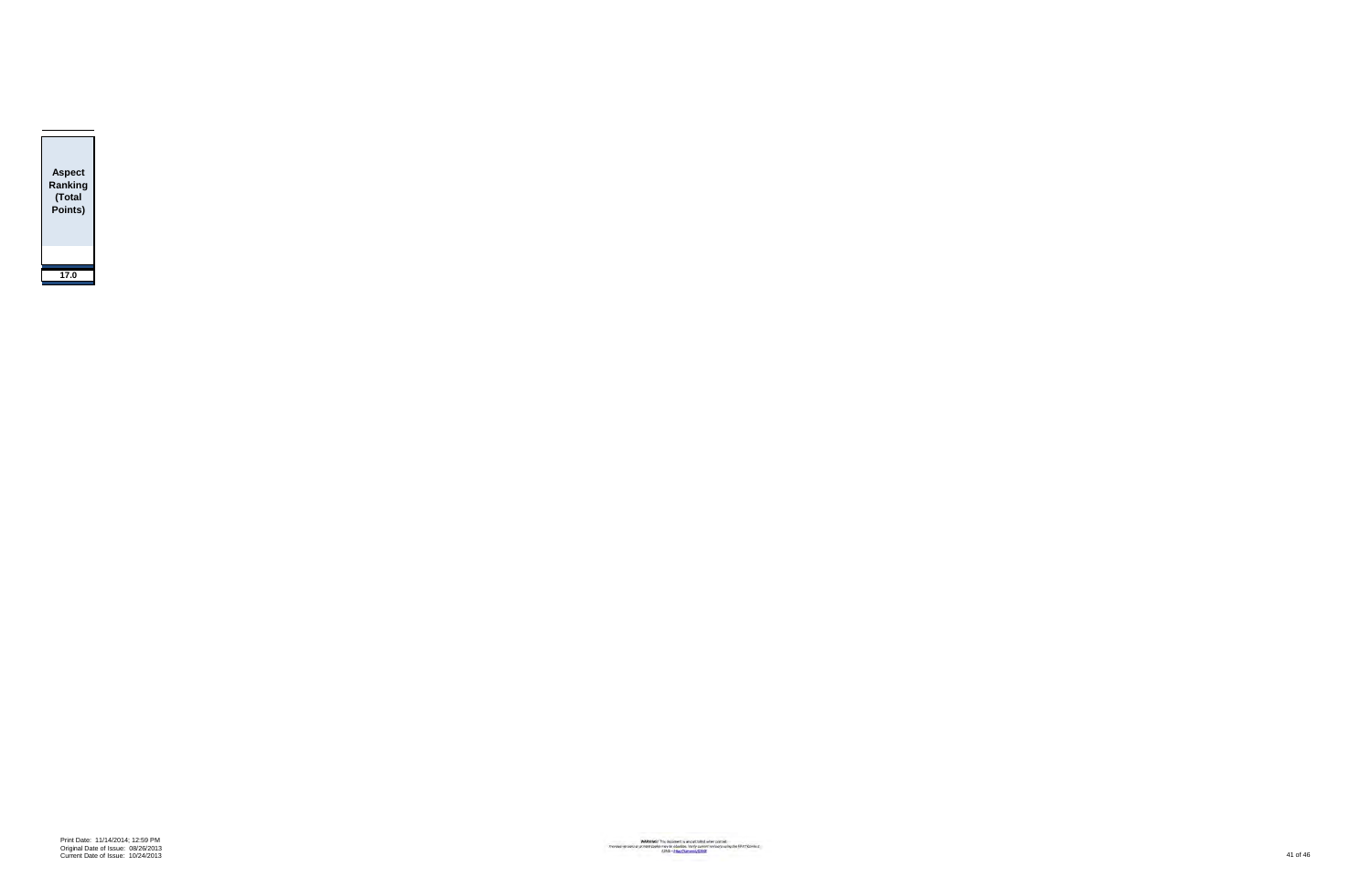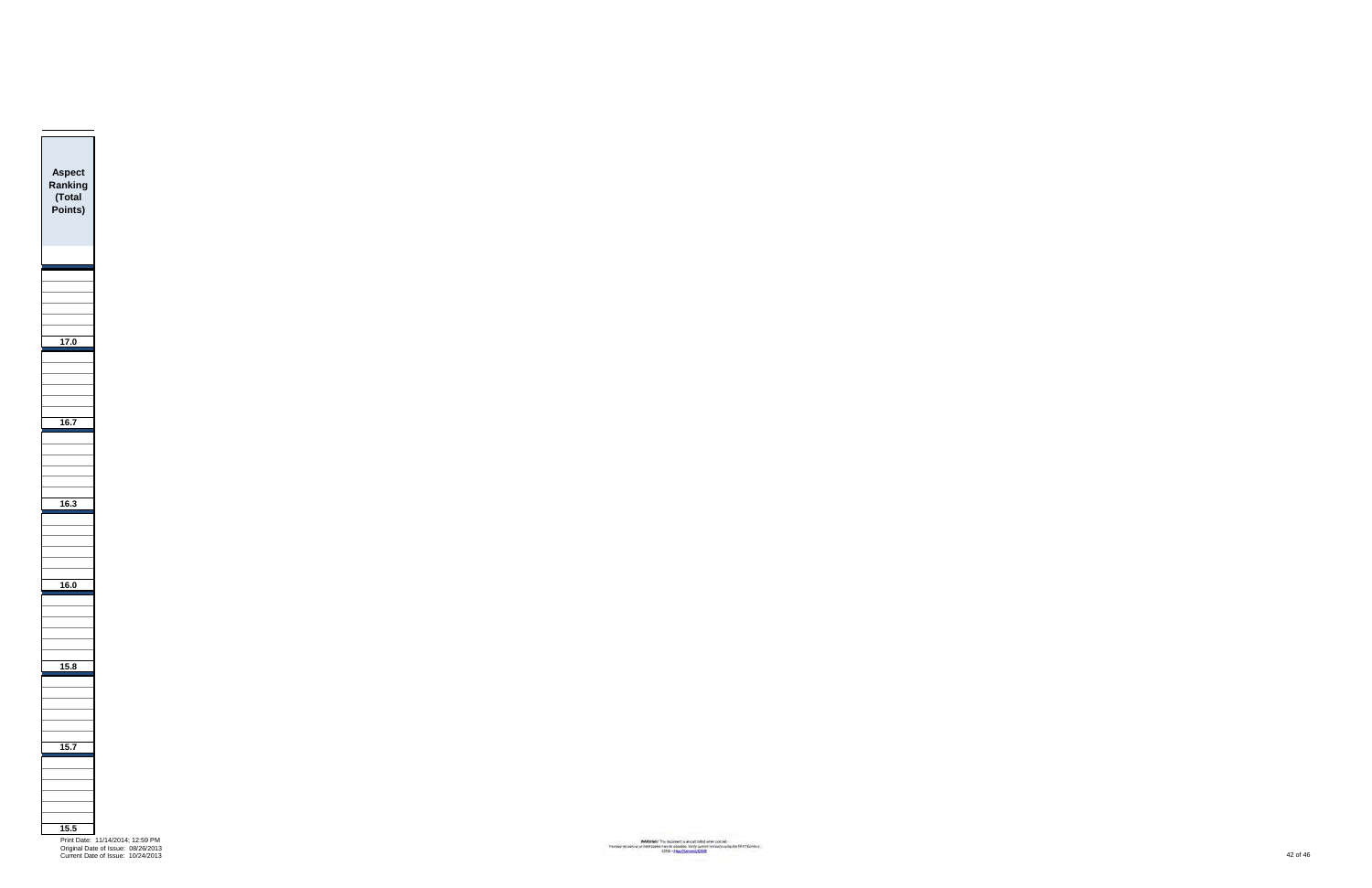

Current Date of Issue: 10/24/2013 42 of 46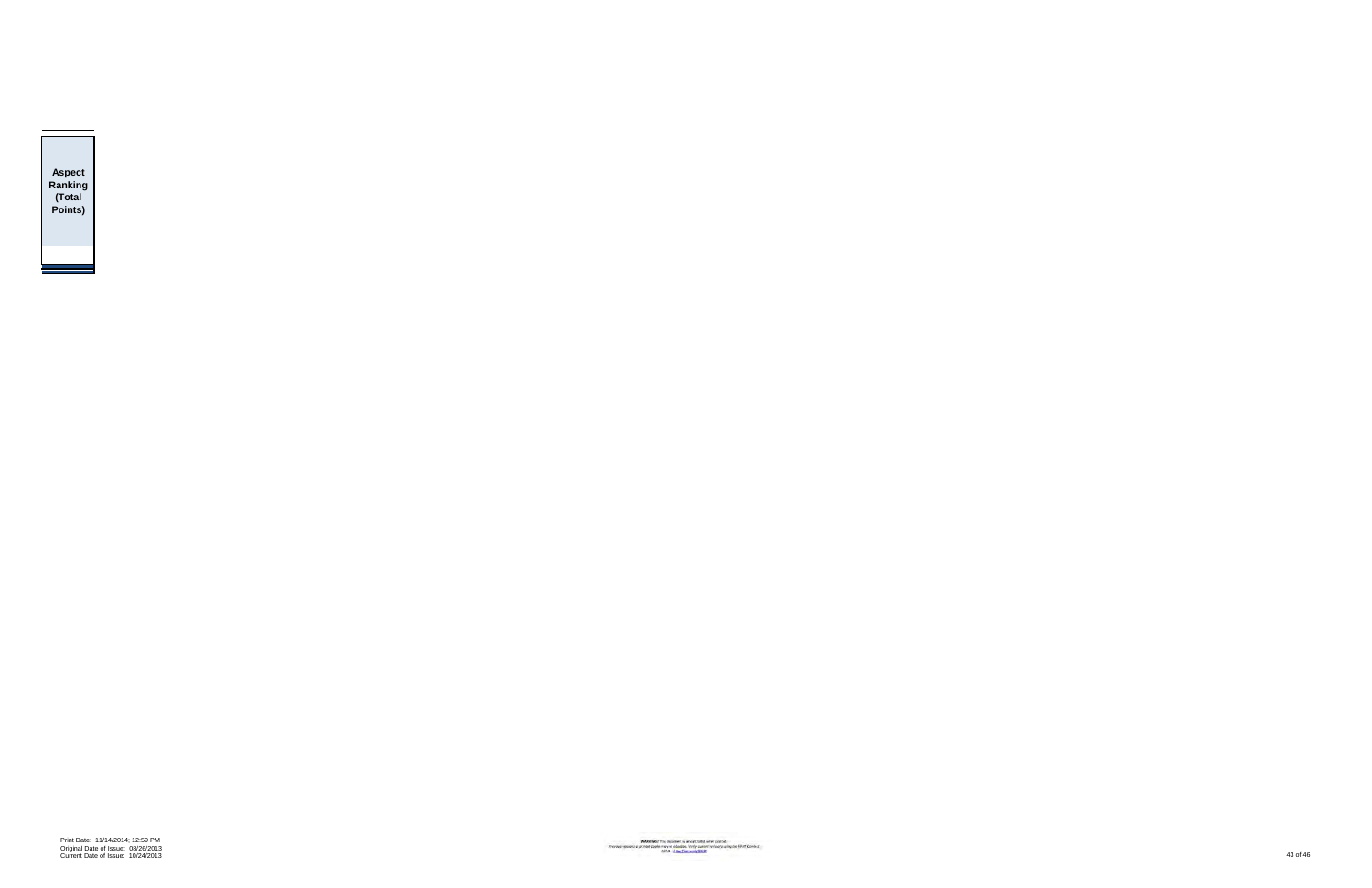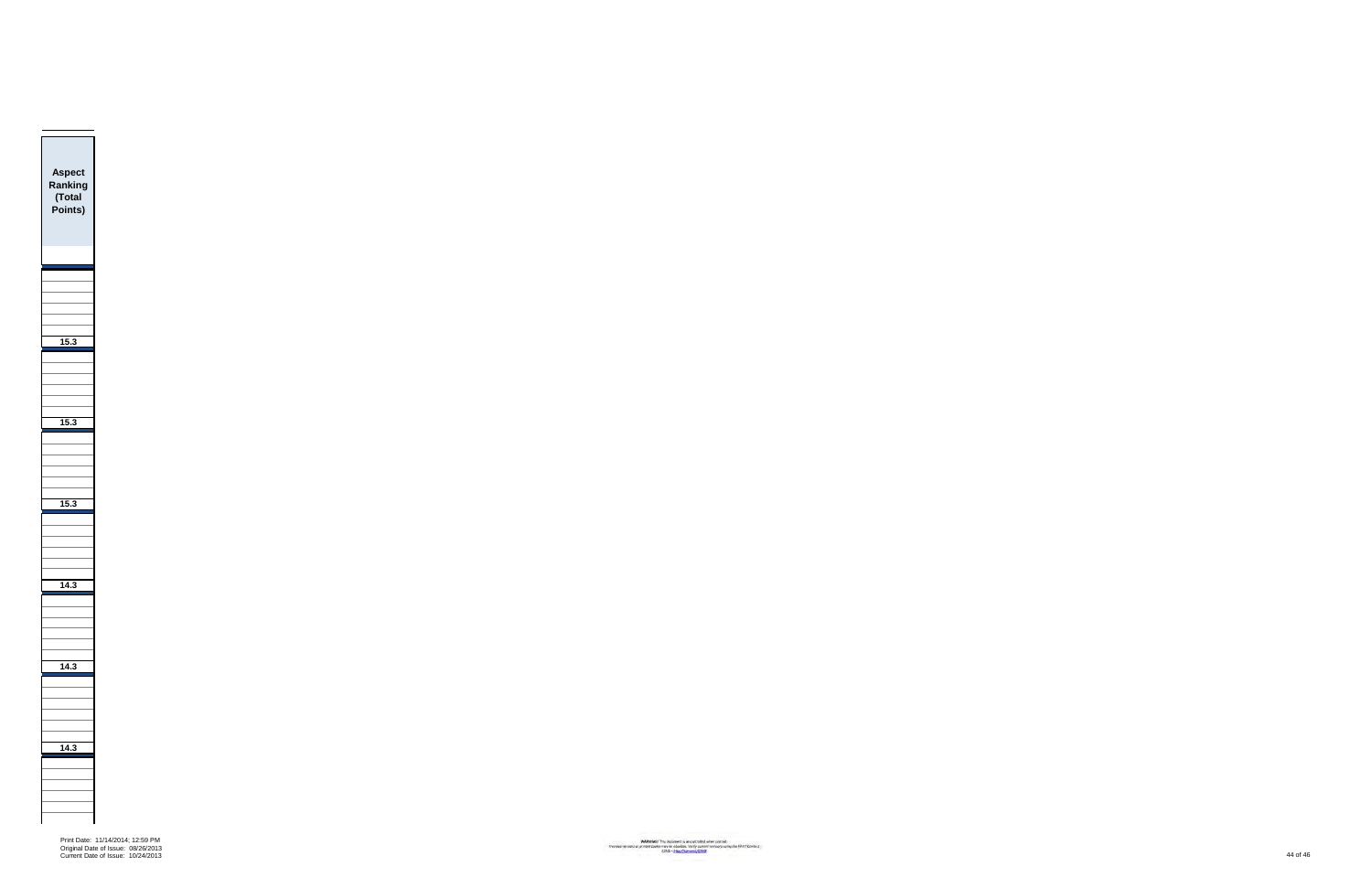

Print Date: 11/14/2014; 12:59 PM Original Date of Issue: 08/26/2013 Current Date of Issue: 10/24/2013 44 of 46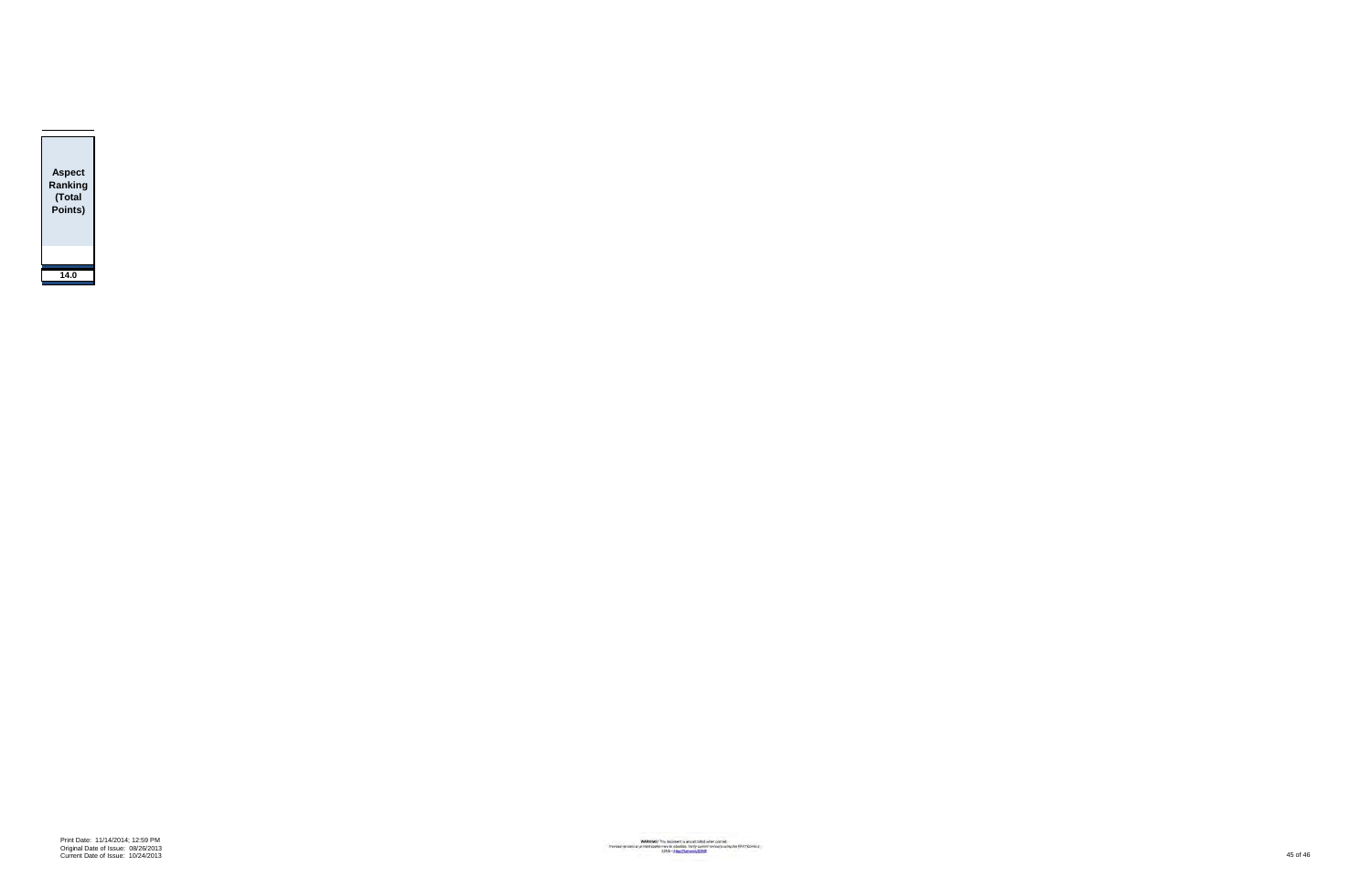